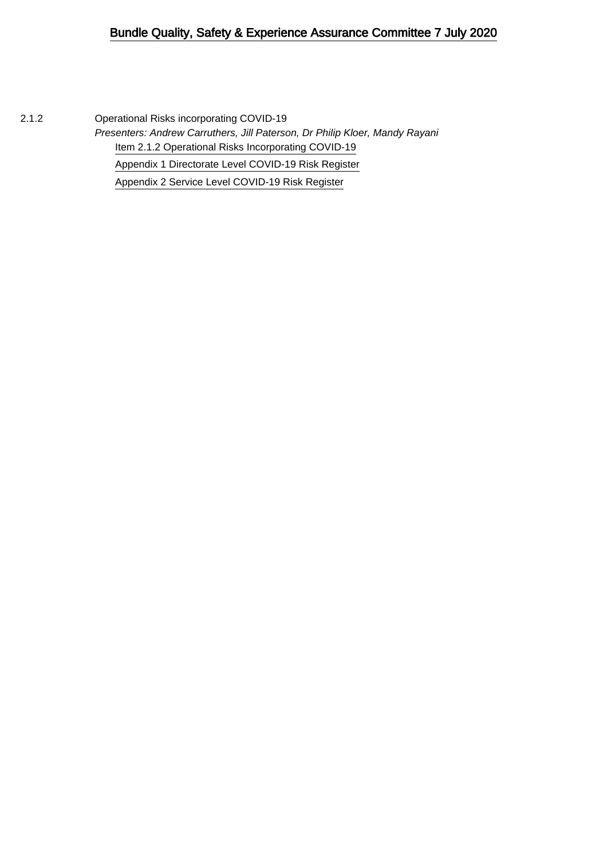2.1.2 Operational Risks incorporating COVID-19 Presenters: Andrew Carruthers, Jill Paterson, Dr Philip Kloer, Mandy Rayani [Item 2.1.2 Operational Risks Incorporating COVID-19](#page-1-0) [Appendix 1 Directorate Level COVID-19 Risk Register](#page-9-0) [Appendix 2 Service Level COVID-19 Risk Register](#page-14-0)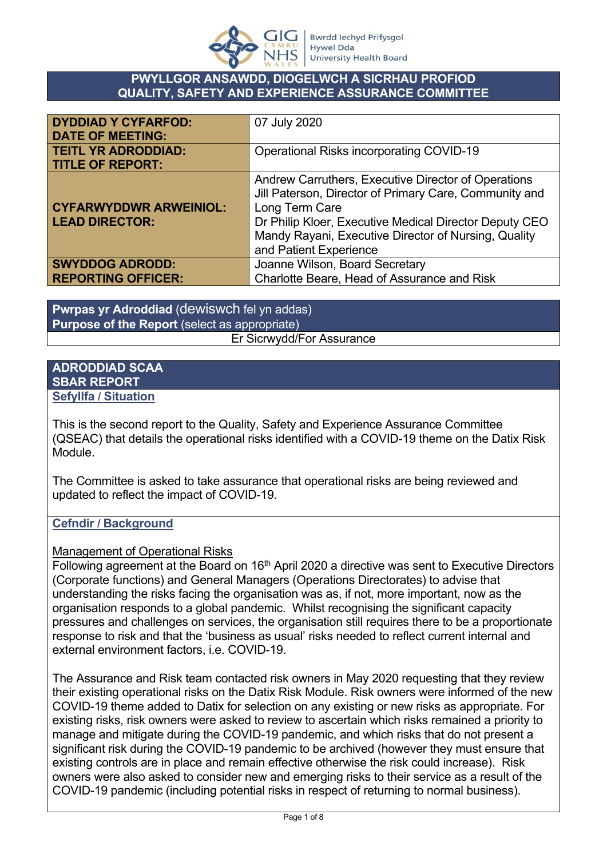

### <span id="page-1-0"></span>**PWYLLGOR ANSAWDD, DIOGELWCH A SICRHAU PROFIOD QUALITY, SAFETY AND EXPERIENCE ASSURANCE COMMITTEE**

| <b>DYDDIAD Y CYFARFOD:</b><br><b>DATE OF MEETING:</b>  | 07 July 2020                                                                                                                                                                                                                                                                |
|--------------------------------------------------------|-----------------------------------------------------------------------------------------------------------------------------------------------------------------------------------------------------------------------------------------------------------------------------|
| <b>TEITL YR ADRODDIAD:</b><br><b>TITLE OF REPORT:</b>  | <b>Operational Risks incorporating COVID-19</b>                                                                                                                                                                                                                             |
| <b>CYFARWYDDWR ARWEINIOL:</b><br><b>LEAD DIRECTOR:</b> | Andrew Carruthers, Executive Director of Operations<br>Jill Paterson, Director of Primary Care, Community and<br>Long Term Care<br>Dr Philip Kloer, Executive Medical Director Deputy CEO<br>Mandy Rayani, Executive Director of Nursing, Quality<br>and Patient Experience |
| <b>SWYDDOG ADRODD:</b><br><b>REPORTING OFFICER:</b>    | Joanne Wilson, Board Secretary<br>Charlotte Beare, Head of Assurance and Risk                                                                                                                                                                                               |

**Pwrpas yr Adroddiad** (dewiswch fel yn addas) **Purpose of the Report** (select as appropriate) Er Sicrwydd/For Assurance

### **ADRODDIAD SCAA SBAR REPORT Sefyllfa / Situation**

This is the second report to the Quality, Safety and Experience Assurance Committee (QSEAC) that details the operational risks identified with a COVID-19 theme on the Datix Risk Module.

The Committee is asked to take assurance that operational risks are being reviewed and updated to reflect the impact of COVID-19.

# **Cefndir / Background**

## Management of Operational Risks

Following agreement at the Board on 16<sup>th</sup> April 2020 a directive was sent to Executive Directors (Corporate functions) and General Managers (Operations Directorates) to advise that understanding the risks facing the organisation was as, if not, more important, now as the organisation responds to a global pandemic. Whilst recognising the significant capacity pressures and challenges on services, the organisation still requires there to be a proportionate response to risk and that the 'business as usual' risks needed to reflect current internal and external environment factors, i.e. COVID-19.

The Assurance and Risk team contacted risk owners in May 2020 requesting that they review their existing operational risks on the Datix Risk Module. Risk owners were informed of the new COVID-19 theme added to Datix for selection on any existing or new risks as appropriate. For existing risks, risk owners were asked to review to ascertain which risks remained a priority to manage and mitigate during the COVID-19 pandemic, and which risks that do not present a significant risk during the COVID-19 pandemic to be archived (however they must ensure that existing controls are in place and remain effective otherwise the risk could increase). Risk owners were also asked to consider new and emerging risks to their service as a result of the COVID-19 pandemic (including potential risks in respect of returning to normal business).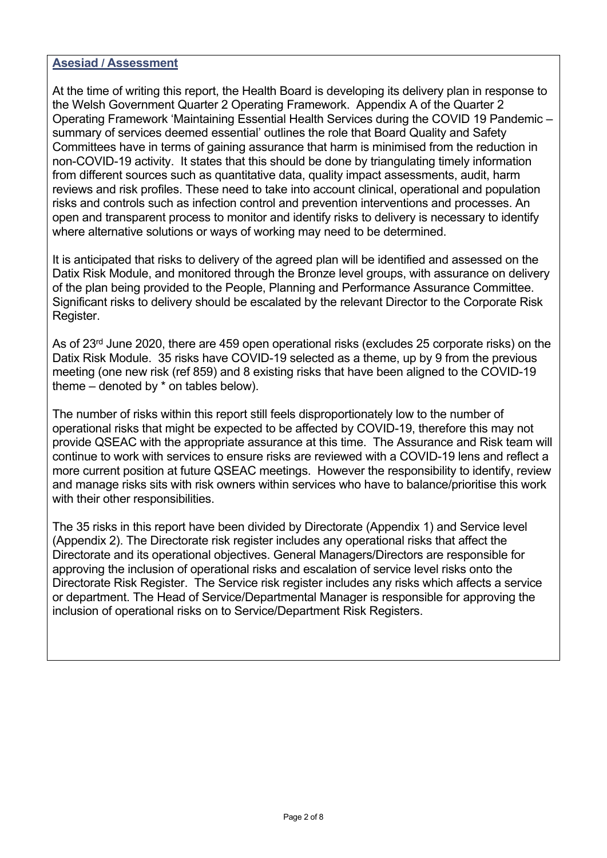#### **Asesiad / Assessment**

At the time of writing this report, the Health Board is developing its delivery plan in response to the Welsh Government Quarter 2 Operating Framework. Appendix A of the Quarter 2 Operating Framework 'Maintaining Essential Health Services during the COVID 19 Pandemic – summary of services deemed essential' outlines the role that Board Quality and Safety Committees have in terms of gaining assurance that harm is minimised from the reduction in non-COVID-19 activity. It states that this should be done by triangulating timely information from different sources such as quantitative data, quality impact assessments, audit, harm reviews and risk profiles. These need to take into account clinical, operational and population risks and controls such as infection control and prevention interventions and processes. An open and transparent process to monitor and identify risks to delivery is necessary to identify where alternative solutions or ways of working may need to be determined.

It is anticipated that risks to delivery of the agreed plan will be identified and assessed on the Datix Risk Module, and monitored through the Bronze level groups, with assurance on delivery of the plan being provided to the People, Planning and Performance Assurance Committee. Significant risks to delivery should be escalated by the relevant Director to the Corporate Risk Register.

As of 23<sup>rd</sup> June 2020, there are 459 open operational risks (excludes 25 corporate risks) on the Datix Risk Module. 35 risks have COVID-19 selected as a theme, up by 9 from the previous meeting (one new risk (ref 859) and 8 existing risks that have been aligned to the COVID-19 theme – denoted by \* on tables below).

The number of risks within this report still feels disproportionately low to the number of operational risks that might be expected to be affected by COVID-19, therefore this may not provide QSEAC with the appropriate assurance at this time. The Assurance and Risk team will continue to work with services to ensure risks are reviewed with a COVID-19 lens and reflect a more current position at future QSEAC meetings. However the responsibility to identify, review and manage risks sits with risk owners within services who have to balance/prioritise this work with their other responsibilities.

The 35 risks in this report have been divided by Directorate (Appendix 1) and Service level (Appendix 2). The Directorate risk register includes any operational risks that affect the Directorate and its operational objectives. General Managers/Directors are responsible for approving the inclusion of operational risks and escalation of service level risks onto the Directorate Risk Register. The Service risk register includes any risks which affects a service or department. The Head of Service/Departmental Manager is responsible for approving the inclusion of operational risks on to Service/Department Risk Registers.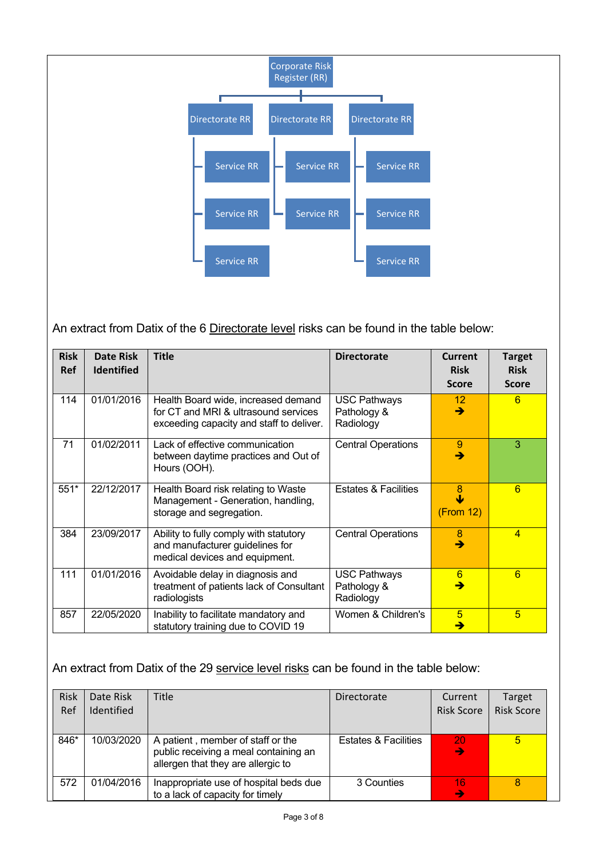

An extract from Datix of the 6 Directorate level risks can be found in the table below:

| <b>Risk</b><br><b>Ref</b> | <b>Date Risk</b><br><b>Identified</b> | <b>Title</b>                                                                                                            | <b>Directorate</b>                              | Current<br><b>Risk</b><br><b>Score</b> | <b>Target</b><br><b>Risk</b><br><b>Score</b> |
|---------------------------|---------------------------------------|-------------------------------------------------------------------------------------------------------------------------|-------------------------------------------------|----------------------------------------|----------------------------------------------|
| 114                       | 01/01/2016                            | Health Board wide, increased demand<br>for CT and MRI & ultrasound services<br>exceeding capacity and staff to deliver. | <b>USC Pathways</b><br>Pathology &<br>Radiology | 12 <sup>°</sup><br>→                   | 6                                            |
| 71                        | 01/02/2011                            | Lack of effective communication<br>between daytime practices and Out of<br>Hours (OOH).                                 | <b>Central Operations</b>                       | 9<br>→                                 | 3                                            |
| $551*$                    | 22/12/2017                            | Health Board risk relating to Waste<br>Management - Generation, handling,<br>storage and segregation.                   | <b>Estates &amp; Facilities</b>                 | 8<br>(From 12)                         | 6                                            |
| 384                       | 23/09/2017                            | Ability to fully comply with statutory<br>and manufacturer guidelines for<br>medical devices and equipment.             | <b>Central Operations</b>                       | 8<br>→                                 | $\overline{4}$                               |
| 111                       | 01/01/2016                            | Avoidable delay in diagnosis and<br>treatment of patients lack of Consultant<br>radiologists                            | <b>USC Pathways</b><br>Pathology &<br>Radiology | 6                                      | 6                                            |
| 857                       | 22/05/2020                            | Inability to facilitate mandatory and<br>statutory training due to COVID 19                                             | Women & Children's                              | $\overline{5}$<br>→                    | 5                                            |

An extract from Datix of the 29 service level risks can be found in the table below:

| <b>Risk</b><br>Ref | Date Risk<br>Identified | <b>Title</b>                                                                                                     | Directorate                     | Current<br><b>Risk Score</b> | Target<br><b>Risk Score</b> |
|--------------------|-------------------------|------------------------------------------------------------------------------------------------------------------|---------------------------------|------------------------------|-----------------------------|
| 846*               | 10/03/2020              | A patient, member of staff or the<br>public receiving a meal containing an<br>allergen that they are allergic to | <b>Estates &amp; Facilities</b> | /20<br>$\rightarrow$         | $\sqrt{5}$                  |
| 572                | 01/04/2016              | Inappropriate use of hospital beds due<br>to a lack of capacity for timely                                       | 3 Counties                      | 16<br>$\rightarrow$          | 8                           |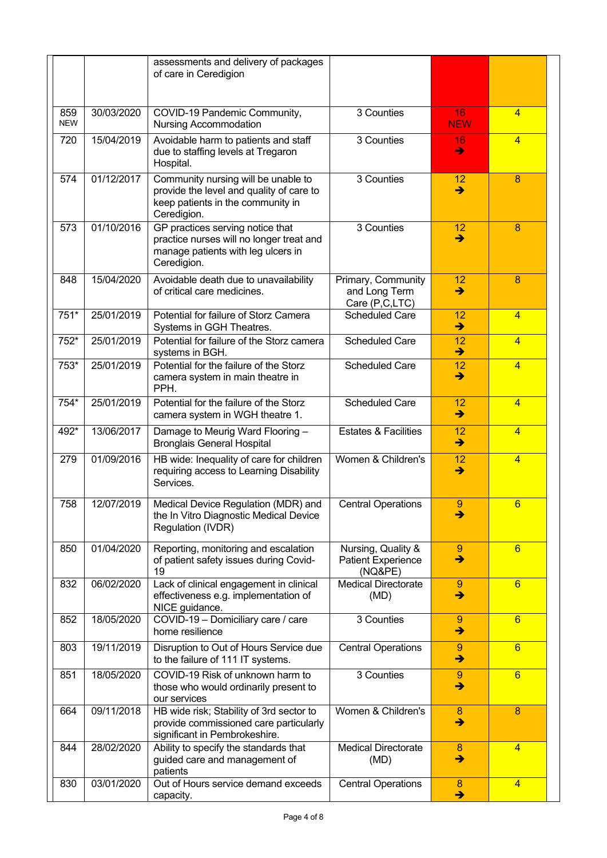|                   |            | assessments and delivery of packages<br>of care in Ceredigion                                                                       |                                                            |                       |                 |
|-------------------|------------|-------------------------------------------------------------------------------------------------------------------------------------|------------------------------------------------------------|-----------------------|-----------------|
| 859<br><b>NEW</b> | 30/03/2020 | COVID-19 Pandemic Community,<br><b>Nursing Accommodation</b>                                                                        | 3 Counties                                                 | 16<br><b>NEW</b>      | $\overline{4}$  |
| 720               | 15/04/2019 | Avoidable harm to patients and staff<br>due to staffing levels at Tregaron<br>Hospital.                                             | 3 Counties                                                 | 16<br>→               | $\overline{4}$  |
| 574               | 01/12/2017 | Community nursing will be unable to<br>provide the level and quality of care to<br>keep patients in the community in<br>Ceredigion. | 3 Counties                                                 | 12<br>$\rightarrow$   | 8               |
| 573               | 01/10/2016 | GP practices serving notice that<br>practice nurses will no longer treat and<br>manage patients with leg ulcers in<br>Ceredigion.   | 3 Counties                                                 | 12<br>$\rightarrow$   | 8               |
| 848               | 15/04/2020 | Avoidable death due to unavailability<br>of critical care medicines.                                                                | Primary, Community<br>and Long Term<br>Care (P,C,LTC)      | 12<br>→               | 8               |
| 751*              | 25/01/2019 | Potential for failure of Storz Camera<br>Systems in GGH Theatres.                                                                   | <b>Scheduled Care</b>                                      | 12<br>→               | $\overline{4}$  |
| 752*              | 25/01/2019 | Potential for failure of the Storz camera<br>systems in BGH.                                                                        | <b>Scheduled Care</b>                                      | 12<br>→               | $\overline{4}$  |
| 753*              | 25/01/2019 | Potential for the failure of the Storz<br>camera system in main theatre in<br>PPH.                                                  | <b>Scheduled Care</b>                                      | 12<br>→               | $\overline{4}$  |
| 754*              | 25/01/2019 | Potential for the failure of the Storz<br>camera system in WGH theatre 1.                                                           | <b>Scheduled Care</b>                                      | 12<br>$\rightarrow$   | $\overline{4}$  |
| 492*              | 13/06/2017 | Damage to Meurig Ward Flooring -<br><b>Bronglais General Hospital</b>                                                               | <b>Estates &amp; Facilities</b>                            | 12<br>→               | $\overline{4}$  |
| 279               | 01/09/2016 | HB wide: Inequality of care for children<br>requiring access to Learning Disability<br>Services.                                    | Women & Children's                                         | 12<br>→               | $\overline{4}$  |
| 758               | 12/07/2019 | Medical Device Regulation (MDR) and<br>the In Vitro Diagnostic Medical Device<br>Regulation (IVDR)                                  | <b>Central Operations</b>                                  | 9<br>→                | $6\phantom{1}$  |
| 850               | 01/04/2020 | Reporting, monitoring and escalation<br>of patient safety issues during Covid-<br>19                                                | Nursing, Quality &<br><b>Patient Experience</b><br>(NO&PE) | 9<br>$\rightarrow$    | 6               |
| 832               | 06/02/2020 | Lack of clinical engagement in clinical<br>effectiveness e.g. implementation of<br>NICE guidance.                                   | <b>Medical Directorate</b><br>(MD)                         | 9<br>→                | $6\overline{6}$ |
| 852               | 18/05/2020 | COVID-19 - Domiciliary care / care<br>home resilience                                                                               | 3 Counties                                                 | 9<br>→                | $6\overline{6}$ |
| 803               | 19/11/2019 | Disruption to Out of Hours Service due<br>to the failure of 111 IT systems.                                                         | <b>Central Operations</b>                                  | 9<br>$\rightarrow$    | $6\overline{6}$ |
| 851               | 18/05/2020 | COVID-19 Risk of unknown harm to<br>those who would ordinarily present to<br>our services                                           | 3 Counties                                                 | $\overline{9}$<br>→   | $6\overline{6}$ |
| 664               | 09/11/2018 | HB wide risk; Stability of 3rd sector to<br>provide commissioned care particularly<br>significant in Pembrokeshire.                 | Women & Children's                                         | 8<br>→                | 8               |
| 844               | 28/02/2020 | Ability to specify the standards that<br>guided care and management of<br>patients                                                  | <b>Medical Directorate</b><br>(MD)                         | $\boldsymbol{8}$<br>→ | $\overline{4}$  |
| 830               | 03/01/2020 | Out of Hours service demand exceeds<br>capacity.                                                                                    | <b>Central Operations</b>                                  | 8<br>→                | $\overline{4}$  |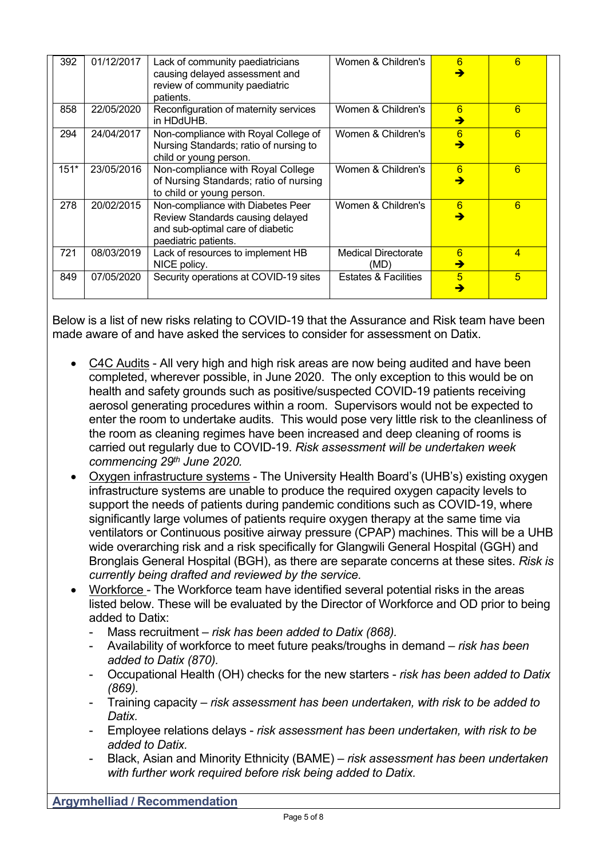| 392    | 01/12/2017 | Lack of community paediatricians<br>causing delayed assessment and<br>review of community paediatric                              | Women & Children's                 | 6<br>→             | 6 |
|--------|------------|-----------------------------------------------------------------------------------------------------------------------------------|------------------------------------|--------------------|---|
| 858    | 22/05/2020 | patients.<br>Reconfiguration of maternity services<br>in HDdUHB.                                                                  | Women & Children's                 | 6<br>$\rightarrow$ | 6 |
| 294    | 24/04/2017 | Non-compliance with Royal College of<br>Nursing Standards; ratio of nursing to<br>child or young person.                          | Women & Children's                 | 6<br>→             | 6 |
| $151*$ | 23/05/2016 | Non-compliance with Royal College<br>of Nursing Standards; ratio of nursing<br>to child or young person.                          | Women & Children's                 | 6<br>→             | 6 |
| 278    | 20/02/2015 | Non-compliance with Diabetes Peer<br>Review Standards causing delayed<br>and sub-optimal care of diabetic<br>paediatric patients. | Women & Children's                 | 6<br>→             | 6 |
| 721    | 08/03/2019 | Lack of resources to implement HB<br>NICE policy.                                                                                 | <b>Medical Directorate</b><br>(MD) | 6<br>$\rightarrow$ | 4 |
| 849    | 07/05/2020 | Security operations at COVID-19 sites                                                                                             | <b>Estates &amp; Facilities</b>    | 5<br>→             | 5 |

Below is a list of new risks relating to COVID-19 that the Assurance and Risk team have been made aware of and have asked the services to consider for assessment on Datix.

- C4C Audits All very high and high risk areas are now being audited and have been completed, wherever possible, in June 2020. The only exception to this would be on health and safety grounds such as positive/suspected COVID-19 patients receiving aerosol generating procedures within a room. Supervisors would not be expected to enter the room to undertake audits. This would pose very little risk to the cleanliness of the room as cleaning regimes have been increased and deep cleaning of rooms is carried out regularly due to COVID-19. *Risk assessment will be undertaken week commencing 29th June 2020.*
- Oxygen infrastructure systems The University Health Board's (UHB's) existing oxygen infrastructure systems are unable to produce the required oxygen capacity levels to support the needs of patients during pandemic conditions such as COVID-19, where significantly large volumes of patients require oxygen therapy at the same time via ventilators or Continuous positive airway pressure (CPAP) machines. This will be a UHB wide overarching risk and a risk specifically for Glangwili General Hospital (GGH) and Bronglais General Hospital (BGH), as there are separate concerns at these sites. *Risk is currently being drafted and reviewed by the service.*
- Workforce The Workforce team have identified several potential risks in the areas listed below. These will be evaluated by the Director of Workforce and OD prior to being added to Datix:
	- Mass recruitment *risk has been added to Datix (868).*
	- Availability of workforce to meet future peaks/troughs in demand *risk has been added to Datix (870).*
	- Occupational Health (OH) checks for the new starters *risk has been added to Datix (869).*
	- Training capacity *risk assessment has been undertaken, with risk to be added to Datix.*
	- Employee relations delays *risk assessment has been undertaken, with risk to be added to Datix.*
	- Black, Asian and Minority Ethnicity (BAME) *risk assessment has been undertaken with further work required before risk being added to Datix.*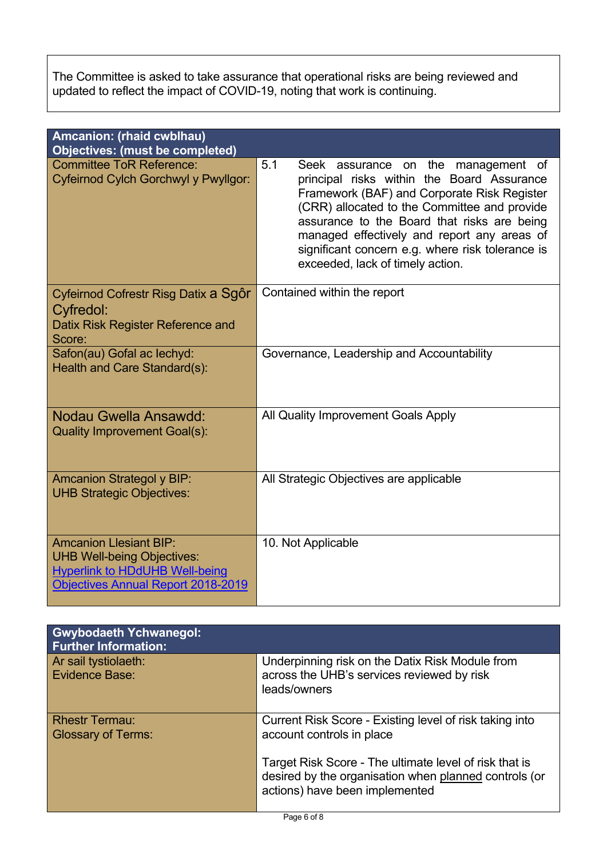The Committee is asked to take assurance that operational risks are being reviewed and updated to reflect the impact of COVID-19, noting that work is continuing.

| Amcanion: (rhaid cwblhau)<br><b>Objectives: (must be completed)</b>                                                                                      |                                                                                                                                                                                                                                                                                                                                                                                  |
|----------------------------------------------------------------------------------------------------------------------------------------------------------|----------------------------------------------------------------------------------------------------------------------------------------------------------------------------------------------------------------------------------------------------------------------------------------------------------------------------------------------------------------------------------|
| <b>Committee ToR Reference:</b><br>Cyfeirnod Cylch Gorchwyl y Pwyllgor:                                                                                  | 5.1<br>Seek assurance on the<br>management of<br>principal risks within the Board Assurance<br>Framework (BAF) and Corporate Risk Register<br>(CRR) allocated to the Committee and provide<br>assurance to the Board that risks are being<br>managed effectively and report any areas of<br>significant concern e.g. where risk tolerance is<br>exceeded, lack of timely action. |
| Cyfeirnod Cofrestr Risg Datix a Sgôr<br>Cyfredol:<br>Datix Risk Register Reference and<br>Score:                                                         | Contained within the report                                                                                                                                                                                                                                                                                                                                                      |
| Safon(au) Gofal ac lechyd:<br>Health and Care Standard(s):                                                                                               | Governance, Leadership and Accountability                                                                                                                                                                                                                                                                                                                                        |
| Nodau Gwella Ansawdd:<br><b>Quality Improvement Goal(s):</b>                                                                                             | All Quality Improvement Goals Apply                                                                                                                                                                                                                                                                                                                                              |
| <b>Amcanion Strategol y BIP:</b><br><b>UHB Strategic Objectives:</b>                                                                                     | All Strategic Objectives are applicable                                                                                                                                                                                                                                                                                                                                          |
| <b>Amcanion Llesiant BIP:</b><br><b>UHB Well-being Objectives:</b><br><b>Hyperlink to HDdUHB Well-being</b><br><b>Objectives Annual Report 2018-2019</b> | 10. Not Applicable                                                                                                                                                                                                                                                                                                                                                               |

| <b>Gwybodaeth Ychwanegol:</b><br><b>Further Information:</b> |                                                                                                                                                   |
|--------------------------------------------------------------|---------------------------------------------------------------------------------------------------------------------------------------------------|
| Ar sail tystiolaeth:<br>Evidence Base:                       | Underpinning risk on the Datix Risk Module from<br>across the UHB's services reviewed by risk<br>leads/owners                                     |
| <b>Rhestr Termau:</b><br><b>Glossary of Terms:</b>           | Current Risk Score - Existing level of risk taking into<br>account controls in place                                                              |
|                                                              | Target Risk Score - The ultimate level of risk that is<br>desired by the organisation when planned controls (or<br>actions) have been implemented |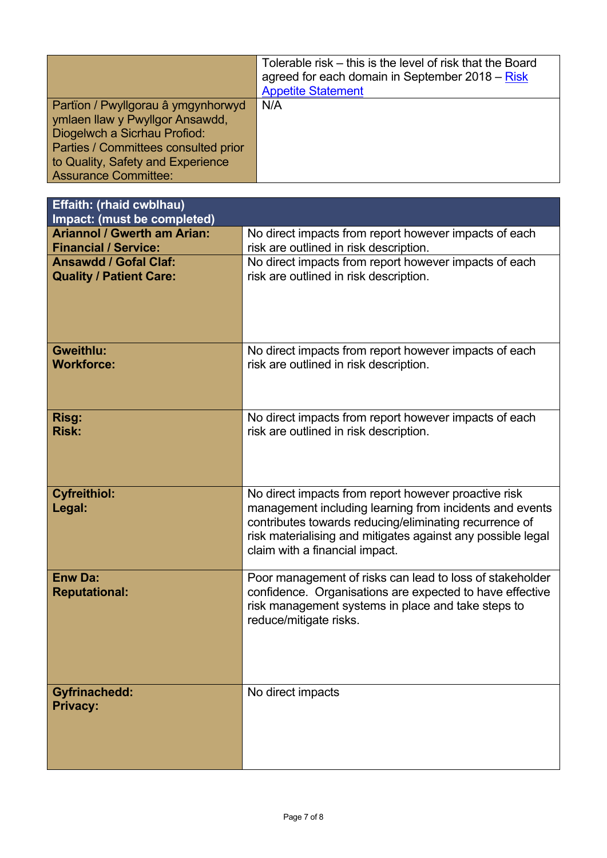|                                                                                                                                                                                                                   | Tolerable risk – this is the level of risk that the Board<br>agreed for each domain in September $2018 - Risk$<br><b>Appetite Statement</b> |
|-------------------------------------------------------------------------------------------------------------------------------------------------------------------------------------------------------------------|---------------------------------------------------------------------------------------------------------------------------------------------|
| Partïon / Pwyllgorau â ymgynhorwyd<br>ymlaen llaw y Pwyllgor Ansawdd,<br>Diogelwch a Sicrhau Profiod:<br>Parties / Committees consulted prior<br>to Quality, Safety and Experience<br><b>Assurance Committee:</b> | N/A                                                                                                                                         |

| Effaith: (rhaid cwblhau)<br>Impact: (must be completed) |                                                                                                                                                                                                                    |
|---------------------------------------------------------|--------------------------------------------------------------------------------------------------------------------------------------------------------------------------------------------------------------------|
| <b>Ariannol / Gwerth am Arian:</b>                      | No direct impacts from report however impacts of each                                                                                                                                                              |
| <b>Financial / Service:</b>                             | risk are outlined in risk description.                                                                                                                                                                             |
| <b>Ansawdd / Gofal Claf:</b>                            | No direct impacts from report however impacts of each                                                                                                                                                              |
| <b>Quality / Patient Care:</b>                          | risk are outlined in risk description.                                                                                                                                                                             |
|                                                         |                                                                                                                                                                                                                    |
| <b>Gweithlu:</b>                                        | No direct impacts from report however impacts of each                                                                                                                                                              |
| <b>Workforce:</b>                                       | risk are outlined in risk description.                                                                                                                                                                             |
| Risg:                                                   | No direct impacts from report however impacts of each                                                                                                                                                              |
| <b>Risk:</b>                                            | risk are outlined in risk description.                                                                                                                                                                             |
| <b>Cyfreithiol:</b>                                     | No direct impacts from report however proactive risk                                                                                                                                                               |
| Legal:                                                  | management including learning from incidents and events<br>contributes towards reducing/eliminating recurrence of<br>risk materialising and mitigates against any possible legal<br>claim with a financial impact. |
| <b>Enw Da:</b>                                          | Poor management of risks can lead to loss of stakeholder                                                                                                                                                           |
| <b>Reputational:</b>                                    | confidence. Organisations are expected to have effective<br>risk management systems in place and take steps to<br>reduce/mitigate risks.                                                                           |
| <b>Gyfrinachedd:</b>                                    | No direct impacts                                                                                                                                                                                                  |
| <b>Privacy:</b>                                         |                                                                                                                                                                                                                    |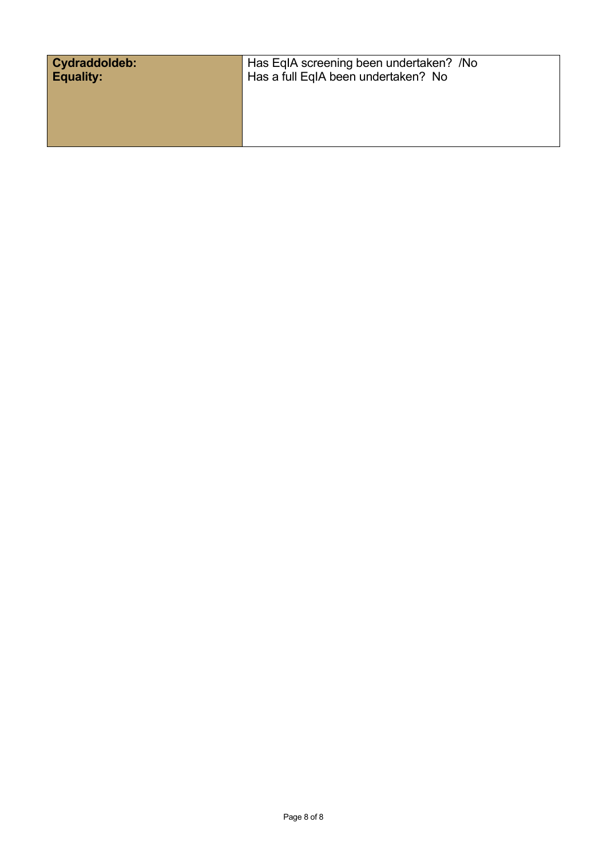| Cydraddoldeb:    | Has EqIA screening been undertaken? /No |
|------------------|-----------------------------------------|
| <b>Equality:</b> | Has a full EqIA been undertaken? No     |
|                  |                                         |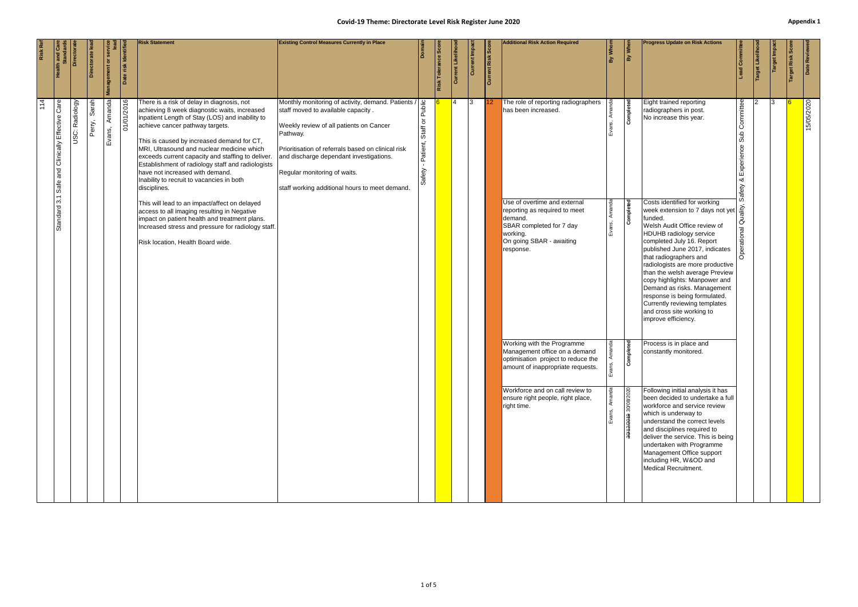### **Covid-19 Theme: Directorate Level Risk Register June 2020 Appendix 1 Appendix 1**

<span id="page-9-0"></span>

| Risk Ref |                                          | Director       | Directorate lea | Management or se | Date risk Identif | <b>Risk Statement</b>                                                                                                                                                                                                                                                                                                                                                                                                                                                                  | <b>Existing Control Measures Currently in Place</b>                                                                                                                                                                                                                                                                                |                                          | <b>Risk Tolerance Sco</b> | l g<br><b>Surr</b> | Current Impac | <b>Current Risk Score</b> | <b>Additional Risk Action Required</b>                                                                                                                                                                                        | By Whon            | By When                                 | <b>Progress Update on Risk Actions</b>                                                                                                                                                                                                                                                                                                                                                                                                                                                                                       |                                      | Target Likelih | Target Impa | arget Risk | Date Review |
|----------|------------------------------------------|----------------|-----------------|------------------|-------------------|----------------------------------------------------------------------------------------------------------------------------------------------------------------------------------------------------------------------------------------------------------------------------------------------------------------------------------------------------------------------------------------------------------------------------------------------------------------------------------------|------------------------------------------------------------------------------------------------------------------------------------------------------------------------------------------------------------------------------------------------------------------------------------------------------------------------------------|------------------------------------------|---------------------------|--------------------|---------------|---------------------------|-------------------------------------------------------------------------------------------------------------------------------------------------------------------------------------------------------------------------------|--------------------|-----------------------------------------|------------------------------------------------------------------------------------------------------------------------------------------------------------------------------------------------------------------------------------------------------------------------------------------------------------------------------------------------------------------------------------------------------------------------------------------------------------------------------------------------------------------------------|--------------------------------------|----------------|-------------|------------|-------------|
| 114      | Effective Care<br>and Clinically<br>Safe | USC: Radiology | Sarah<br>Perry, | Amanda<br>Evans, | 01/01/2016        | There is a risk of delay in diagnosis, not<br>achieving 8 week diagnostic waits, increased<br>inpatient Length of Stay (LOS) and inability to<br>achieve cancer pathway targets.<br>This is caused by increased demand for CT,<br>MRI, Ultrasound and nuclear medicine which<br>exceeds current capacity and staffing to deliver.<br>Establishment of radiology staff and radiologists<br>have not increased with demand.<br>Inability to recruit to vacancies in both<br>disciplines. | Monthly monitoring of activity, demand. Patients /<br>staff moved to available capacity.<br>Weekly review of all patients on Cancer<br>Pathway.<br>Prioritisation of referrals based on clinical risk<br>and discharge dependant investigations.<br>Regular monitoring of waits.<br>staff working additional hours to meet demand. | Public<br>Staff or<br>Patient,<br>Safety |                           | $\overline{14}$    | $\vert$ 3     | 112                       | The role of reporting radiographers<br>has been increased.                                                                                                                                                                    |                    | Completed                               | Eight trained reporting<br>radiographers in post.<br>No increase this year.                                                                                                                                                                                                                                                                                                                                                                                                                                                  | Committee<br>을<br>xperience<br>afety |                | 13.         |            | 15/05/2020  |
|          | 3.1<br>Standard                          |                |                 |                  |                   | This will lead to an impact/affect on delayed<br>access to all imaging resulting in Negative<br>impact on patient health and treatment plans.<br>Increased stress and pressure for radiology staff.<br>Risk location, Health Board wide.                                                                                                                                                                                                                                               |                                                                                                                                                                                                                                                                                                                                    |                                          |                           |                    |               |                           | Use of overtime and external<br>reporting as required to meet<br>demand.<br>SBAR completed for 7 day<br>working.<br>On going SBAR - awaiting<br>response.                                                                     |                    | Completed                               | Costs identified for working<br>week extension to 7 days not yet $\frac{1}{\frac{24}{10}}$<br>funded.<br>Welsh Audit Office review of<br><b>HDUHB radiology service</b><br>completed July 16. Report<br>published June 2017, indicates<br>that radiographers and<br>radiologists are more productive<br>than the welsh average Preview<br>copy highlights: Manpower and<br>Demand as risks. Management<br>response is being formulated.<br>Currently reviewing templates<br>and cross site working to<br>improve efficiency. |                                      |                |             |            |             |
|          |                                          |                |                 |                  |                   |                                                                                                                                                                                                                                                                                                                                                                                                                                                                                        |                                                                                                                                                                                                                                                                                                                                    |                                          |                           |                    |               |                           | Working with the Programme<br>Management office on a demand<br>optimisation project to reduce the<br>amount of inappropriate requests.<br>Workforce and on call review to<br>ensure right people, right place,<br>right time. | $\bar{\mathbf{z}}$ | ompleted<br>۱ŏ<br>30/12/2019 30/08/2020 | Process is in place and<br>constantly monitored.<br>Following initial analysis it has<br>been decided to undertake a full<br>workforce and service review<br>which is underway to<br>understand the correct levels<br>and disciplines required to<br>deliver the service. This is being<br>undertaken with Programme<br>Management Office support<br>including HR, W&OD and<br>Medical Recruitment.                                                                                                                          |                                      |                |             |            |             |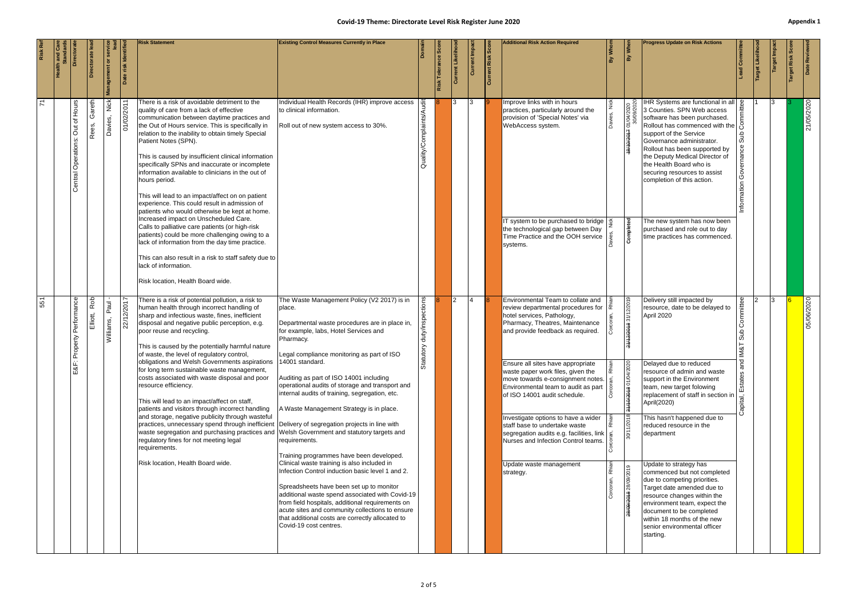### **Covid-19 Theme: Directorate Level Risk Register June 2020 Appendix 1 Appendix 1**

| <b>Risk Statement</b><br>Identif<br>ectorate<br>Management or<br>There is a risk of avoidable detriment to the<br><b>Hours</b><br>Gareth<br>Nick<br>2011<br>quality of care from a lack of effective                                                                                                                                                                                                                                                                                                                                                                                                  |  |  |                                                                                                                                                                                                                                                                                                                                   | <b>Existing Control Measures Currently in Place</b><br>Individual Health Records (IHR) improve access<br>to clinical information.                                                                                                                                                                                                                                                   | $\frac{1}{2}$              | Toler<br>Risk | ō<br>3         | <b>Current Impac</b><br>13 | Current Risk Scor | <b>Additional Risk Action Required</b><br>Improve links with in hours<br>practices, particularly around the                                                                                 | $\frac{1}{\sinh \theta}$ | By When<br>01/04/2020    | <b>Progress Update on Risk Actions</b><br>IHR Systems are functional in all   <u>\$</u><br>3 Counties. SPN Web access                                                                                                                                                                      |                               | Target Likelih | 13 | arget Risk | Date Reviev<br>21/05/2020 |
|-------------------------------------------------------------------------------------------------------------------------------------------------------------------------------------------------------------------------------------------------------------------------------------------------------------------------------------------------------------------------------------------------------------------------------------------------------------------------------------------------------------------------------------------------------------------------------------------------------|--|--|-----------------------------------------------------------------------------------------------------------------------------------------------------------------------------------------------------------------------------------------------------------------------------------------------------------------------------------|-------------------------------------------------------------------------------------------------------------------------------------------------------------------------------------------------------------------------------------------------------------------------------------------------------------------------------------------------------------------------------------|----------------------------|---------------|----------------|----------------------------|-------------------|---------------------------------------------------------------------------------------------------------------------------------------------------------------------------------------------|--------------------------|--------------------------|--------------------------------------------------------------------------------------------------------------------------------------------------------------------------------------------------------------------------------------------------------------------------------------------|-------------------------------|----------------|----|------------|---------------------------|
| 01/02/<br>communication between daytime practices and<br>Davies,<br>$\rm \overline{o}$<br>Rees,<br>the Out of Hours service. This is specifically in<br>Jut<br>relation to the inability to obtain timely Special<br>Central Operations:<br>Patient Notes (SPN).<br>This is caused by insufficient clinical information<br>specifically SPNs and inaccurate or incomplete<br>information available to clinicians in the out of<br>hours period.<br>This will lead to an impact/affect on on patient<br>experience. This could result in admission of<br>patients who would otherwise be kept at home. |  |  |                                                                                                                                                                                                                                                                                                                                   | Roll out of new system access to 30%.                                                                                                                                                                                                                                                                                                                                               | omplaints/A<br>Ö           |               |                |                            |                   | provision of 'Special Notes' via<br>WebAccess system.                                                                                                                                       |                          | <i><b>ŁŁ0701/8</b></i>   | software has been purchased.<br>Rollout has commenced with the $\beta$<br>support of the Service<br>Governance administrator.<br>Rollout has been supported by<br>the Deputy Medical Director of<br>the Health Board who is<br>securing resources to assist<br>completion of this action.  | dus<br>Governan<br>nformation |                |    |            |                           |
| lack of information.                                                                                                                                                                                                                                                                                                                                                                                                                                                                                                                                                                                  |  |  | Increased impact on Unscheduled Care.<br>Calls to palliative care patients (or high-risk<br>patients) could be more challenging owing to a<br>lack of information from the day time practice.<br>This can also result in a risk to staff safety due to<br>Risk location, Health Board wide.                                       |                                                                                                                                                                                                                                                                                                                                                                                     |                            |               |                |                            |                   | IT system to be purchased to bridge<br>the technological gap between Day<br>Time Practice and the OOH service<br>systems.                                                                   |                          | Completed                | The new system has now been<br>purchased and role out to day<br>time practices has commenced.                                                                                                                                                                                              |                               |                |    |            |                           |
| Rob<br>Performance<br>/12/2017<br>Paul<br>Elliott,<br>Williams,<br>ଧି<br>Property                                                                                                                                                                                                                                                                                                                                                                                                                                                                                                                     |  |  | There is a risk of potential pollution, a risk to<br>human health through incorrect handling of<br>sharp and infectious waste, fines, inefficient<br>disposal and negative public perception, e.g.<br>poor reuse and recycling.<br>This is caused by the potentially harmful nature<br>of waste, the level of regulatory control, | The Waste Management Policy (V2 2017) is in<br>place.<br>Departmental waste procedures are in place in,<br>for example, labs, Hotel Services and<br>Pharmacy.<br>Legal compliance monitoring as part of ISO                                                                                                                                                                         | duty/inspections<br>tutory |               | $\overline{2}$ | 14                         |                   | Environmental Team to collate and<br>review departmental procedures for $\frac{z}{x}$<br>hotel services, Pathology,<br>Pharmacy, Theatres, Maintenance<br>and provide feedback as required. |                          | 2018 31/12/2019          | Delivery still impacted by<br>resource, date to be delayed to<br>April 2020                                                                                                                                                                                                                | tee<br>Commit                 |                | Iз |            | 05/06/2020                |
| E&F                                                                                                                                                                                                                                                                                                                                                                                                                                                                                                                                                                                                   |  |  | obligations and Welsh Governments aspirations   14001 standard.<br>for long term sustainable waste management,<br>costs associated with waste disposal and poor<br>resource efficiency.<br>This will lead to an impact/affect on staff,<br>patients and visitors through incorrect handling                                       | Auditing as part of ISO 14001 including<br>operational audits of storage and transport and<br>internal audits of training, segregation, etc.<br>A Waste Management Strategy is in place.                                                                                                                                                                                            | ಕೆ                         |               |                |                            |                   | Ensure all sites have appropriate<br>waste paper work files, given the<br>move towards e-consignment notes.<br>Environmental team to audit as part<br>of ISO 14001 audit schedule.          |                          | 31/10/2018 01/04/20      | Delayed due to reduced<br>resource of admin and waste<br>support in the Environment<br>team, new target folowing<br>replacement of staff in section in<br>April(2020)                                                                                                                      | ິສ<br>Estates<br>Capital,     |                |    |            |                           |
|                                                                                                                                                                                                                                                                                                                                                                                                                                                                                                                                                                                                       |  |  | and storage, negative publicity through wasteful<br>practices, unnecessary spend through inefficient Delivery of segregation projects in line with<br>waste segregation and purchasing practices and Welsh Government and statutory targets and<br>regulatory fines for not meeting legal<br>requirements.                        | requirements.<br>Training programmes have been developed.                                                                                                                                                                                                                                                                                                                           |                            |               |                |                            |                   | Investigate options to have a wider<br>staff base to undertake waste<br>segregation audits e.g. facilities, link  <br>Nurses and Infection Control teams.                                   |                          | 30/11/2018               | This hasn't happened due to<br>reduced resource in the<br>department                                                                                                                                                                                                                       |                               |                |    |            |                           |
|                                                                                                                                                                                                                                                                                                                                                                                                                                                                                                                                                                                                       |  |  | Risk location, Health Board wide.                                                                                                                                                                                                                                                                                                 | Clinical waste training is also included in<br>Infection Control induction basic level 1 and 2.<br>Spreadsheets have been set up to monitor<br>additional waste spend associated with Covid-19<br>from field hospitals, additional requirements on<br>acute sites and community collections to ensure<br>that additional costs are correctly allocated to<br>Covid-19 cost centres. |                            |               |                |                            |                   | Update waste management<br>strategy.                                                                                                                                                        |                          | 28/09/2019<br>28/09/2018 | Update to strategy has<br>commenced but not completed<br>due to competing priorities.<br>Target date amended due to<br>resource changes within the<br>environment team, expect the<br>document to be completed<br>within 18 months of the new<br>senior environmental officer<br>starting. |                               |                |    |            |                           |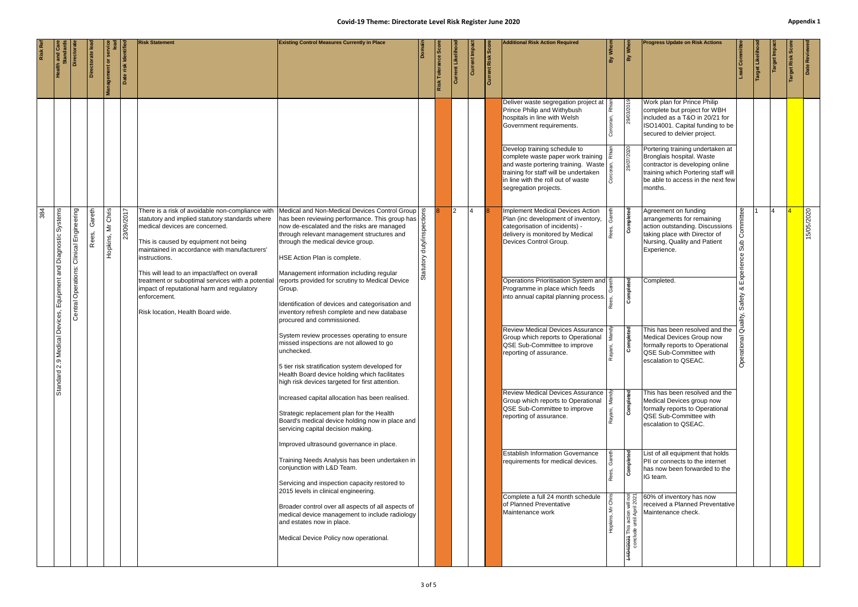|     |                                    |                      |                 |                      |                     | <b>Risk Statement</b>                                                                                                                                                                                                                           | <b>Existing Control Measures Currently in Place</b>                                                                                                                                                                                                              | Doma                           |                       |                 |             |                   | <b>Additional Risk Action Required</b>                                                                                                                                                                            | İ | By Whe                          | <b>Progress Update on Risk Actions</b>                                                                                                                                                  |                                    |              |                   |      |              |
|-----|------------------------------------|----------------------|-----------------|----------------------|---------------------|-------------------------------------------------------------------------------------------------------------------------------------------------------------------------------------------------------------------------------------------------|------------------------------------------------------------------------------------------------------------------------------------------------------------------------------------------------------------------------------------------------------------------|--------------------------------|-----------------------|-----------------|-------------|-------------------|-------------------------------------------------------------------------------------------------------------------------------------------------------------------------------------------------------------------|---|---------------------------------|-----------------------------------------------------------------------------------------------------------------------------------------------------------------------------------------|------------------------------------|--------------|-------------------|------|--------------|
|     |                                    | <b>Director</b>      |                 | Management or        | Date risk Identifie |                                                                                                                                                                                                                                                 |                                                                                                                                                                                                                                                                  |                                | <b>Risk Tolerance</b> | Current Likelih | Current Imp | Current Risk Scor |                                                                                                                                                                                                                   |   |                                 |                                                                                                                                                                                         | ead Committe                       | arget Likeli | <b>Target Imp</b> | Risk | Date Reviewe |
|     |                                    |                      |                 |                      |                     |                                                                                                                                                                                                                                                 |                                                                                                                                                                                                                                                                  |                                |                       |                 |             |                   | Deliver waste segregation project at<br>Prince Philip and Withybush<br>hospitals in line with Welsh<br>Government requirements.                                                                                   |   | 29/03/2019                      | Work plan for Prince Philip<br>complete but project for WBH<br>included as a T&O in 20/21 for<br>ISO14001. Capital funding to be<br>secured to delvier project.                         |                                    |              |                   |      |              |
|     |                                    |                      |                 |                      |                     |                                                                                                                                                                                                                                                 |                                                                                                                                                                                                                                                                  |                                |                       |                 |             |                   | Develop training schedule to<br>complete waste paper work training<br>and waste portering training. Waste<br>training for staff will be undertaken<br>in line with the roll out of waste<br>segregation projects. |   | 29/07/2020                      | Portering training undertaken at<br>Bronglais hospital. Waste<br>contractor is developing online<br>training which Portering staff will<br>be able to access in the next few<br>months. |                                    |              |                   |      |              |
| 384 | Systems<br>Diagnostic <sup>1</sup> | Clinical Engineering | Gareth<br>Rees, | Mr Chris<br>Hopkins, | 23/09/2017          | There is a risk of avoidable non-compliance with<br>statutory and implied statutory standards where<br>medical devices are concerned.<br>This is caused by equipment not being<br>maintained in accordance with manufacturers'<br>instructions. | Medical and Non-Medical Devices Control Group<br>has been reviewing performance. This group has<br>now de-escalated and the risks are managed<br>through relevant management structures and<br>through the medical device group.<br>HSE Action Plan is complete. | ectio<br>duty/ins<br>Statutory |                       |                 |             |                   | <b>Implement Medical Devices Action</b><br>Plan (inc development of inventory,<br>categorisation of incidents) -<br>delivery is monitored by Medical<br>Devices Control Group.                                    |   | Completed                       | Agreement on funding<br>arrangements for remaining<br>action outstanding. Discussions<br>taking place with Director of<br>Nursing, Quality and Patient<br>Experience.                   | nittee<br>ပြိ<br>Sub<br>Experience |              |                   |      | 15/05/2020   |
|     | Equipment and                      | Central Operations:  |                 |                      |                     | This will lead to an impact/affect on overall<br>treatment or suboptimal services with a potential<br>impact of reputational harm and regulatory<br>enforcement.<br>Risk location, Health Board wide.                                           | Management information including regular<br>reports provided for scrutiny to Medical Device<br>Group.<br>Identification of devices and categorisation and<br>inventory refresh complete and new database<br>procured and commissioned.                           |                                |                       |                 |             |                   | Operations Prioritisation System and $\frac{2}{5}$<br>Programme in place which feeds<br>into annual capital planning process.                                                                                     |   | Completed                       | Completed.                                                                                                                                                                              | Safety<br>iity,                    |              |                   |      |              |
|     | Medical Devices,<br>2.9            |                      |                 |                      |                     |                                                                                                                                                                                                                                                 | System review processes operating to ensure<br>missed inspections are not allowed to go<br>unchecked.<br>5 tier risk stratification system developed for<br>Health Board device holding which facilitates                                                        |                                |                       |                 |             |                   | <b>Review Medical Devices Assurance</b><br>Group which reports to Operational<br>QSE Sub-Committee to improve<br>reporting of assurance.                                                                          |   | Completed                       | This has been resolved and the<br>Medical Devices Group now<br>formally reports to Operational<br>QSE Sub-Committee with<br>escalation to QSEAC.                                        | erational                          |              |                   |      |              |
|     | Standard:                          |                      |                 |                      |                     |                                                                                                                                                                                                                                                 | high risk devices targeted for first attention.<br>Increased capital allocation has been realised.<br>Strategic replacement plan for the Health<br>Board's medical device holding now in place and<br>servicing capital decision making.                         |                                |                       |                 |             |                   | <b>Review Medical Devices Assurance</b><br>Group which reports to Operational<br>QSE Sub-Committee to improve<br>reporting of assurance.                                                                          |   | Completed                       | This has been resolved and the<br>Medical Devices group now<br>formally reports to Operational<br>QSE Sub-Committee with<br>escalation to QSEAC.                                        |                                    |              |                   |      |              |
|     |                                    |                      |                 |                      |                     |                                                                                                                                                                                                                                                 | Improved ultrasound governance in place.<br>Training Needs Analysis has been undertaken in<br>conjunction with L&D Team.<br>Servicing and inspection capacity restored to                                                                                        |                                |                       |                 |             |                   | <b>Establish Information Governance</b><br>requirements for medical devices.                                                                                                                                      |   | ြစ္ပ<br>Complete                | List of all equipment that holds<br>PII or connects to the internet<br>has now been forwarded to the<br>IG team.                                                                        |                                    |              |                   |      |              |
|     |                                    |                      |                 |                      |                     |                                                                                                                                                                                                                                                 | 2015 levels in clinical engineering.<br>Broader control over all aspects of all aspects of<br>medical device management to include radiology<br>and estates now in place.<br>Medical Device Policy now operational.                                              |                                |                       |                 |             |                   | Complete a full 24 month schedule<br>of Planned Preventative<br>Maintenance work                                                                                                                                  | ò | 14/04/2021 This action will not | 60% of inventory has now<br>received a Planned Preventative<br>Maintenance check.                                                                                                       |                                    |              |                   |      |              |
|     |                                    |                      |                 |                      |                     |                                                                                                                                                                                                                                                 |                                                                                                                                                                                                                                                                  |                                |                       |                 |             |                   |                                                                                                                                                                                                                   |   |                                 |                                                                                                                                                                                         |                                    |              |                   |      |              |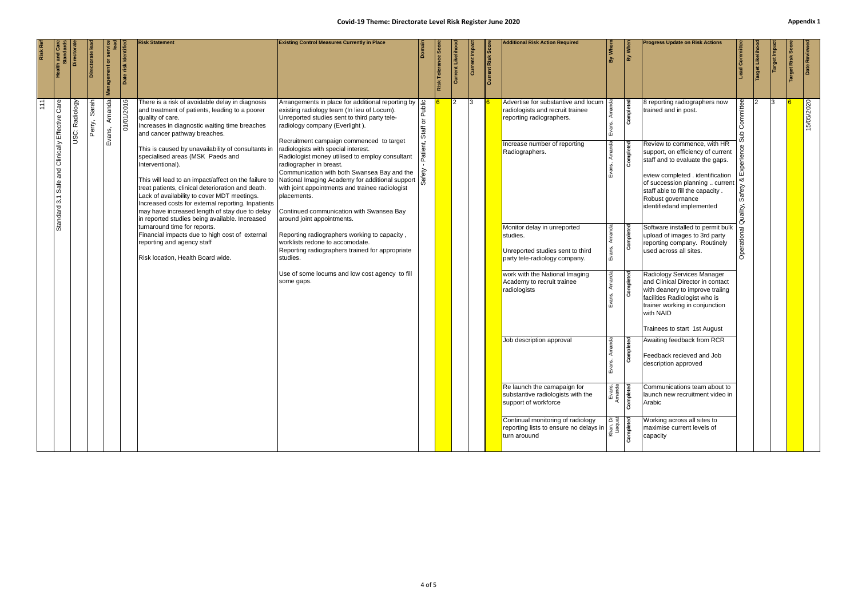### **Covid-19 Theme: Directorate Level Risk Register June 2020 Appendix 1 Appendix 1**

|                                                     | 15/05/2020                                                                                                                                                                                                                                                                                                                                                                                                                                                                                                                                                                                                                                                                                                                                                                                                                                                                                                              |
|-----------------------------------------------------|-------------------------------------------------------------------------------------------------------------------------------------------------------------------------------------------------------------------------------------------------------------------------------------------------------------------------------------------------------------------------------------------------------------------------------------------------------------------------------------------------------------------------------------------------------------------------------------------------------------------------------------------------------------------------------------------------------------------------------------------------------------------------------------------------------------------------------------------------------------------------------------------------------------------------|
| Date Review<br>Target Risk !                        |                                                                                                                                                                                                                                                                                                                                                                                                                                                                                                                                                                                                                                                                                                                                                                                                                                                                                                                         |
| Target Imp                                          | 13.                                                                                                                                                                                                                                                                                                                                                                                                                                                                                                                                                                                                                                                                                                                                                                                                                                                                                                                     |
| Target Likeliho                                     |                                                                                                                                                                                                                                                                                                                                                                                                                                                                                                                                                                                                                                                                                                                                                                                                                                                                                                                         |
| Com                                                 | Committee<br>을<br>perien<br>Safety<br>uality,<br>Operationa                                                                                                                                                                                                                                                                                                                                                                                                                                                                                                                                                                                                                                                                                                                                                                                                                                                             |
| <b>Progress Update on Risk Actions</b>              | 8 reporting radiographers now<br>trained and in post.<br>Review to commence, with HR<br>support, on efficiency of current<br>staff and to evaluate the gaps.<br>eview completed . identification<br>of succession planning  current<br>staff able to fill the capacity.<br>Robust governance<br>identifiedand implemented<br>Software installed to permit bulk<br>upload of images to 3rd party<br>reporting company. Routinely<br>used across all sites.<br>Radiology Services Manager<br>and Clinical Director in contact<br>with deanery to improve traiing<br>facilities Radiologist who is<br>trainer working in conjunction<br>with NAID<br>Trainees to start 1st August<br>Awaiting feedback from RCR<br>Feedback recieved and Job<br>description approved<br>Communications team about to<br>launch new recruitment video in<br>Arabic<br>Working across all sites to<br>maximise current levels of<br>capacity |
| When<br>àλ                                          | Completed<br>Completed<br>Completed<br>Completed<br>beted<br>completed<br>Completed                                                                                                                                                                                                                                                                                                                                                                                                                                                                                                                                                                                                                                                                                                                                                                                                                                     |
| By Whor                                             | Evans,<br>Amanda                                                                                                                                                                                                                                                                                                                                                                                                                                                                                                                                                                                                                                                                                                                                                                                                                                                                                                        |
| <b>Additional Risk Action Required</b>              | Advertise for substantive and locum<br>radiologists and recruit trainee<br>reporting radiographers.<br>Increase number of reporting<br>Radiographers.<br>Monitor delay in unreported<br>studies.<br>Unreported studies sent to third<br>party tele-radiology company.<br>work with the National Imaging<br>Academy to recruit trainee<br>radiologists<br>Job description approval<br>Re launch the camapaign for<br>substantive radiologists with the<br>support of workforce<br>Continual monitoring of radiology<br>reporting lists to ensure no delays in $\begin{bmatrix} 5 & \frac{1}{3} \\ \frac{2}{3} & \frac{1}{3} \\ \frac{1}{3} & \frac{1}{3} \\ \frac{1}{3} & \frac{1}{3} \end{bmatrix}$                                                                                                                                                                                                                     |
| <b>Current Risk Sco</b>                             |                                                                                                                                                                                                                                                                                                                                                                                                                                                                                                                                                                                                                                                                                                                                                                                                                                                                                                                         |
| <b>Current Impa</b>                                 | 13                                                                                                                                                                                                                                                                                                                                                                                                                                                                                                                                                                                                                                                                                                                                                                                                                                                                                                                      |
| Current Lik                                         | $\mathcal{P}$                                                                                                                                                                                                                                                                                                                                                                                                                                                                                                                                                                                                                                                                                                                                                                                                                                                                                                           |
| Risk Tolerance Scor                                 |                                                                                                                                                                                                                                                                                                                                                                                                                                                                                                                                                                                                                                                                                                                                                                                                                                                                                                                         |
|                                                     |                                                                                                                                                                                                                                                                                                                                                                                                                                                                                                                                                                                                                                                                                                                                                                                                                                                                                                                         |
|                                                     | Public<br>Staff or<br>Patient,                                                                                                                                                                                                                                                                                                                                                                                                                                                                                                                                                                                                                                                                                                                                                                                                                                                                                          |
| <b>Existing Control Measures Currently in Place</b> | Arrangements in place for additional reporting by<br>existing radiology team (In lieu of Locum).<br>Unreported studies sent to third party tele-<br>radiology company (Everlight).<br>Recruitment campaign commenced to target<br>radiologists with special interest.<br>Radiologist money utilised to employ consultant<br>radiographer in breast.<br>Communication with both Swansea Bay and the<br>This will lead to an impact/affect on the failure to National Imaging Academy for additional support<br>with joint appointments and trainee radiologist<br>placements.<br>Continued communication with Swansea Bay<br>around joint appointments.<br>Reporting radiographers working to capacity,<br>worklists redone to accomodate.<br>Reporting radiographers trained for appropriate<br>studies.<br>Use of some locums and low cost agency to fill<br>some gaps.                                                |
| <b>Risk Statement</b>                               | There is a risk of avoidable delay in diagnosis<br>and treatment of patients, leading to a poorer<br>quality of care.<br>Increases in diagnostic waiting time breaches<br>and cancer pathway breaches.<br>This is caused by unavailability of consultants in<br>specialised areas (MSK Paeds and<br>Interventional).<br>treat patients, clinical deterioration and death.<br>Lack of availability to cover MDT meetings.<br>Increased costs for external reporting. Inpatients<br>may have increased length of stay due to delay<br>in reported studies being available. Increased<br>turnaround time for reports.<br>Financial impacts due to high cost of external<br>reporting and agency staff<br>Risk location, Health Board wide.                                                                                                                                                                                 |
| Date risk Identifi                                  | 01/01/2016                                                                                                                                                                                                                                                                                                                                                                                                                                                                                                                                                                                                                                                                                                                                                                                                                                                                                                              |
| ৯                                                   | Amanda<br>Evans,                                                                                                                                                                                                                                                                                                                                                                                                                                                                                                                                                                                                                                                                                                                                                                                                                                                                                                        |
| Directorate le                                      | Sarah<br>Perry,                                                                                                                                                                                                                                                                                                                                                                                                                                                                                                                                                                                                                                                                                                                                                                                                                                                                                                         |
| <b>Director</b>                                     | Radiology<br>USC:                                                                                                                                                                                                                                                                                                                                                                                                                                                                                                                                                                                                                                                                                                                                                                                                                                                                                                       |
|                                                     | Safe and Clinically Effective Care<br>3.1<br>Standard                                                                                                                                                                                                                                                                                                                                                                                                                                                                                                                                                                                                                                                                                                                                                                                                                                                                   |
| <b>Risk Ref</b>                                     | $\frac{11}{11}$                                                                                                                                                                                                                                                                                                                                                                                                                                                                                                                                                                                                                                                                                                                                                                                                                                                                                                         |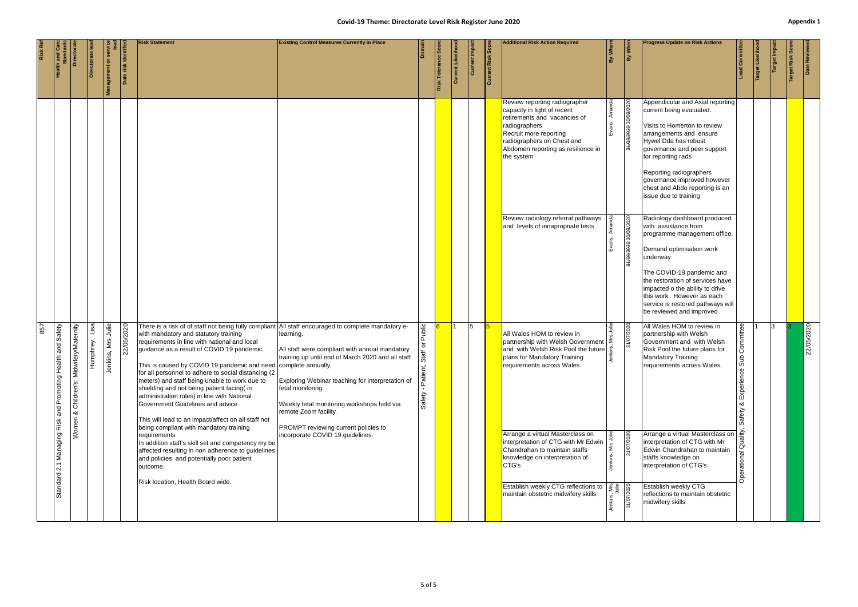|     |                                                                              | Director                                       | Directorate le       | a<br>Management or                                   | Date risk Identifie | <b>Risk Statement</b>                                                                                                                                                                                                                                                                                                                                                                                                                                                                                                                                                                                                                                                                                                                                                                                                                                                              | <b>Existing Control Measures Currently in Place</b>                                                                                                                                                                                                                                                                                          |                                                | Risk Tolerance Sco | rent Likeliho<br>Curr | Current Impac | Current Risk Scor | <b>Additional Risk Action Required</b>                                                                                                                                                                                                                                                                                                                                                                                                                                                                                  | By Whom | By When                            | <b>Progress Update on Risk Actions</b>                                                                                                                                                                                                                                                                                                                                                                                 | Committ                                                          | Target Likelih | Target Impa | Target Risk Scor | Date Review |
|-----|------------------------------------------------------------------------------|------------------------------------------------|----------------------|------------------------------------------------------|---------------------|------------------------------------------------------------------------------------------------------------------------------------------------------------------------------------------------------------------------------------------------------------------------------------------------------------------------------------------------------------------------------------------------------------------------------------------------------------------------------------------------------------------------------------------------------------------------------------------------------------------------------------------------------------------------------------------------------------------------------------------------------------------------------------------------------------------------------------------------------------------------------------|----------------------------------------------------------------------------------------------------------------------------------------------------------------------------------------------------------------------------------------------------------------------------------------------------------------------------------------------|------------------------------------------------|--------------------|-----------------------|---------------|-------------------|-------------------------------------------------------------------------------------------------------------------------------------------------------------------------------------------------------------------------------------------------------------------------------------------------------------------------------------------------------------------------------------------------------------------------------------------------------------------------------------------------------------------------|---------|------------------------------------|------------------------------------------------------------------------------------------------------------------------------------------------------------------------------------------------------------------------------------------------------------------------------------------------------------------------------------------------------------------------------------------------------------------------|------------------------------------------------------------------|----------------|-------------|------------------|-------------|
|     |                                                                              |                                                |                      |                                                      |                     |                                                                                                                                                                                                                                                                                                                                                                                                                                                                                                                                                                                                                                                                                                                                                                                                                                                                                    |                                                                                                                                                                                                                                                                                                                                              |                                                |                    |                       |               |                   | Review reporting radiographer<br>capacity in light of recent<br>retirements and vacancies of<br>radiographers<br>Recruit more reporting<br>radiographers on Chest and<br>Abdomen reporting as resilience in<br>the system                                                                                                                                                                                                                                                                                               |         | 02/02/00/08 0 <del>202/20/18</del> | Appendicular and Axial reporting<br>current being evaluated.<br>Visits to Homerton to review<br>arrangements and ensure<br>Hywel Dda has robust<br>governance and peer support<br>for reporting rads<br>Reporting radiographers<br>governance improved however<br>chest and Abdo reporting is an<br>issue due to training                                                                                              |                                                                  |                |             |                  |             |
|     |                                                                              |                                                |                      |                                                      |                     |                                                                                                                                                                                                                                                                                                                                                                                                                                                                                                                                                                                                                                                                                                                                                                                                                                                                                    |                                                                                                                                                                                                                                                                                                                                              |                                                |                    |                       |               |                   | Review radiology referral pathways<br>and levels of innapropriate tests                                                                                                                                                                                                                                                                                                                                                                                                                                                 |         | 0202/60/08 0202/60/F6              | Radiology dashboard produced<br>with assistance from<br>programme management office.<br>Demand optimisation work<br>underway<br>The COVID-19 pandemic and<br>the restoration of services have<br>impacted o the ability to drive<br>this work . However as each<br>service is restored pathways will<br>be reviewed and improved                                                                                       |                                                                  |                |             |                  |             |
| 857 | and Safety<br>$\Rightarrow$<br>Standard 2.1 Managing Risk and Promoting Heal | ery/Maternity<br>Children's: Midwif<br>Nomen & | Lisa<br>mphrey,<br>훈 | Julie<br>$\overline{\mathsf{M}}$ rs<br>ins,<br>Jenki | 22/05/2020          | There is a risk of of staff not being fully compliant All staff encouraged to complete mandatory e-<br>with mandatory and statutory training<br>requirements in line with national and local<br>guidance as a result of COVID 19 pandemic.<br>This is caused by COVID 19 pandemic and need complete annually.<br>for all personnel to adhere to social distancing (2)<br>meters) and staff being unable to work due to<br>shielding and not being patient facing(in<br>administration roles) in line with National<br>Government Guidelines and advice.<br>This will lead to an impact/affect on all staff not<br>being compliant with mandatory training<br>requirements<br>In addition staff's skill set and competency my be<br>affected resulting in non adherence to guidelines<br>and policies and potentially poor patient<br>outcome.<br>Risk location, Health Board wide. | learning.<br>All staff were compliant with annual mandatory<br>training up until end of March 2020 and all staff<br>Exploring Webinar teaching for interpretation of<br>fetal monitoring.<br>Weekly fetal monitoring workshops held via<br>remote Zoom facility.<br>PROMPT reviewing current policies to<br>incorporate COVID 19 guidelines. | Public<br><b>hex</b><br>ent,<br>Pati<br>Safety |                    |                       | 15            |                   | All Wales HOM to review in<br>partnership with Welsh Government $\frac{5}{5}$<br>and with Welsh Risk Pool the future<br>plans for Mandatory Training<br>requirements across Wales.<br>Arrange a virtual Masterclass on<br>interpretation of CTG with Mr Edwin<br>Chandrahan to maintain staffs<br>knowledge on interpretation of<br>CTG's<br>Establish weekly CTG reflections to $\frac{g}{\frac{g}{2}} = \frac{g}{\frac{g}{2}}$<br>maintain obstetric midwifery skills $\frac{g}{\frac{g}{2}} = \frac{g}{\frac{g}{2}}$ |         | 31/07/2020<br>31/07/2020           | All Wales HOM to review in<br>partnership with Welsh<br>Government and with Welsh<br>Risk Pool the future plans for<br><b>Mandatory Training</b><br>requirements across Wales.<br>Arrange a virtual Masterclass on<br>interpretation of CTG with Mr<br>Edwin Chandrahan to maintain<br>staffs knowledge on<br>interpretation of CTG's<br>Establish weekly CTG<br>reflections to maintain obstetric<br>midwifery skills | Committee<br>۽<br>∣ø<br>Experience<br>య<br>Safety<br>Operational |                | 13.         |                  | 22/05/2020  |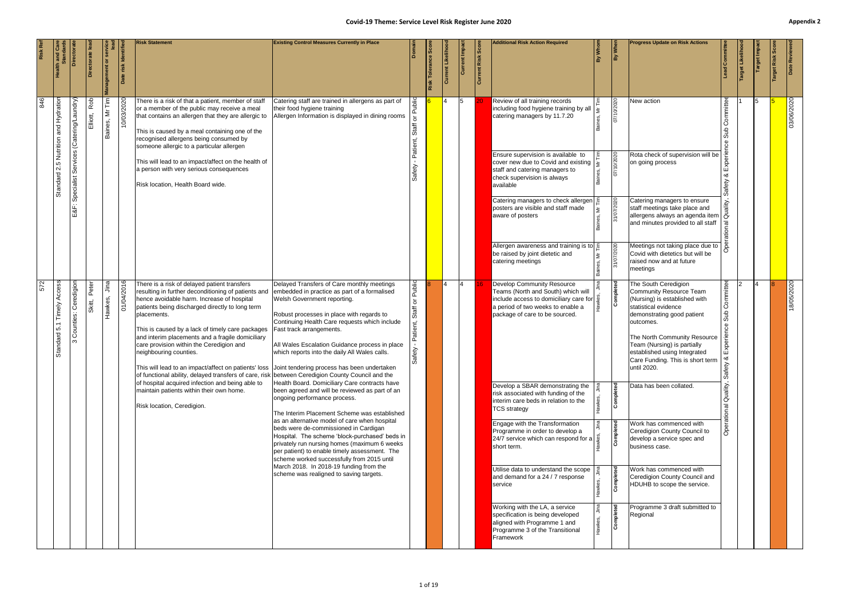<span id="page-14-0"></span>

|                                                           | <b>Directora</b> | etorate lea | anagement or                 | Date risk Identif | <b>Risk Statement</b>                                                                                                                                                                                                                                                                                                                                                                                                                                                                                                                                                                                                                                  | <b>Existing Control Measures Currently in Place</b>                                                                                                                                                                                                                                                    |                                 | $\overline{\text{sec}}$<br>Tolerance<br>Risk | Current Likelih | Current Impac | <b>Current Risk Score</b> | <b>Additional Risk Action Required</b>                                                                                                                                                          | 火 | $\frac{1}{\frac{3}{2}}$ | <b>Progress Update on Risk Actions</b>                                                                                                                                                                                                                                                                       | <b>In Com</b>                                  | at Likelih | arget Impa | Risk | Date Reviewe |
|-----------------------------------------------------------|------------------|-------------|------------------------------|-------------------|--------------------------------------------------------------------------------------------------------------------------------------------------------------------------------------------------------------------------------------------------------------------------------------------------------------------------------------------------------------------------------------------------------------------------------------------------------------------------------------------------------------------------------------------------------------------------------------------------------------------------------------------------------|--------------------------------------------------------------------------------------------------------------------------------------------------------------------------------------------------------------------------------------------------------------------------------------------------------|---------------------------------|----------------------------------------------|-----------------|---------------|---------------------------|-------------------------------------------------------------------------------------------------------------------------------------------------------------------------------------------------|---|-------------------------|--------------------------------------------------------------------------------------------------------------------------------------------------------------------------------------------------------------------------------------------------------------------------------------------------------------|------------------------------------------------|------------|------------|------|--------------|
| Rob<br>Services (Catering/Laundry<br>Elliott,             |                  |             | 특<br>$\gtrapprox$<br>Baines, | 10/03/2020        | There is a risk of that a patient, member of staff<br>or a member of the public may receive a meal<br>that contains an allergen that they are allergic to<br>This is caused by a meal containing one of the<br>recognised allergens being consumed by<br>someone allergic to a particular allergen                                                                                                                                                                                                                                                                                                                                                     | Catering staff are trained in allergens as part of<br>their food hygiene training<br>Allergen Information is displayed in dining rooms                                                                                                                                                                 |                                 |                                              |                 | 15.           |                           | Review of all training records<br>including food hygiene training by all<br>catering managers by 11.7.20                                                                                        |   | 07/10/2020              | New action                                                                                                                                                                                                                                                                                                   | Committee<br><b>du</b> S<br>ပ္ပ                |            | 15         |      | 03/06/2020   |
| Specialist                                                |                  |             |                              |                   | This will lead to an impact/affect on the health of<br>a person with very serious consequences<br>Risk location, Health Board wide.                                                                                                                                                                                                                                                                                                                                                                                                                                                                                                                    |                                                                                                                                                                                                                                                                                                        |                                 |                                              |                 |               |                           | Ensure supervision is available to<br>cover new due to Covid and existing<br>staff and catering managers to<br>check supervision is always<br>available                                         |   | 07/10/2020              | Rota check of supervision will be<br>on going process                                                                                                                                                                                                                                                        | య<br>afety                                     |            |            |      |              |
| ुं<br>тŭ                                                  |                  |             |                              |                   |                                                                                                                                                                                                                                                                                                                                                                                                                                                                                                                                                                                                                                                        |                                                                                                                                                                                                                                                                                                        |                                 |                                              |                 |               |                           | Catering managers to check allergen<br>posters are visible and staff made<br>aware of posters                                                                                                   |   | 31/07/2020              | Catering managers to ensure<br>staff meetings take place and<br>allergens always an agenda item<br>and minutes provided to all staff                                                                                                                                                                         | $\overline{a}$                                 |            |            |      |              |
|                                                           |                  |             |                              |                   |                                                                                                                                                                                                                                                                                                                                                                                                                                                                                                                                                                                                                                                        |                                                                                                                                                                                                                                                                                                        |                                 |                                              |                 |               |                           | Allergen awareness and training is to $E$<br>be raised by joint dietetic and<br>catering meetings                                                                                               |   | 31/07/2020              | Meetings not taking place due to<br>Covid with dietetics but will be<br>raised now and at future<br>meetings                                                                                                                                                                                                 |                                                |            |            |      |              |
| Access<br>Peter<br>Ceredigior<br>Skitt,<br>Counties:<br>ო |                  |             | lina<br>Hawkes,              | 01/04/2016        | There is a risk of delayed patient transfers<br>resulting in further deconditioning of patients and embedded in practice as part of a formalised<br>hence avoidable harm. Increase of hospital<br>patients being discharged directly to long term<br>placements.<br>This is caused by a lack of timely care packages<br>and interim placements and a fragile domiciliary<br>care provision within the Ceredigion and<br>neighbouring counties.<br>This will lead to an impact/affect on patients' loss Joint tendering process has been undertaken<br>of functional ability, delayed transfers of care, risk between Ceredigion County Council and the | Delayed Transfers of Care monthly meetings<br>Welsh Government reporting.<br>Robust processes in place with regards to<br>Continuing Health Care requests which include<br>Fast track arrangements.<br>All Wales Escalation Guidance process in place<br>which reports into the daily All Wales calls. | Public<br>৯<br>atient,<br>afety |                                              | 4               | 4             |                           | Develop Community Resource<br>Teams (North and South) which will<br>include access to domiciliary care for $\frac{3}{2}$<br>a period of two weeks to enable a<br>package of care to be sourced. |   | Completed               | The South Ceredigion<br><b>Community Resource Team</b><br>(Nursing) is established with<br>statistical evidence<br>demonstrating good patient<br>outcomes.<br>The North Community Resource<br>Team (Nursing) is partially<br>established using Integrated<br>Care Funding. This is short term<br>until 2020. | Committee<br>을<br>ഄ<br>Experie<br>౹∞<br>Safety |            |            |      | 18/05/2020   |
|                                                           |                  |             |                              |                   | of hospital acquired infection and being able to<br>maintain patients within their own home.<br>Risk location, Ceredigion.                                                                                                                                                                                                                                                                                                                                                                                                                                                                                                                             | Health Board. Domiciliary Care contracts have<br>been agreed and will be reviewed as part of an<br>ongoing performance process.<br>The Interim Placement Scheme was established<br>as an alternative model of care when hospital                                                                       |                                 |                                              |                 |               |                           | Develop a SBAR demonstrating the<br>risk associated with funding of the<br>interim care beds in relation to the<br><b>TCS strategy</b>                                                          |   | Completed               | Data has been collated.                                                                                                                                                                                                                                                                                      | Quality,<br>rational                           |            |            |      |              |
|                                                           |                  |             |                              |                   |                                                                                                                                                                                                                                                                                                                                                                                                                                                                                                                                                                                                                                                        | beds were de-commissioned in Cardigan<br>Hospital. The scheme 'block-purchased' beds in<br>privately run nursing homes (maximum 6 weeks<br>per patient) to enable timely assessment. The<br>scheme worked successfully from 2015 until                                                                 |                                 |                                              |                 |               |                           | Engage with the Transformation<br>Programme in order to develop a<br>24/7 service which can respond for a $\frac{3}{2}$<br>short term.                                                          |   | Completed               | Work has commenced with<br>Ceredigion County Council to<br>develop a service spec and<br>business case.                                                                                                                                                                                                      |                                                |            |            |      |              |
|                                                           |                  |             |                              |                   |                                                                                                                                                                                                                                                                                                                                                                                                                                                                                                                                                                                                                                                        | March 2018. In 2018-19 funding from the<br>scheme was realigned to saving targets.                                                                                                                                                                                                                     |                                 |                                              |                 |               |                           | Utilise data to understand the scope<br>and demand for a 24 / 7 response<br>service                                                                                                             |   | Completed               | Work has commenced with<br>Ceredigion County Council and<br>HDUHB to scope the service.                                                                                                                                                                                                                      |                                                |            |            |      |              |
|                                                           |                  |             |                              |                   |                                                                                                                                                                                                                                                                                                                                                                                                                                                                                                                                                                                                                                                        |                                                                                                                                                                                                                                                                                                        |                                 |                                              |                 |               |                           | Working with the LA, a service<br>specification is being developed<br>aligned with Programme 1 and<br>Programme 3 of the Transitional<br>Framework                                              |   | Completed               | Programme 3 draft submitted to<br>Regional                                                                                                                                                                                                                                                                   |                                                |            |            |      |              |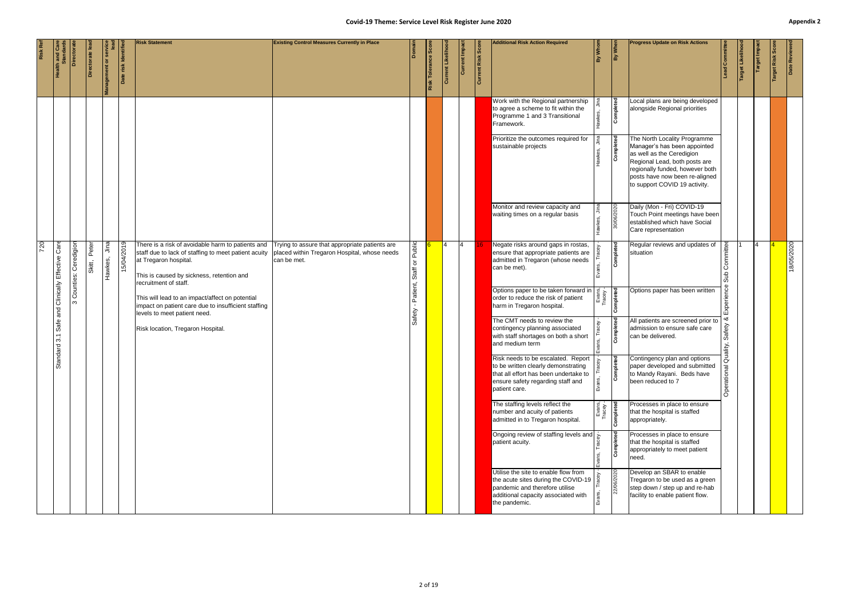|     | <b>Health and Candary</b>     | Directorat           | Directorate     | Management or servic | Date risk Identifie | <b>Risk Statement</b>                                                                                                                                                                                    | <b>Existing Control Measures Currently in Place</b>                                                           | Domain                                | <b>Risk Tolerance</b> | Current Likeliho | Current Impa | Current Risk Score | <b>Additional Risk Action Required</b>                                                                                                                                                         | By Whom                                | By When                    | <b>Progress Update on Risk Actions</b>                                                                                                                                                                                           | ad Committe    | arget Likelih | <b>Target Impa</b> | Risk<br><b>Target</b> | Date Reviewe |
|-----|-------------------------------|----------------------|-----------------|----------------------|---------------------|----------------------------------------------------------------------------------------------------------------------------------------------------------------------------------------------------------|---------------------------------------------------------------------------------------------------------------|---------------------------------------|-----------------------|------------------|--------------|--------------------|------------------------------------------------------------------------------------------------------------------------------------------------------------------------------------------------|----------------------------------------|----------------------------|----------------------------------------------------------------------------------------------------------------------------------------------------------------------------------------------------------------------------------|----------------|---------------|--------------------|-----------------------|--------------|
|     |                               |                      |                 |                      |                     |                                                                                                                                                                                                          |                                                                                                               |                                       |                       |                  |              |                    | Work with the Regional partnership<br>to agree a scheme to fit within the<br>Programme 1 and 3 Transitional<br>Framework.                                                                      |                                        | Completed                  | Local plans are being developed<br>alongside Regional priorities                                                                                                                                                                 |                |               |                    |                       |              |
|     |                               |                      |                 |                      |                     |                                                                                                                                                                                                          |                                                                                                               |                                       |                       |                  |              |                    | Prioritize the outcomes required for<br>sustainable projects                                                                                                                                   |                                        | Completed                  | The North Locality Programme<br>Manager's has been appointed<br>as well as the Ceredigion<br>Regional Lead, both posts are<br>regionally funded, however both<br>posts have now been re-aligned<br>to support COVID 19 activity. |                |               |                    |                       |              |
|     |                               |                      |                 |                      |                     |                                                                                                                                                                                                          |                                                                                                               |                                       |                       |                  |              |                    | Monitor and review capacity and<br>waiting times on a regular basis                                                                                                                            |                                        | 30/06/2020                 | Daily (Mon - Fri) COVID-19<br>Touch Point meetings have been<br>established which have Social<br>Care representation                                                                                                             |                |               |                    |                       |              |
| 720 | Care                          | Counties: Ceredigion | Peter<br>Skitt, | Jina<br>Hawkes,      | 15/04/2019          | There is a risk of avoidable harm to patients and<br>staff due to lack of staffing to meet patient acuity<br>at Tregaron hospital.<br>This is caused by sickness, retention and<br>recruitment of staff. | Trying to assure that appropriate patients are<br>placed within Tregaron Hospital, whose needs<br>can be met. | Public<br>$\rm \overline{o}$<br>Staff |                       |                  | 14           |                    | Negate risks around gaps in rostas,<br>ensure that appropriate patients are<br>admitted in Tregaron (whose needs<br>can be met).                                                               |                                        | Completed                  | Regular reviews and updates of<br>situation                                                                                                                                                                                      | mmittee<br>Sub |               |                    |                       | 18/05/2020   |
|     | Safe and Clinically Effective | $\infty$             |                 |                      |                     | This will lead to an impact/affect on potential<br>impact on patient care due to insufficient staffing<br>levels to meet patient need.                                                                   |                                                                                                               | Patient,                              |                       |                  |              |                    | Options paper to be taken forward in<br>order to reduce the risk of patient<br>harm in Tregaron hospital.                                                                                      | Evans,<br>Tracey -<br><b>Completed</b> |                            | Options paper has been written                                                                                                                                                                                                   | <b>xperier</b> |               |                    |                       |              |
|     | $\overline{3}$ .<br>indard    |                      |                 |                      |                     | Risk location, Tregaron Hospital.                                                                                                                                                                        |                                                                                                               | Safety                                |                       |                  |              |                    | The CMT needs to review the<br>contingency planning associated<br>with staff shortages on both a short<br>and medium term                                                                      |                                        | Completed                  | All patients are screened prior to<br>admission to ensure safe care<br>can be delivered.                                                                                                                                         | €ù<br>Quality, |               |                    |                       |              |
|     | Sta                           |                      |                 |                      |                     |                                                                                                                                                                                                          |                                                                                                               |                                       |                       |                  |              |                    | Risk needs to be escalated. Report $\vert \cdot \rangle$<br>to be written clearly demonstrating<br>that all effort has been undertake to<br>ensure safety regarding staff and<br>patient care. |                                        | $\overline{e}$<br>Complete | Contingency plan and options<br>paper developed and submitted<br>to Mandy Rayani. Beds have<br>been reduced to 7                                                                                                                 | Operational    |               |                    |                       |              |
|     |                               |                      |                 |                      |                     |                                                                                                                                                                                                          |                                                                                                               |                                       |                       |                  |              |                    | The staffing levels reflect the<br>number and acuity of patients<br>admitted in to Tregaron hospital.                                                                                          | Evans,<br>Tracey -<br>Completed        |                            | Processes in place to ensure<br>that the hospital is staffed<br>appropriately.                                                                                                                                                   |                |               |                    |                       |              |
|     |                               |                      |                 |                      |                     |                                                                                                                                                                                                          |                                                                                                               |                                       |                       |                  |              |                    | Ongoing review of staffing levels and $\frac{1}{2}$<br>patient acuity.                                                                                                                         |                                        | Completed                  | Processes in place to ensure<br>that the hospital is staffed<br>appropriately to meet patient<br>need.                                                                                                                           |                |               |                    |                       |              |
|     |                               |                      |                 |                      |                     |                                                                                                                                                                                                          |                                                                                                               |                                       |                       |                  |              |                    | Utilise the site to enable flow from<br>the acute sites during the COVID-19   $\frac{8}{6}$<br>pandemic and therefore utilise<br>additional capacity associated with<br>the pandemic.          |                                        | 22/06/2020                 | Develop an SBAR to enable<br>Tregaron to be used as a green<br>step down / step up and re-hab<br>facility to enable patient flow.                                                                                                |                |               |                    |                       |              |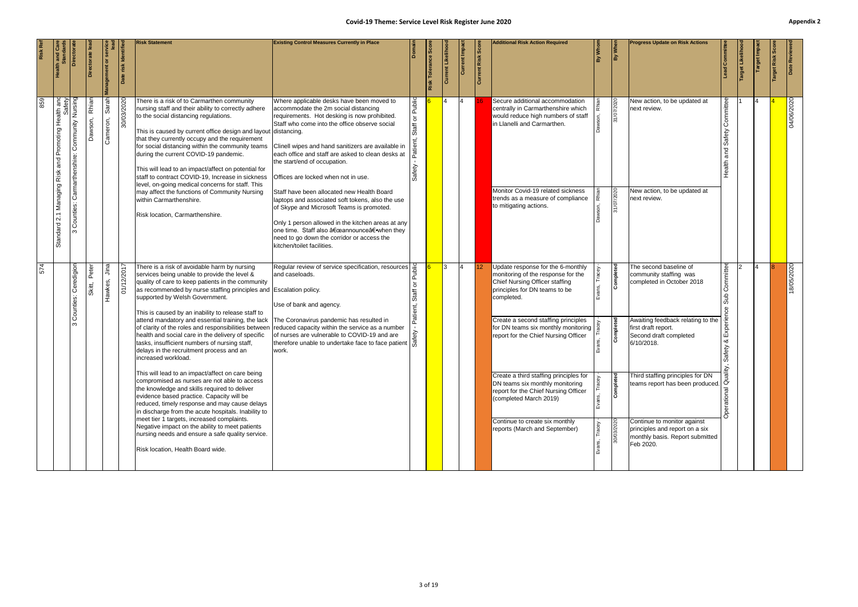| Date Review                                         | 04/06/2020                                                                                                                                                                                                                                                                                                                                                                                                                                                                                                                                                                                                                                                                                       | 18/05/2020                                                                                                                                                                                                                                                                                                                                                                                                                                                                                                                                                                                                                                                                                                                                                                                                                                                                                                                                                                                                                                                                                                                                                                                         |
|-----------------------------------------------------|--------------------------------------------------------------------------------------------------------------------------------------------------------------------------------------------------------------------------------------------------------------------------------------------------------------------------------------------------------------------------------------------------------------------------------------------------------------------------------------------------------------------------------------------------------------------------------------------------------------------------------------------------------------------------------------------------|----------------------------------------------------------------------------------------------------------------------------------------------------------------------------------------------------------------------------------------------------------------------------------------------------------------------------------------------------------------------------------------------------------------------------------------------------------------------------------------------------------------------------------------------------------------------------------------------------------------------------------------------------------------------------------------------------------------------------------------------------------------------------------------------------------------------------------------------------------------------------------------------------------------------------------------------------------------------------------------------------------------------------------------------------------------------------------------------------------------------------------------------------------------------------------------------------|
| Risk                                                |                                                                                                                                                                                                                                                                                                                                                                                                                                                                                                                                                                                                                                                                                                  |                                                                                                                                                                                                                                                                                                                                                                                                                                                                                                                                                                                                                                                                                                                                                                                                                                                                                                                                                                                                                                                                                                                                                                                                    |
| arget Impa                                          |                                                                                                                                                                                                                                                                                                                                                                                                                                                                                                                                                                                                                                                                                                  |                                                                                                                                                                                                                                                                                                                                                                                                                                                                                                                                                                                                                                                                                                                                                                                                                                                                                                                                                                                                                                                                                                                                                                                                    |
| Target Likelih                                      |                                                                                                                                                                                                                                                                                                                                                                                                                                                                                                                                                                                                                                                                                                  |                                                                                                                                                                                                                                                                                                                                                                                                                                                                                                                                                                                                                                                                                                                                                                                                                                                                                                                                                                                                                                                                                                                                                                                                    |
| ad Committee                                        | Committee<br>Safety<br>and<br>ealth                                                                                                                                                                                                                                                                                                                                                                                                                                                                                                                                                                                                                                                              | Committee<br><b>du</b> S<br>ပ္ပ<br>Exper<br>య<br>Safety<br>ality,                                                                                                                                                                                                                                                                                                                                                                                                                                                                                                                                                                                                                                                                                                                                                                                                                                                                                                                                                                                                                                                                                                                                  |
|                                                     |                                                                                                                                                                                                                                                                                                                                                                                                                                                                                                                                                                                                                                                                                                  |                                                                                                                                                                                                                                                                                                                                                                                                                                                                                                                                                                                                                                                                                                                                                                                                                                                                                                                                                                                                                                                                                                                                                                                                    |
| <b>Progress Update on Risk Actions</b>              | New action, to be updated at<br>next review.<br>New action, to be updated at<br>next review.                                                                                                                                                                                                                                                                                                                                                                                                                                                                                                                                                                                                     | The second baseline of<br>community staffing was<br>completed in October 2018<br>Awaiting feedback relating to the<br>first draft report.<br>Second draft completed<br>6/10/2018.<br>Third staffing principles for DN<br>teams report has been produced.<br>deams report has been produced.<br>existence in the state of the contract of a<br>Continue to monitor against<br>principles and report on a six<br>monthly basis. Report submitted<br>Feb 2020.                                                                                                                                                                                                                                                                                                                                                                                                                                                                                                                                                                                                                                                                                                                                        |
| By When                                             | 31/07/2020<br>31/07/2020                                                                                                                                                                                                                                                                                                                                                                                                                                                                                                                                                                                                                                                                         | Completed<br>Completed<br>Completed<br>30/03/2020                                                                                                                                                                                                                                                                                                                                                                                                                                                                                                                                                                                                                                                                                                                                                                                                                                                                                                                                                                                                                                                                                                                                                  |
|                                                     |                                                                                                                                                                                                                                                                                                                                                                                                                                                                                                                                                                                                                                                                                                  |                                                                                                                                                                                                                                                                                                                                                                                                                                                                                                                                                                                                                                                                                                                                                                                                                                                                                                                                                                                                                                                                                                                                                                                                    |
| <b>Additional Risk Action Required</b>              | Secure additional accommodation<br>centrally in Carmarthenshire which<br>would reduce high numbers of staff<br>in Llanelli and Carmarthen.<br>Monitor Covid-19 related sickness<br>trends as a measure of compliance<br>to mitigating actions.                                                                                                                                                                                                                                                                                                                                                                                                                                                   | Update response for the 6-monthly<br>monitoring of the response for the<br>Chief Nursing Officer staffing<br>principles for DN teams to be<br>completed.<br>Create a second staffing principles<br>for DN teams six monthly monitoring<br>report for the Chief Nursing Officer<br>Create a third staffing principles for<br>DN teams six monthly monitoring<br>report for the Chief Nursing Officer<br>(completed March 2019)<br>Continue to create six monthly<br>reports (March and September)                                                                                                                                                                                                                                                                                                                                                                                                                                                                                                                                                                                                                                                                                                   |
| Current Risk Score                                  |                                                                                                                                                                                                                                                                                                                                                                                                                                                                                                                                                                                                                                                                                                  |                                                                                                                                                                                                                                                                                                                                                                                                                                                                                                                                                                                                                                                                                                                                                                                                                                                                                                                                                                                                                                                                                                                                                                                                    |
| Current Impac                                       |                                                                                                                                                                                                                                                                                                                                                                                                                                                                                                                                                                                                                                                                                                  | 4                                                                                                                                                                                                                                                                                                                                                                                                                                                                                                                                                                                                                                                                                                                                                                                                                                                                                                                                                                                                                                                                                                                                                                                                  |
| rrent Likeliho<br>lЗ                                |                                                                                                                                                                                                                                                                                                                                                                                                                                                                                                                                                                                                                                                                                                  | I3.                                                                                                                                                                                                                                                                                                                                                                                                                                                                                                                                                                                                                                                                                                                                                                                                                                                                                                                                                                                                                                                                                                                                                                                                |
| rance Score<br>$\frac{1}{2}$<br>Risk                |                                                                                                                                                                                                                                                                                                                                                                                                                                                                                                                                                                                                                                                                                                  |                                                                                                                                                                                                                                                                                                                                                                                                                                                                                                                                                                                                                                                                                                                                                                                                                                                                                                                                                                                                                                                                                                                                                                                                    |
|                                                     | Public<br>$\rm \overline{o}$<br>ΨĘ                                                                                                                                                                                                                                                                                                                                                                                                                                                                                                                                                                                                                                                               | $\overline{5}$<br>Patient,                                                                                                                                                                                                                                                                                                                                                                                                                                                                                                                                                                                                                                                                                                                                                                                                                                                                                                                                                                                                                                                                                                                                                                         |
| <b>Existing Control Measures Currently in Place</b> | Where applicable desks have been moved to<br>accommodate the 2m social distancing<br>requirements. Hot desking is now prohibited.<br>Staff who come into the office observe social<br>Clinell wipes and hand sanitizers are available in<br>each office and staff are asked to clean desks at<br>the start/end of occupation.<br>Offices are locked when not in use.<br>Staff have been allocated new Health Board<br>laptops and associated soft tokens, also the use<br>of Skype and Microsoft Teams is promoted.<br>Only 1 person allowed in the kitchen areas at any<br>one time. Staff also "announce†when they<br>need to go down the corridor or access the<br>kitchen/toilet facilities. | Regular review of service specification, resources<br>and caseloads.<br>Use of bank and agency.<br>of nurses are vulnerable to COVID-19 and are<br>therefore unable to undertake face to face patient $\frac{1}{60}$<br>work.                                                                                                                                                                                                                                                                                                                                                                                                                                                                                                                                                                                                                                                                                                                                                                                                                                                                                                                                                                      |
| <b>Risk Statement</b>                               | There is a risk of to Carmarthen community<br>nursing staff and their ability to correctly adhere<br>to the social distancing regulations.<br>This is caused by current office design and layout distancing.<br>that they currently occupy and the requirement<br>for social distancing within the community teams<br>during the current COVID-19 pandemic.<br>This will lead to an impact/affect on potential for<br>staff to contract COVID-19, Increase in sickness<br>level, on-going medical concerns for staff. This<br>may affect the functions of Community Nursing<br>within Carmarthenshire.<br>Risk location, Carmarthenshire.                                                        | There is a risk of avoidable harm by nursing<br>services being unable to provide the level &<br>quality of care to keep patients in the community<br>as recommended by nurse staffing principles and Escalation policy.<br>supported by Welsh Government.<br>This is caused by an inability to release staff to<br>attend mandatory and essential training, the lack The Coronavirus pandemic has resulted in<br>of clarity of the roles and responsibilities between reduced capacity within the service as a number<br>health and social care in the delivery of specific<br>tasks, insufficient numbers of nursing staff,<br>delays in the recruitment process and an<br>increased workload.<br>This will lead to an impact/affect on care being<br>compromised as nurses are not able to access<br>the knowledge and skills required to deliver<br>evidence based practice. Capacity will be<br>reduced, timely response and may cause delays<br>in discharge from the acute hospitals. Inability to<br>meet tier 1 targets, increased complaints.<br>Negative impact on the ability to meet patients<br>nursing needs and ensure a safe quality service.<br>Risk location, Health Board wide. |
| risk Identifi                                       | 30/03/2020                                                                                                                                                                                                                                                                                                                                                                                                                                                                                                                                                                                                                                                                                       | $\frac{1000}{2000}$<br>$\sqrt{27}$                                                                                                                                                                                                                                                                                                                                                                                                                                                                                                                                                                                                                                                                                                                                                                                                                                                                                                                                                                                                                                                                                                                                                                 |
| ement or s                                          | Sarah<br>Cameron,                                                                                                                                                                                                                                                                                                                                                                                                                                                                                                                                                                                                                                                                                | Jina<br>Hawkes,                                                                                                                                                                                                                                                                                                                                                                                                                                                                                                                                                                                                                                                                                                                                                                                                                                                                                                                                                                                                                                                                                                                                                                                    |
| ectorate lea                                        | Rhia<br>Dawson,                                                                                                                                                                                                                                                                                                                                                                                                                                                                                                                                                                                                                                                                                  | Peter<br>Skitt,                                                                                                                                                                                                                                                                                                                                                                                                                                                                                                                                                                                                                                                                                                                                                                                                                                                                                                                                                                                                                                                                                                                                                                                    |
| <b>Directora</b>                                    | Community Nursing<br>Carmarthenshire:<br>Counties:<br>ო                                                                                                                                                                                                                                                                                                                                                                                                                                                                                                                                                                                                                                          | Ceredigior<br>Counties:<br>ო                                                                                                                                                                                                                                                                                                                                                                                                                                                                                                                                                                                                                                                                                                                                                                                                                                                                                                                                                                                                                                                                                                                                                                       |
|                                                     | I Promoting Health and<br>Safety<br>and<br>Risk<br>Managing<br>$\mathbf{a}$<br>Standard <sup>:</sup>                                                                                                                                                                                                                                                                                                                                                                                                                                                                                                                                                                                             |                                                                                                                                                                                                                                                                                                                                                                                                                                                                                                                                                                                                                                                                                                                                                                                                                                                                                                                                                                                                                                                                                                                                                                                                    |
|                                                     | 859                                                                                                                                                                                                                                                                                                                                                                                                                                                                                                                                                                                                                                                                                              | 574                                                                                                                                                                                                                                                                                                                                                                                                                                                                                                                                                                                                                                                                                                                                                                                                                                                                                                                                                                                                                                                                                                                                                                                                |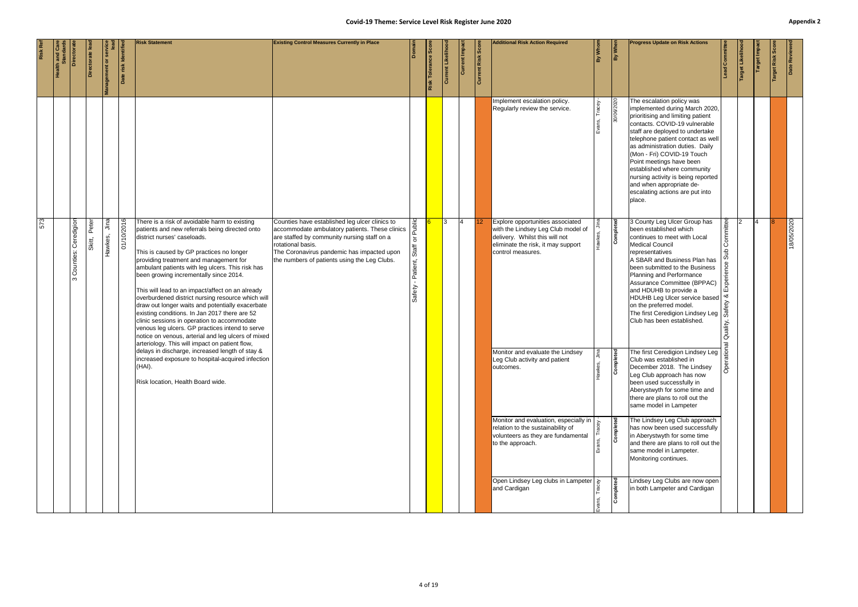|     | <b>Health and Care</b><br>Standards | Directorat                                | ectorate le     | lanagement or servic | Date risk Identifie | <b>Risk Statement</b>                                                                                                                                                                                                                                                                                                                                                                                                                                                                                                                                                                                                                                                                                                                      | Covid-19 Theme: Service Level Risk Register June 2020<br><b>Existing Control Measures Currently in Place</b>                                                                                                                                                                      | Domair                                                            | Risk Tolerance Sco | Current Likelihoo | Current Impa | Current Risk Scor | <b>Additional Risk Action Required</b>                                                                                                                              | By Whom        | By When    | <b>Progress Update on Risk Actions</b>                                                                                                                                                                                                                                                                                                                                                                                                               | -ead Committee                                                                             | arget Likelih | Target Impa | arget Risk Sco | Appe<br>Date Reviewed |
|-----|-------------------------------------|-------------------------------------------|-----------------|----------------------|---------------------|--------------------------------------------------------------------------------------------------------------------------------------------------------------------------------------------------------------------------------------------------------------------------------------------------------------------------------------------------------------------------------------------------------------------------------------------------------------------------------------------------------------------------------------------------------------------------------------------------------------------------------------------------------------------------------------------------------------------------------------------|-----------------------------------------------------------------------------------------------------------------------------------------------------------------------------------------------------------------------------------------------------------------------------------|-------------------------------------------------------------------|--------------------|-------------------|--------------|-------------------|---------------------------------------------------------------------------------------------------------------------------------------------------------------------|----------------|------------|------------------------------------------------------------------------------------------------------------------------------------------------------------------------------------------------------------------------------------------------------------------------------------------------------------------------------------------------------------------------------------------------------------------------------------------------------|--------------------------------------------------------------------------------------------|---------------|-------------|----------------|-----------------------|
|     |                                     |                                           |                 |                      |                     |                                                                                                                                                                                                                                                                                                                                                                                                                                                                                                                                                                                                                                                                                                                                            |                                                                                                                                                                                                                                                                                   |                                                                   |                    |                   |              |                   | Implement escalation policy.<br>Regularly review the service.                                                                                                       | Tracey<br>ins, | 30/06/2020 | The escalation policy was<br>implemented during March 2020,<br>prioritising and limiting patient<br>contacts. COVID-19 vulnerable<br>staff are deployed to undertake<br>telephone patient contact as well<br>as administration duties. Daily<br>(Mon - Fri) COVID-19 Touch<br>Point meetings have been<br>established where community<br>nursing activity is being reported<br>and when appropriate de-<br>escalating actions are put into<br>place. |                                                                                            |               |             |                |                       |
| 573 |                                     | Ceredigion<br>Counties:<br>$\mathfrak{S}$ | Peter<br>Skitt, | Jina<br>Hawkes,      | 01/10/2016          | There is a risk of avoidable harm to existing<br>patients and new referrals being directed onto<br>district nurses' caseloads.<br>This is caused by GP practices no longer<br>providing treatment and management for<br>ambulant patients with leg ulcers. This risk has<br>been growing incrementally since 2014.<br>This will lead to an impact/affect on an already<br>overburdened district nursing resource which will<br>draw out longer waits and potentially exacerbate<br>existing conditions. In Jan 2017 there are 52<br>clinic sessions in operation to accommodate<br>venous leg ulcers. GP practices intend to serve<br>notice on venous, arterial and leg ulcers of mixed<br>arteriology. This will impact on patient flow, | Counties have established leg ulcer clinics to<br>accommodate ambulatory patients. These clinics $\frac{12}{5}$<br>are staffed by community nursing staff on a<br>rotational basis.<br>The Coronavirus pandemic has impacted upon<br>the numbers of patients using the Leg Clubs. | $\rm \overline{o}$<br>Staff<br>Patient,<br>$\mathbf{r}$<br>Safety |                    |                   | I4           | 12                | Explore opportunities associated<br>with the Lindsey Leg Club model of<br>delivery. Whilst this will not<br>eliminate the risk, it may support<br>control measures. |                | Completed  | 3 County Leg Ulcer Group has<br>been established which<br>continues to meet with Local<br><b>Medical Council</b><br>representatives<br>A SBAR and Business Plan has<br>been submitted to the Business<br>Planning and Performance<br>Assurance Committee (BPPAC)<br>and HDUHB to provide a<br>HDUHB Leg Ulcer service based<br>on the preferred model.<br>The first Ceredigion Lindsey Leg   @<br>Club has been established.                         | ommittee<br>۱Ō<br>을<br>perier<br>шň<br>∣∝ర<br>ety<br>Quality,<br>$\overline{\mathfrak{G}}$ |               |             |                | 18/05/2020            |
|     |                                     |                                           |                 |                      |                     | delays in discharge, increased length of stay &<br>increased exposure to hospital-acquired infection<br>(HAI).<br>Risk location, Health Board wide.                                                                                                                                                                                                                                                                                                                                                                                                                                                                                                                                                                                        |                                                                                                                                                                                                                                                                                   |                                                                   |                    |                   |              |                   | Monitor and evaluate the Lindsey<br>Leg Club activity and patient<br>outcomes.                                                                                      |                | Completed  | The first Ceredigion Lindsey Leg<br>Club was established in<br>December 2018. The Lindsey<br>Leg Club approach has now<br>been used successfully in<br>Aberystwyth for some time and<br>there are plans to roll out the<br>same model in Lampeter                                                                                                                                                                                                    | Dper                                                                                       |               |             |                |                       |
|     |                                     |                                           |                 |                      |                     |                                                                                                                                                                                                                                                                                                                                                                                                                                                                                                                                                                                                                                                                                                                                            |                                                                                                                                                                                                                                                                                   |                                                                   |                    |                   |              |                   | Monitor and evaluation, especially in<br>relation to the sustainability of<br>volunteers as they are fundamental<br>to the approach.                                |                | Completed  | The Lindsey Leg Club approach<br>has now been used successfully<br>in Aberystwyth for some time<br>and there are plans to roll out the<br>same model in Lampeter.<br>Monitoring continues.                                                                                                                                                                                                                                                           |                                                                                            |               |             |                |                       |
|     |                                     |                                           |                 |                      |                     |                                                                                                                                                                                                                                                                                                                                                                                                                                                                                                                                                                                                                                                                                                                                            |                                                                                                                                                                                                                                                                                   |                                                                   |                    |                   |              |                   | Open Lindsey Leg clubs in Lampeter   $\frac{1}{6}$<br>and Cardigan                                                                                                  |                | Completed  | Lindsey Leg Clubs are now open<br>in both Lampeter and Cardigan                                                                                                                                                                                                                                                                                                                                                                                      |                                                                                            |               |             |                |                       |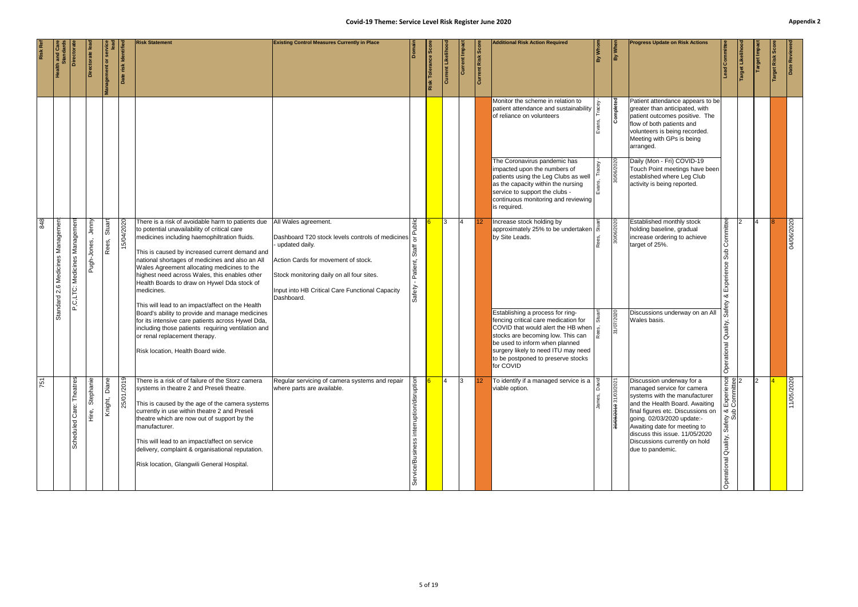|     | <b>ilth and Care</b><br>Standards   | <b>Directorat</b>            | ctorate              | <b>Management or set</b> | Date risk Identifie | <b>Risk Statement</b>                                                                                                                                                                                                                                                                                                                                                                                                                                                   | <b>Existing Control Measures Currently in Place</b>                                                                                                                                                                                               |                                             | Tolerance<br>Risk | <b>Current Likeliho</b> | Current Impa | Current Risk Score | <b>Additional Risk Action Required</b><br>Monitor the scheme in relation to                                                                                                                                                                                                         | By Whom | By When               | <b>Progress Update on Risk Actions</b><br>Patient attendance appears to be                                                                                                                                                                                                                                           | <b>ad Committee</b>                                                | et Likelih | arget Impa | Risk | Date Reviewe |
|-----|-------------------------------------|------------------------------|----------------------|--------------------------|---------------------|-------------------------------------------------------------------------------------------------------------------------------------------------------------------------------------------------------------------------------------------------------------------------------------------------------------------------------------------------------------------------------------------------------------------------------------------------------------------------|---------------------------------------------------------------------------------------------------------------------------------------------------------------------------------------------------------------------------------------------------|---------------------------------------------|-------------------|-------------------------|--------------|--------------------|-------------------------------------------------------------------------------------------------------------------------------------------------------------------------------------------------------------------------------------------------------------------------------------|---------|-----------------------|----------------------------------------------------------------------------------------------------------------------------------------------------------------------------------------------------------------------------------------------------------------------------------------------------------------------|--------------------------------------------------------------------|------------|------------|------|--------------|
|     |                                     |                              |                      |                          |                     |                                                                                                                                                                                                                                                                                                                                                                                                                                                                         |                                                                                                                                                                                                                                                   |                                             |                   |                         |              |                    | patient attendance and sustainability<br>of reliance on volunteers                                                                                                                                                                                                                  |         | Completed             | greater than anticipated, with<br>patient outcomes positive. The<br>flow of both patients and<br>volunteers is being recorded.<br>Meeting with GPs is being<br>arranged.                                                                                                                                             |                                                                    |            |            |      |              |
|     |                                     |                              |                      |                          |                     |                                                                                                                                                                                                                                                                                                                                                                                                                                                                         |                                                                                                                                                                                                                                                   |                                             |                   |                         |              |                    | The Coronavirus pandemic has<br>impacted upon the numbers of<br>patients using the Leg Clubs as well<br>as the capacity within the nursing<br>service to support the clubs -<br>continuous monitoring and reviewing<br>is required.                                                 |         | 30/06/2020            | Daily (Mon - Fri) COVID-19<br>Touch Point meetings have been<br>established where Leg Club<br>activity is being reported.                                                                                                                                                                                            |                                                                    |            |            |      |              |
| 848 | 2.6 Medicines Managemen<br>Standard | P,C,LTC: Medicines Managemen | Jenny<br>Pugh-Jones, | Stuart<br>Rees,          | 15/04/2020          | There is a risk of avoidable harm to patients due<br>to potential unavailability of critical care<br>medicines including haemophiltration fluids.<br>This is caused by increased current demand and<br>national shortages of medicines and also an All<br>Wales Agreement allocating medicines to the<br>highest need across Wales, this enables other<br>Health Boards to draw on Hywel Dda stock of<br>medicines.<br>This will lead to an impact/affect on the Health | All Wales agreement.<br>Dashboard T20 stock levels controls of medicines<br>- updated daily.<br>Action Cards for movement of stock.<br>Stock monitoring daily on all four sites.<br>Input into HB Critical Care Functional Capacity<br>Dashboard. | ublic<br>Staff<br>Patient,<br>Safety        |                   |                         | 14           | $ 12\rangle$       | Increase stock holding by<br>approximately 25% to be undertaken $\vec{b}$<br>by Site Leads.                                                                                                                                                                                         |         | 30/06/2020            | Established monthly stock<br>holding baseline, gradual<br>increase ordering to achieve<br>target of 25%.                                                                                                                                                                                                             | ommittee<br>Ō<br>Sub<br>Experience<br>∞ర<br>ety                    |            |            |      | 04/06/2020   |
|     |                                     |                              |                      |                          |                     | Board's ability to provide and manage medicines<br>for its intensive care patients across Hywel Dda,<br>including those patients requiring ventilation and<br>or renal replacement therapy.<br>Risk location, Health Board wide.                                                                                                                                                                                                                                        |                                                                                                                                                                                                                                                   |                                             |                   |                         |              |                    | Establishing a process for ring-<br>fencing critical care medication for<br>COVID that would alert the HB when   g<br>stocks are becoming low. This can<br>be used to inform when planned<br>surgery likely to need ITU may need<br>to be postponed to preserve stocks<br>for COVID |         | 31/07/2020            | Discussions underway on an All<br>Wales basis.                                                                                                                                                                                                                                                                       | Quality,<br>ational<br>Opei                                        |            |            |      |              |
| 751 |                                     | Theatres<br>Scheduled Care:  | Stephanie<br>e<br>三  | Diane<br>Knight,         | 25/01/2019          | There is a risk of of failure of the Storz camera<br>systems in theatre 2 and Preseli theatre.<br>This is caused by the age of the camera systems<br>currently in use within theatre 2 and Preseli<br>theatre which are now out of support by the<br>manufacturer.<br>This will lead to an impact/affect on service<br>delivery, complaint & organisational reputation.<br>Risk location, Glangwili General Hospital.                                                   | Regular servicing of camera systems and repair<br>where parts are available.                                                                                                                                                                      | interruption/disruption<br>Service/Business |                   |                         | 13           |                    | To identify if a managed service is a<br>viable option.                                                                                                                                                                                                                             | ة       | 30/08/2019 31/03/2021 | Discussion underway for a<br>managed service for camera<br>systems with the manufacturer<br>and the Health Board. Awaiting<br>final figures etc. Discussions on<br>going. 02/03/2020 update:-<br>Awaiting date for meeting to<br>discuss this issue. 11/05/2020<br>Discussions currently on hold<br>due to pandemic. | Experience<br>Committee<br>lety &<br>ශ්<br>Quality,<br>Operational |            |            |      | 11/05/2020   |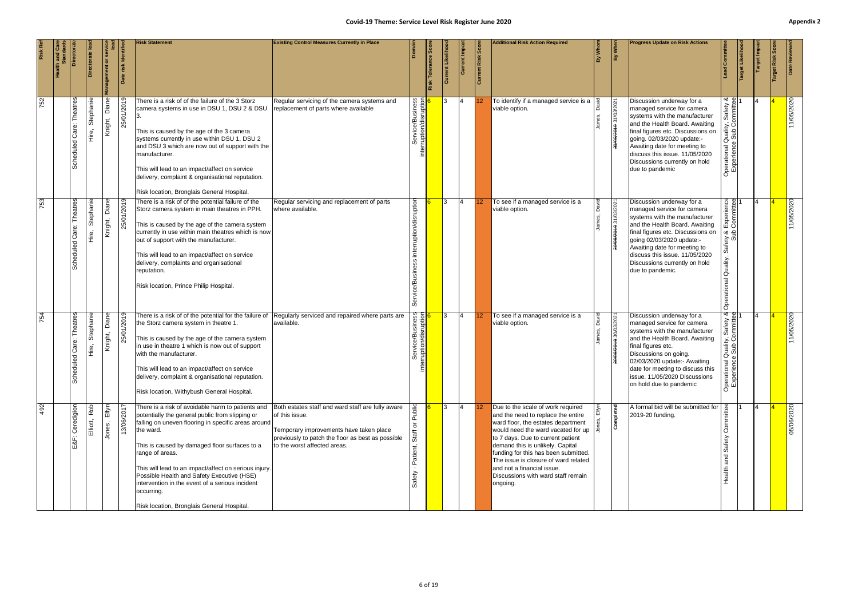|     | <b>Health and Ca</b><br>Standai | Directora                       | eel etcript                  | <b>Management or</b>    | risk Identif | <b>Risk Statement</b>                                                                                                                                                                                                                                                                                                                                                                                                                                              | <b>Existing Control Measures Currently in Place</b>                                                                                                                                                 |                               | Tolerance Scor<br>Risk | Current Likeliho | Current Impac   | Current Risk Score | <b>Additional Risk Action Required</b>                                                                                                                                                                                                                                                                                                                                                       | Whon<br>合 | By When               | <b>Progress Update on Risk Actions</b>                                                                                                                                                                                                                                                                              | ad Committee                                                                                  | Target Likelih | <b>Target Impa</b> | Risk<br>arget | Date Reviewe |
|-----|---------------------------------|---------------------------------|------------------------------|-------------------------|--------------|--------------------------------------------------------------------------------------------------------------------------------------------------------------------------------------------------------------------------------------------------------------------------------------------------------------------------------------------------------------------------------------------------------------------------------------------------------------------|-----------------------------------------------------------------------------------------------------------------------------------------------------------------------------------------------------|-------------------------------|------------------------|------------------|-----------------|--------------------|----------------------------------------------------------------------------------------------------------------------------------------------------------------------------------------------------------------------------------------------------------------------------------------------------------------------------------------------------------------------------------------------|-----------|-----------------------|---------------------------------------------------------------------------------------------------------------------------------------------------------------------------------------------------------------------------------------------------------------------------------------------------------------------|-----------------------------------------------------------------------------------------------|----------------|--------------------|---------------|--------------|
| 752 |                                 | Scheduled Care: Theatres        | Stephanie<br>ie.<br>Hire,    | Diane<br>Knight,        | 25/01/2019   | There is a risk of of the failure of the 3 Storz<br>camera systems in use in DSU 1, DSU 2 & DSU<br>This is caused by the age of the 3 camera<br>systems currently in use within DSU 1, DSU 2<br>and DSU 3 which are now out of support with the<br>manufacturer.<br>This will lead to an impact/affect on service<br>delivery, complaint & organisational reputation.<br>Risk location, Bronglais General Hospital.                                                | Regular servicing of the camera systems and<br>replacement of parts where available                                                                                                                 | erruptio                      |                        |                  | 4               |                    | To identify if a managed service is a<br>viable option.                                                                                                                                                                                                                                                                                                                                      |           | 30/8/2019 31/03/2021  | Discussion underway for a<br>managed service for camera<br>systems with the manufacturer<br>and the Health Board. Awaiting<br>final figures etc. Discussions on<br>going. 02/03/2020 update:-<br>Awaiting date for meeting to<br>discuss this issue. 11/05/2020<br>Discussions currently on hold<br>due to pandemic | ity, Safety &<br>Committee<br>Qualit<br>9<br>9<br>9<br>Operational Q<br>Experience 9          |                |                    |               | 11/05/2020   |
| 753 |                                 | Theatres<br>Scheduled Care:     | Stephanie<br>$\frac{e}{\pm}$ | <b>Diane</b><br>Knight, | 25/01/2019   | There is a risk of of the potential failure of the<br>Storz camera system in main theatres in PPH.<br>This is caused by the age of the camera system<br>currently in use within main theatres which is now<br>out of support with the manufacturer.<br>This will lead to an impact/affect on service<br>delivery, complaints and organisational<br>reputation.<br>Risk location, Prince Philip Hospital.                                                           | Regular servicing and replacement of parts<br>where available.                                                                                                                                      | sruptior<br>ㅎ<br>uption<br>ēΜ |                        | 3                | $\overline{14}$ | 12 <sup>°</sup>    | To see if a managed service is a<br>viable option.                                                                                                                                                                                                                                                                                                                                           |           | 30/08/2019 31/03/2021 | Discussion underway for a<br>managed service for camera<br>systems with the manufacturer<br>and the Health Board. Awaiting<br>final figures etc. Discussions on<br>going 02/03/2020 update:-<br>Awaiting date for meeting to<br>discuss this issue. 11/05/2020<br>Discussions currently on hold<br>due to pandemic. | ା<br>ee<br>$\epsilon$<br>Experien<br>Committe<br>qnS<br>8 Ale<br>Ö<br>Quality,<br>Operational |                |                    |               | 11/05/2020   |
| 754 |                                 | Care: Theatres<br>ΒĐ<br>Schedul | Stephanie<br>。<br>王          | Diane<br>Knight,        | 25/01/2019   | There is a risk of of the potential for the failure of<br>the Storz camera system in theatre 1.<br>This is caused by the age of the camera system<br>in use in theatre 1 which is now out of support<br>with the manufacturer.<br>This will lead to an impact/affect on service<br>delivery, complaint & organisational reputation.<br>Risk location, Withybush General Hospital.                                                                                  | Regularly serviced and repaired where parts are<br>available.                                                                                                                                       | iness<br>Iption<br>etai       |                        |                  | $\vert 4 \vert$ | <b>12</b>          | To see if a managed service is a<br>viable option.                                                                                                                                                                                                                                                                                                                                           |           | 008/2019 30/03/2021   | Discussion underway for a<br>managed service for camera<br>systems with the manufacturer<br>and the Health Board. Awaiting<br>final figures etc.<br>Discussions on going.<br>02/03/2020 update:- Awaiting<br>date for meeting to discuss this<br>issue. 11/05/2020 Discussions<br>on hold due to pandemic           | Quality, Safety &<br>ஜ<br>Operationa<br>Experien                                              |                |                    |               | 11/05/2020   |
| 492 |                                 | E&F: Ceredigion                 | Rob<br>Elliott,              | Elfyn<br>Jones,         | 13/06/2017   | There is a risk of avoidable harm to patients and<br>potentially the general public from slipping or<br>falling on uneven flooring in specific areas around<br>the ward.<br>This is caused by damaged floor surfaces to a<br>range of areas.<br>This will lead to an impact/affect on serious injury.<br>Possible Health and Safety Executive (HSE)<br>intervention in the event of a serious incident<br>occurring.<br>Risk location, Bronglais General Hospital. | Both estates staff and ward staff are fully aware<br>of this issue.<br>Temporary improvements have taken place<br>previously to patch the floor as best as possible<br>to the worst affected areas. | Public<br>১<br>Staff          |                        | l3               | $\overline{4}$  |                    | Due to the scale of work required<br>and the need to replace the entire<br>ward floor, the estates department<br>would need the ward vacated for up<br>to 7 days. Due to current patient<br>demand this is unlikely. Capital<br>funding for this has been submitted.<br>The issue is closure of ward related<br>and not a financial issue.<br>Discussions with ward staff remain<br>ongoing. |           | Completed             | A formal bid will be submitted for<br>2019-20 funding.                                                                                                                                                                                                                                                              | စွ<br>Safety<br>and<br>ealth                                                                  |                |                    |               | 05/06/2020   |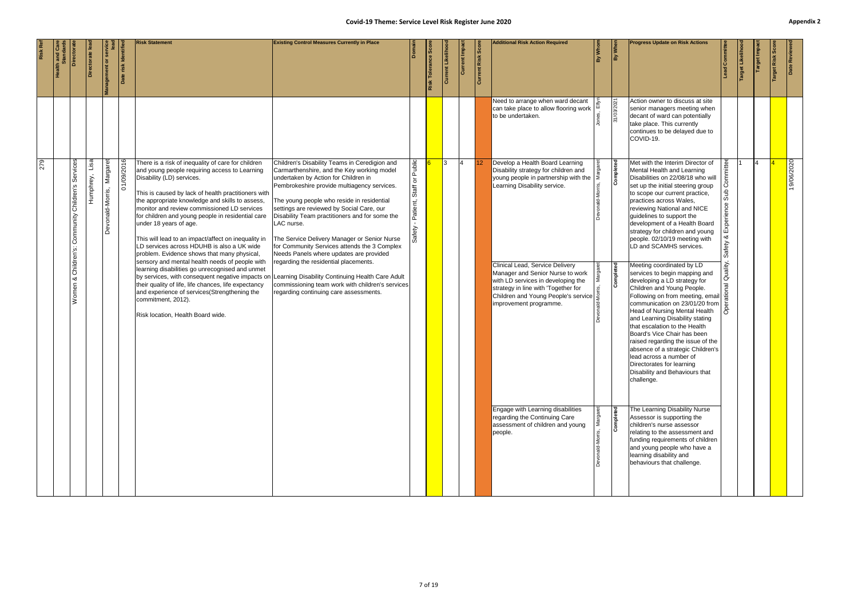#### **Covid-19 Theme: Service Level Risk Register June 2020 Appendix 2** and the state of the state of the state plane of the state of the state of the state of the state of the state of the state of the state of the state of  $p_{\text{cov}}(t) = p_{\text{cov}}(t)$  the floor

|                                                                                                                                                                                                                                                        |                                                                                                                                                                                                                                                                                                                                                                                                                                                                                                                                                                                  | 279                                                                                                                                                                                                                                                                                                                                                                      |                                                                                                                                                                                | <b>Risk Ref</b>                                     |                                                       |
|--------------------------------------------------------------------------------------------------------------------------------------------------------------------------------------------------------------------------------------------------------|----------------------------------------------------------------------------------------------------------------------------------------------------------------------------------------------------------------------------------------------------------------------------------------------------------------------------------------------------------------------------------------------------------------------------------------------------------------------------------------------------------------------------------------------------------------------------------|--------------------------------------------------------------------------------------------------------------------------------------------------------------------------------------------------------------------------------------------------------------------------------------------------------------------------------------------------------------------------|--------------------------------------------------------------------------------------------------------------------------------------------------------------------------------|-----------------------------------------------------|-------------------------------------------------------|
|                                                                                                                                                                                                                                                        |                                                                                                                                                                                                                                                                                                                                                                                                                                                                                                                                                                                  |                                                                                                                                                                                                                                                                                                                                                                          |                                                                                                                                                                                |                                                     |                                                       |
|                                                                                                                                                                                                                                                        | Children's:<br>∞<br>Women                                                                                                                                                                                                                                                                                                                                                                                                                                                                                                                                                        | Services<br>Children's<br>Community                                                                                                                                                                                                                                                                                                                                      |                                                                                                                                                                                | Directora                                           |                                                       |
|                                                                                                                                                                                                                                                        |                                                                                                                                                                                                                                                                                                                                                                                                                                                                                                                                                                                  | Lisal<br>Humphrey,                                                                                                                                                                                                                                                                                                                                                       |                                                                                                                                                                                | Directorate le                                      |                                                       |
|                                                                                                                                                                                                                                                        |                                                                                                                                                                                                                                                                                                                                                                                                                                                                                                                                                                                  | Margaret<br>Devonald-Morris,                                                                                                                                                                                                                                                                                                                                             |                                                                                                                                                                                | $\overline{\sigma}$                                 |                                                       |
|                                                                                                                                                                                                                                                        |                                                                                                                                                                                                                                                                                                                                                                                                                                                                                                                                                                                  | 01/09/2016                                                                                                                                                                                                                                                                                                                                                               |                                                                                                                                                                                | risk Identifi<br>Bate                               |                                                       |
|                                                                                                                                                                                                                                                        | This will lead to an impact/affect on inequality in<br>LD services across HDUHB is also a UK wide<br>problem. Evidence shows that many physical,<br>sensory and mental health needs of people with<br>learning disabilities go unrecognised and unmet<br>their quality of life, life chances, life expectancy<br>and experience of services(Strengthening the<br>commitment, 2012).<br>Risk location, Health Board wide.                                                                                                                                                         | There is a risk of inequality of care for children<br>and young people requiring access to Learning<br>Disability (LD) services.<br>This is caused by lack of health practitioners with<br>the appropriate knowledge and skills to assess,<br>monitor and review commissioned LD services<br>for children and young people in residential care<br>under 18 years of age. |                                                                                                                                                                                | <b>Risk Statement</b>                               |                                                       |
|                                                                                                                                                                                                                                                        | The Service Delivery Manager or Senior Nurse<br>for Community Services attends the 3 Complex<br>Needs Panels where updates are provided<br>regarding the residential placements.<br>by services, with consequent negative impacts on Learning Disability Continuing Health Care Adult<br>commissioning team work with children's services<br>regarding continuing care assessments.                                                                                                                                                                                              | Children's Disability Teams in Ceredigion and<br>Carmarthenshire, and the Key working model<br>undertaken by Action for Children in<br>Pembrokeshire provide multiagency services.<br>The young people who reside in residential<br>settings are reviewed by Social Care, our<br>Disability Team practitioners and for some the<br>LAC nurse.                            |                                                                                                                                                                                | <b>Existing Control Measures Currently in Place</b> | Covid-19 Theme: Service Level Risk Register June 2020 |
|                                                                                                                                                                                                                                                        |                                                                                                                                                                                                                                                                                                                                                                                                                                                                                                                                                                                  | Public<br>$\overline{\circ}$<br>Staff<br>Patient,<br>Safety                                                                                                                                                                                                                                                                                                              |                                                                                                                                                                                |                                                     |                                                       |
|                                                                                                                                                                                                                                                        |                                                                                                                                                                                                                                                                                                                                                                                                                                                                                                                                                                                  |                                                                                                                                                                                                                                                                                                                                                                          |                                                                                                                                                                                | Risk Tolerance Sco                                  |                                                       |
|                                                                                                                                                                                                                                                        |                                                                                                                                                                                                                                                                                                                                                                                                                                                                                                                                                                                  | <b>3</b>                                                                                                                                                                                                                                                                                                                                                                 |                                                                                                                                                                                | Current Likeliho                                    |                                                       |
|                                                                                                                                                                                                                                                        |                                                                                                                                                                                                                                                                                                                                                                                                                                                                                                                                                                                  | $\overline{4}$                                                                                                                                                                                                                                                                                                                                                           |                                                                                                                                                                                | Current Impac                                       |                                                       |
|                                                                                                                                                                                                                                                        |                                                                                                                                                                                                                                                                                                                                                                                                                                                                                                                                                                                  |                                                                                                                                                                                                                                                                                                                                                                          |                                                                                                                                                                                |                                                     |                                                       |
|                                                                                                                                                                                                                                                        |                                                                                                                                                                                                                                                                                                                                                                                                                                                                                                                                                                                  |                                                                                                                                                                                                                                                                                                                                                                          |                                                                                                                                                                                | <b>Current Risk Score</b>                           |                                                       |
| Engage with Learning disabilities<br>regarding the Continuing Care<br>assessment of children and young<br>people.                                                                                                                                      | Clinical Lead, Service Delivery<br>Manager and Senior Nurse to work<br>with LD services in developing the<br>strategy in line with 'Together for<br>Children and Young People's service $\frac{5}{5}$<br>improvement programme.                                                                                                                                                                                                                                                                                                                                                  | Develop a Health Board Learning<br>Disability strategy for children and<br>young people in partnership with the<br>Learning Disability service.                                                                                                                                                                                                                          | Need to arrange when ward decant<br>can take place to allow flooring work<br>to be undertaken.                                                                                 | <b>Additional Risk Action Required</b>              |                                                       |
|                                                                                                                                                                                                                                                        |                                                                                                                                                                                                                                                                                                                                                                                                                                                                                                                                                                                  | $\overline{\mathbb{B}}$                                                                                                                                                                                                                                                                                                                                                  |                                                                                                                                                                                | By Whom                                             |                                                       |
| Completed                                                                                                                                                                                                                                              | Completed                                                                                                                                                                                                                                                                                                                                                                                                                                                                                                                                                                        | Completed                                                                                                                                                                                                                                                                                                                                                                | 31/03/2021                                                                                                                                                                     | By When                                             |                                                       |
| The Learning Disability Nurse<br>Assessor is supporting the<br>children's nurse assessor<br>relating to the assessment and<br>funding requirements of children<br>and young people who have a<br>learning disability and<br>behaviours that challenge. | people. 02/10/19 meeting with<br>LD and SCAMHS services.<br>Meeting coordinated by LD<br>services to begin mapping and<br>developing a LD strategy for<br>Children and Young People.<br>Following on from meeting, email<br>communication on 23/01/20 from<br>Head of Nursing Mental Health<br>and Learning Disability stating<br>that escalation to the Health<br>Board's Vice Chair has been<br>raised regarding the issue of the<br>absence of a strategic Children's<br>lead across a number of<br>Directorates for learning<br>Disability and Behaviours that<br>challenge. | Met with the Interim Director of<br>Mental Health and Learning<br>Disabilities on 22/08/18 who will<br>set up the initial steering group<br>to scope our current practice,<br>practices across Wales,<br>reviewing National and NICE<br>guidelines to support the<br>development of a Health Board<br>strategy for children and young                                    | Action owner to discuss at site<br>senior managers meeting when<br>decant of ward can potentially<br>take place. This currently<br>continues to be delayed due to<br>COVID-19. | <b>Progress Update on Risk Actions</b>              |                                                       |
|                                                                                                                                                                                                                                                        | ∞ర<br>Safety<br>Quality,<br>À                                                                                                                                                                                                                                                                                                                                                                                                                                                                                                                                                    | mmittee<br>Sub<br>qperience                                                                                                                                                                                                                                                                                                                                              |                                                                                                                                                                                | ad Committe                                         |                                                       |
|                                                                                                                                                                                                                                                        |                                                                                                                                                                                                                                                                                                                                                                                                                                                                                                                                                                                  |                                                                                                                                                                                                                                                                                                                                                                          |                                                                                                                                                                                | Target Likelih                                      |                                                       |
|                                                                                                                                                                                                                                                        |                                                                                                                                                                                                                                                                                                                                                                                                                                                                                                                                                                                  |                                                                                                                                                                                                                                                                                                                                                                          |                                                                                                                                                                                | arget Impa                                          |                                                       |
|                                                                                                                                                                                                                                                        |                                                                                                                                                                                                                                                                                                                                                                                                                                                                                                                                                                                  |                                                                                                                                                                                                                                                                                                                                                                          |                                                                                                                                                                                | Risk                                                |                                                       |
|                                                                                                                                                                                                                                                        |                                                                                                                                                                                                                                                                                                                                                                                                                                                                                                                                                                                  | 19/06/2020                                                                                                                                                                                                                                                                                                                                                               |                                                                                                                                                                                | Date Reviewe                                        | Appe                                                  |
|                                                                                                                                                                                                                                                        |                                                                                                                                                                                                                                                                                                                                                                                                                                                                                                                                                                                  |                                                                                                                                                                                                                                                                                                                                                                          |                                                                                                                                                                                |                                                     |                                                       |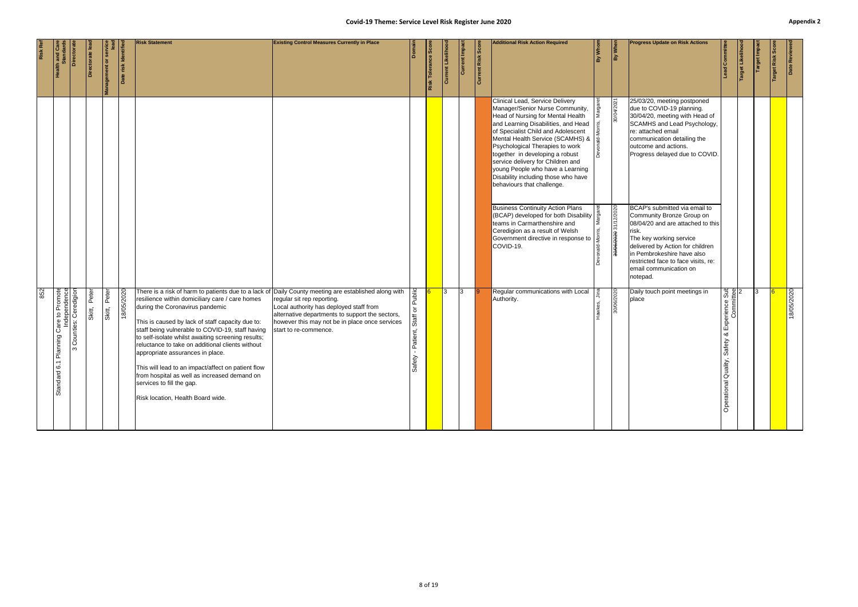|     | <b>ath and Care</b><br>Standards                                        | <b>Directorate</b>               | ctorate         | Management or servi | Date risk Identified | <b>Risk Statement</b>                                                                                                                                                                                                                                                                                                                                                                                                                                                                                                                                                                                                    | <b>Existing Control Measures Currently in Place</b>                                                                                                                                                 | Domain                                                         | Risk Tolerance Scor | Current Likeliho | Current Impa | <b>Current Risk Score</b> | <b>Additional Risk Action Required</b>                                                                                                                                                                                                                                                                                                                                                                                                                     | By Whom   | By When                           | <b>Progress Update on Risk Actions</b>                                                                                                                                                                                                                                             | ad Committee                                                            | Target Likelihoo | <b>Target Impact</b> | <b>Sco</b><br><b>Target Risk</b> | Date Review |
|-----|-------------------------------------------------------------------------|----------------------------------|-----------------|---------------------|----------------------|--------------------------------------------------------------------------------------------------------------------------------------------------------------------------------------------------------------------------------------------------------------------------------------------------------------------------------------------------------------------------------------------------------------------------------------------------------------------------------------------------------------------------------------------------------------------------------------------------------------------------|-----------------------------------------------------------------------------------------------------------------------------------------------------------------------------------------------------|----------------------------------------------------------------|---------------------|------------------|--------------|---------------------------|------------------------------------------------------------------------------------------------------------------------------------------------------------------------------------------------------------------------------------------------------------------------------------------------------------------------------------------------------------------------------------------------------------------------------------------------------------|-----------|-----------------------------------|------------------------------------------------------------------------------------------------------------------------------------------------------------------------------------------------------------------------------------------------------------------------------------|-------------------------------------------------------------------------|------------------|----------------------|----------------------------------|-------------|
|     |                                                                         |                                  |                 |                     |                      |                                                                                                                                                                                                                                                                                                                                                                                                                                                                                                                                                                                                                          |                                                                                                                                                                                                     |                                                                |                     |                  |              |                           | Clinical Lead, Service Delivery<br>Manager/Senior Nurse Community,<br>Head of Nursing for Mental Health<br>and Learning Disabilities, and Head<br>of Specialist Child and Adolescent<br>Mental Health Service (SCAMHS) & $\frac{1}{2}$<br>Psychological Therapies to work<br>together in developing a robust<br>service delivery for Children and<br>young People who have a Learning<br>Disability including those who have<br>behaviours that challenge. |           | 30/04/2021                        | 25/03/20, meeting postponed<br>due to COVID-19 planning.<br>30/04/20, meeting with Head of<br>SCAMHS and Lead Psychology,<br>re: attached email<br>communication detailing the<br>outcome and actions.<br>Progress delayed due to COVID.                                           |                                                                         |                  |                      |                                  |             |
|     |                                                                         |                                  |                 |                     |                      |                                                                                                                                                                                                                                                                                                                                                                                                                                                                                                                                                                                                                          |                                                                                                                                                                                                     |                                                                |                     |                  |              |                           | <b>Business Continuity Action Plans</b><br>$\frac{1}{2}$ (BCAP) developed for both Disability $\frac{1}{2}$<br>teams in Carmarthenshire and<br>Ceredigion as a result of Welsh<br>Government directive in response to<br>COVID-19.                                                                                                                                                                                                                         | ∣∑<br>l ∑ | 0202/21/12 0 <del>202/90/08</del> | BCAP's submitted via email to<br>Community Bronze Group on<br>08/04/20 and are attached to this<br>risk.<br>The key working service<br>delivered by Action for children<br>in Pembrokeshire have also<br>restricted face to face visits, re:<br>email communication on<br>notepad. |                                                                         |                  |                      |                                  |             |
| 852 | Promote<br>endence<br>$\mathsf{S}$<br>Care<br>Planning<br>ဖ<br>Standard | Counties: Ceredigion<br>$\infty$ | Peter<br>Skitt, | Peter<br>Skitt,     | 18/05/2020           | There is a risk of harm to patients due to a lack of Daily County meeting are established along with<br>resilience within domiciliary care / care homes<br>during the Coronavirus pandemic<br>This is caused by lack of staff capacity due to:<br>staff being vulnerable to COVID-19, staff having<br>to self-isolate whilst awaiting screening results;<br>reluctance to take on additional clients without<br>appropriate assurances in place.<br>This will lead to an impact/affect on patient flow<br>from hospital as well as increased demand on<br>services to fill the gap.<br>Risk location, Health Board wide. | regular sit rep reporting.<br>Local authority has deployed staff from<br>alternative departments to support the sectors,<br>however this may not be in place once services<br>start to re-commence. | Public<br>$\overline{\circ}$<br>Staff<br>Patient,<br>ΨĘ<br>Saf |                     |                  | 13           |                           | Regular communications with Local<br>Authority.                                                                                                                                                                                                                                                                                                                                                                                                            |           | 30/06/2020                        | Daily touch point meetings in<br>place                                                                                                                                                                                                                                             | Experience Sub<br>Committee<br>య<br>Safety<br><b>Operational Qualit</b> |                  |                      |                                  | 18/05/2020  |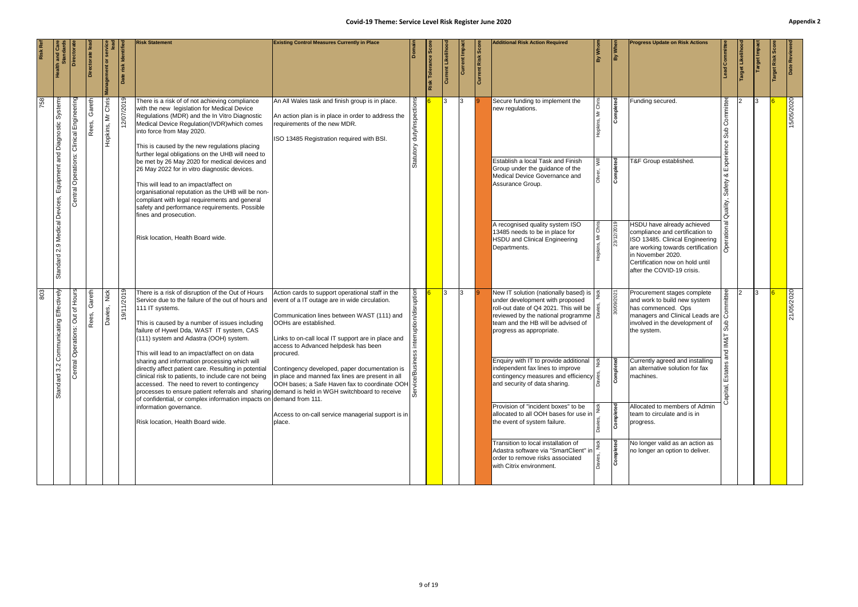|     |                                                            |                                             |                 |                      |              | <b>Risk Statement</b>                                                                                                                                                                                                                                                                                                                                                                                                                                                                                                                                                                                                                                                                            | <b>Existing Control Measures Currently in Place</b>                                                                                                                                                                                                                                 |                     | Score             |                   |               |                           | <b>Additional Risk Action Required</b>                                                                                                                                                                                                                                                 |                                      | <b>Progress Update on Risk Actions</b>                                                                                                                                |                                                       |                |            |               |
|-----|------------------------------------------------------------|---------------------------------------------|-----------------|----------------------|--------------|--------------------------------------------------------------------------------------------------------------------------------------------------------------------------------------------------------------------------------------------------------------------------------------------------------------------------------------------------------------------------------------------------------------------------------------------------------------------------------------------------------------------------------------------------------------------------------------------------------------------------------------------------------------------------------------------------|-------------------------------------------------------------------------------------------------------------------------------------------------------------------------------------------------------------------------------------------------------------------------------------|---------------------|-------------------|-------------------|---------------|---------------------------|----------------------------------------------------------------------------------------------------------------------------------------------------------------------------------------------------------------------------------------------------------------------------------------|--------------------------------------|-----------------------------------------------------------------------------------------------------------------------------------------------------------------------|-------------------------------------------------------|----------------|------------|---------------|
|     |                                                            |                                             | ectorate lea    | anagement or         | risk Identif |                                                                                                                                                                                                                                                                                                                                                                                                                                                                                                                                                                                                                                                                                                  |                                                                                                                                                                                                                                                                                     |                     | Tolerance<br>Risk | Likelih<br>Currel | Current Impac | <b>Current Risk Score</b> |                                                                                                                                                                                                                                                                                        | $\frac{1}{\frac{3}{2}}$              |                                                                                                                                                                       | ad Committee                                          | Target Likelih | arget Impa | Date Reviewed |
| 758 | System<br>Equipment and Diagnostic<br>2.9 Medical Devices, | Clinical Engineering<br>Central Operations: | Gareth<br>Rees, | Mr Chris<br>Hopkins, | 2/07/2019    | There is a risk of of not achieving compliance<br>with the new legislation for Medical Device<br>Regulations (MDR) and the In Vitro Diagnostic<br>Medical Device Regulation(IVDR) which comes<br>into force from May 2020.<br>This is caused by the new regulations placing<br>further legal obligations on the UHB will need to<br>be met by 26 May 2020 for medical devices and<br>26 May 2022 for in vitro diagnostic devices.<br>This will lead to an impact/affect on<br>organisational reputation as the UHB will be non-<br>compliant with legal requirements and general<br>safety and performance requirements. Possible<br>fines and prosecution.<br>Risk location, Health Board wide. | An All Wales task and finish group is in place.<br>An action plan is in place in order to address the<br>requirements of the new MDR.<br>ISO 13485 Registration required with BSI.                                                                                                  | duty/inspe<br>utory |                   |                   | Ι3            |                           | Secure funding to implement the<br>new regulations.<br>Establish a local Task and Finish<br>Group under the guidance of the<br>Medical Device Governance and<br>Assurance Group.<br>A recognised quality system ISO<br>13485 needs to be in place for<br>HSDU and Clinical Engineering | Completed<br>Completed<br>23/12/2019 | Funding secured.<br>T&F Group established.<br>HSDU have already achieved<br>compliance and certification to<br>ISO 13485. Clinical Engineering                        | <b>inittee</b><br>Sub<br>Experi<br>Safety<br>Quality, |                |            | 15/05/2020    |
|     | Standard                                                   |                                             |                 |                      |              |                                                                                                                                                                                                                                                                                                                                                                                                                                                                                                                                                                                                                                                                                                  |                                                                                                                                                                                                                                                                                     |                     |                   |                   |               |                           | Departments.                                                                                                                                                                                                                                                                           |                                      | are working towards certification<br>in November 2020.<br>Certification now on hold until<br>after the COVID-19 crisis.                                               |                                                       |                |            |               |
| 803 | Effectively<br>Communicating                               | Hours<br>Out of<br>Central Operations:      | Gareth<br>Rees, | Nick<br>Davies,      | 19/11/2019   | There is a risk of disruption of the Out of Hours<br>Service due to the failure of the out of hours and<br>111 IT systems.<br>This is caused by a number of issues including<br>failure of Hywel Dda, WAST IT system, CAS<br>(111) system and Adastra (OOH) system.<br>This will lead to an impact/affect on on data                                                                                                                                                                                                                                                                                                                                                                             | Action cards to support operational staff in the<br>event of a IT outage are in wide circulation.<br>Communication lines between WAST (111) and<br>OOHs are established.<br>Links to on-call local IT support are in place and<br>access to Advanced helpdesk has been<br>procured. | sruption            |                   | I3.               | 13            |                           | New IT solution (nationally based) is $\frac{3}{2}$<br>under development with proposed<br>roll-out date of Q4 2021. This will be<br>reviewed by the national programme   8<br>team and the HB will be advised of<br>progress as appropriate.                                           | 30/09/2021                           | Procurement stages complete<br>and work to build new system<br>has commenced. Ops<br>managers and Clinical Leads are<br>involved in the development of<br>the system. |                                                       |                | I3.        | 21/05/2020    |
|     | 3.2<br>Standard:                                           |                                             |                 |                      |              | sharing and information processing which will<br>directly affect patient care. Resulting in potential<br>clinical risk to patients, to include care not being<br>accessed. The need to revert to contingency<br>processes to ensure patient referrals and sharing demand is held in WGH switchboard to receive<br>of confidential, or complex information impacts on demand from 111.<br>information governance.                                                                                                                                                                                                                                                                                 | Contingency developed, paper documentation is<br>in place and manned fax lines are present in all<br>OOH bases; a Safe Haven fax to coordinate OOH $\frac{1}{2}$<br>Access to on-call service managerial support is in                                                              |                     |                   |                   |               |                           | Enquiry with IT to provide additional $\frac{3}{2}$<br>independent fax lines to improve<br>contingency measures and efficiency<br>and security of data sharing.<br>Provision of "incident boxes" to be<br>allocated to all OOH bases for use in                                        | Complete<br>Completed                | <b>B</b> Currently agreed and installing<br>an alternative solution for fax<br>machines.<br>Allocated to members of Admin<br>team to circulate and is in              |                                                       |                |            |               |
|     |                                                            |                                             |                 |                      |              | Risk location, Health Board wide.                                                                                                                                                                                                                                                                                                                                                                                                                                                                                                                                                                                                                                                                | place.                                                                                                                                                                                                                                                                              |                     |                   |                   |               |                           | the event of system failure.<br>Transition to local installation of<br>Adastra software via "SmartClient" in<br>order to remove risks associated<br>with Citrix environment.                                                                                                           | Completed                            | progress.<br>No longer valid as an action as<br>no longer an option to deliver.                                                                                       |                                                       |                |            |               |
|     |                                                            |                                             |                 |                      |              |                                                                                                                                                                                                                                                                                                                                                                                                                                                                                                                                                                                                                                                                                                  |                                                                                                                                                                                                                                                                                     |                     |                   |                   |               |                           |                                                                                                                                                                                                                                                                                        |                                      |                                                                                                                                                                       |                                                       |                |            |               |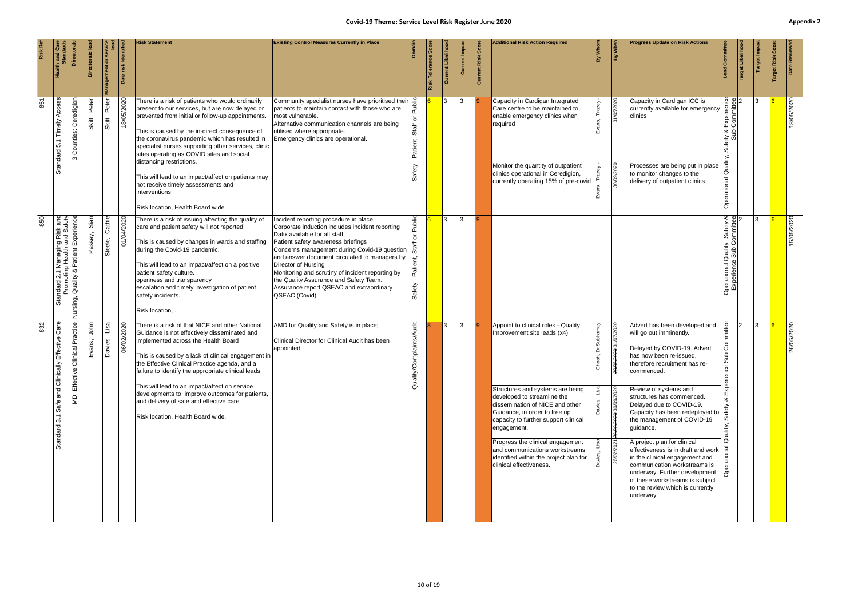|     |                                                                            | <b>Directora</b>                                 | Directorate lea | Management or         | risk Identifi | <b>Risk Statement</b>                                                                                                                                                                                                                                                                                                                                                                                                                                                                                                                           | <b>Existing Control Measures Currently in Place</b>                                                                                                                                                                                                                                                                                                                                                                                                |                                                    | <b>Score</b><br>Risk Tolerance | Current Likeliho | Current Impac | <b>Current Risk Score</b> | <b>Additional Risk Action Required</b>                                                                                                                                                                                                                                                                                                                                                                       | ă | $\frac{1}{\frac{3}{2}}$                                         | <b>Progress Update on Risk Actions</b>                                                                                                                                                                                                                                                                                                                                                                                                                                                                                                                                                                             | <b>Lead Committed</b>                                                                     | Target Likelih | <b>Target Impa</b> | Risk | Date Reviewe |
|-----|----------------------------------------------------------------------------|--------------------------------------------------|-----------------|-----------------------|---------------|-------------------------------------------------------------------------------------------------------------------------------------------------------------------------------------------------------------------------------------------------------------------------------------------------------------------------------------------------------------------------------------------------------------------------------------------------------------------------------------------------------------------------------------------------|----------------------------------------------------------------------------------------------------------------------------------------------------------------------------------------------------------------------------------------------------------------------------------------------------------------------------------------------------------------------------------------------------------------------------------------------------|----------------------------------------------------|--------------------------------|------------------|---------------|---------------------------|--------------------------------------------------------------------------------------------------------------------------------------------------------------------------------------------------------------------------------------------------------------------------------------------------------------------------------------------------------------------------------------------------------------|---|-----------------------------------------------------------------|--------------------------------------------------------------------------------------------------------------------------------------------------------------------------------------------------------------------------------------------------------------------------------------------------------------------------------------------------------------------------------------------------------------------------------------------------------------------------------------------------------------------------------------------------------------------------------------------------------------------|-------------------------------------------------------------------------------------------|----------------|--------------------|------|--------------|
| 851 | Acces:<br>Timely<br><u>ທ່</u><br>Standard                                  | Ceredigio<br>Counties:<br>ო                      | Peter<br>Skitt, | Peter<br>Skitt,       | 18/05/2020    | There is a risk of patients who would ordinarily<br>present to our services, but are now delayed or<br>prevented from initial or follow-up appointments.<br>This is caused by the in-direct consequence of<br>the coronavirus pandemic which has resulted in<br>specialist nurses supporting other services, clinic<br>sites operating as COVID sites and social<br>distancing restrictions.<br>This will lead to an impact/affect on patients may<br>not receive timely assessments and<br>interventions.<br>Risk location, Health Board wide. | Community specialist nurses have prioritised their<br>patients to maintain contact with those who are<br>most vulnerable.<br>Alternative communication channels are being<br>utilised where appropriate.<br>Emergency clinics are operational.                                                                                                                                                                                                     | ŏ<br>Staff<br>atient,                              |                                |                  |               |                           | Capacity in Cardigan Integrated<br>Care centre to be maintained to<br>enable emergency clinics when<br>required<br>Monitor the quantity of outpatient<br>clinics operational in Ceredigion,<br>currently operating 15% of pre-covid                                                                                                                                                                          |   | 31/05/2020<br>30/09/2020                                        | Capacity in Cardigan ICC is<br>currently available for emergency<br>clinics<br>Processes are being put in place<br>to monitor changes to the<br>delivery of outpatient clinics                                                                                                                                                                                                                                                                                                                                                                                                                                     | င္ဟ မွ ၂၁<br>Experien<br>Committe<br>త - ≙<br>ຍັນ<br>ອັນ<br>Saf<br>$\circ$<br>Operational |                |                    |      | 18/05/2020   |
| 850 | 2.1 Managing Risk and<br>oting Health and Safety<br>ndard<br>Promo<br>Stai | Experience<br>Quality & Patient<br>Nursing,      | Sian<br>Passey, | Cathie<br>Steele,     | 01/04/2020    | There is a risk of issuing affecting the quality of<br>care and patient safety will not reported.<br>This is caused by changes in wards and staffing<br>during the Covid-19 pandemic.<br>This will lead to an impact/affect on a positive<br>patient safety culture.<br>openness and transparency<br>escalation and timely investigation of patient<br>safety incidents.<br>Risk location, .                                                                                                                                                    | Incident reporting procedure in place<br>Corporate induction includes incident reporting<br>Datix available for all staff<br>Patient safety awareness briefings<br>Concerns management during Covid-19 question<br>and answer document circulated to managers by<br>Director of Nursing<br>Monitoring and scrutiny of incident reporting by<br>the Quality Assurance and Safety Team.<br>Assurance report QSEAC and extraordinary<br>QSEAC (Covid) | Public<br>$\overline{\circ}$<br>Patient,<br>Safety |                                | <b>3</b>         | 13            |                           |                                                                                                                                                                                                                                                                                                                                                                                                              |   |                                                                 |                                                                                                                                                                                                                                                                                                                                                                                                                                                                                                                                                                                                                    | Operational Quality, Safety &<br>Experience Sub Committee                                 |                | $\mathcal{R}$      |      | 15/05/2020   |
| 832 | ဇ္လီ<br>Effective<br>Safe and Clinically<br>Standard 3.1                   | Practice<br>linical<br>ပ<br>Effective<br>Θ.<br>Σ | John<br>Evans,  | lisa<br><b>Davies</b> | 06/02/2020    | There is a risk of that NICE and other National<br>Guidance is not effectively disseminated and<br>implemented across the Health Board<br>This is caused by a lack of clinical engagement in<br>the Effective Clinical Practice agenda, and a<br>failure to identify the appropriate clinical leads<br>This will lead to an impact/affect on service<br>developments to improve outcomes for patients,<br>and delivery of safe and effective care.<br>Risk location, Health Board wide.                                                         | AMD for Quality and Safety is in place;<br>Clinical Director for Clinical Audit has been<br>appointed.                                                                                                                                                                                                                                                                                                                                             | mplaints/Audi<br>Quality/Cc                        |                                |                  | 13            |                           | Appoint to clinical roles - Quality<br>Improvement site leads (x4).<br>Structures and systems are being<br>developed to streamline the<br>dissemination of NICE and other<br>Guidance, in order to free up<br>capacity to further support clinical<br>engagement.<br>Progress the clinical engagement<br>and communications workstreams<br>identified within the project plan for<br>clinical effectiveness. |   | 2020 31/07/2020<br>29/05<br>28/08/2020 30/09/2020<br>26/02/2021 | Advert has been developed and<br>will go out imminently.<br>Delayed by COVID-19. Advert<br>has now been re-issued,<br>therefore recruitment has re-<br>commenced.<br>Review of systems and<br>structures has commenced.<br>Delayed due to COVID-19.<br>Capacity has been redeployed to<br>the management of COVID-19<br>guidance.<br>A project plan for clinical<br>effectiveness is in draft and work $\sqrt{\frac{6}{5}}$<br>in the clinical engagement and<br>communication workstreams is<br>underway. Further development<br>of these workstreams is subject<br>to the review which is currently<br>underway. | mittee<br>duĉ<br>ality                                                                    |                | 3                  |      | 26/05/2020   |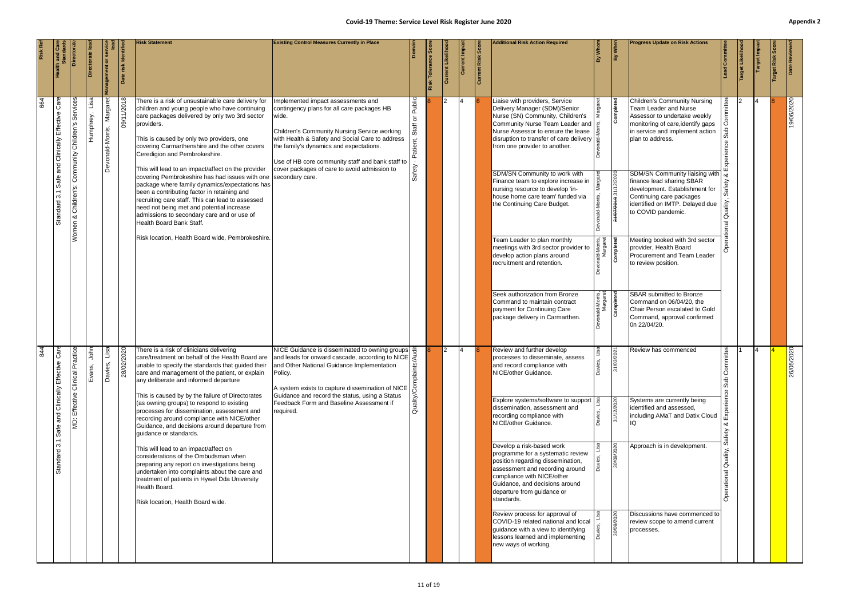|     |                                                                              | Director                                          | ectorate le       | inagement or                 | risk Identif<br>$\mathbf{\Omega}$ | <b>Risk Statement</b>                                                                                                                                                                                                                                                                                                                                                                                                                                                                                                                                                                                                                                                                                                                                                                                                                                           | <b>Existing Control Measures Currently in Place</b>                                                                                                                                                                                                                                                                                                            |                             | ါ္တိ<br>Tolerance \$<br>Risk | <b>Current Likelih</b> | Current Impa   | Current Risk Scor | <b>Additional Risk Action Required</b>                                                                                                                                                                                                                                                                                                                                                                                                                                                                                                                                                                                                                                                                                        | 嵛                                                                                  | By Whe                                                   | <b>Progress Update on Risk Actions</b>                                                                                                                                                                                                                                                                                                                                                                                                                                                                                                                                                                                                           | Commi                                                         | Target Likelih | arget Imp | Date Review    |
|-----|------------------------------------------------------------------------------|---------------------------------------------------|-------------------|------------------------------|-----------------------------------|-----------------------------------------------------------------------------------------------------------------------------------------------------------------------------------------------------------------------------------------------------------------------------------------------------------------------------------------------------------------------------------------------------------------------------------------------------------------------------------------------------------------------------------------------------------------------------------------------------------------------------------------------------------------------------------------------------------------------------------------------------------------------------------------------------------------------------------------------------------------|----------------------------------------------------------------------------------------------------------------------------------------------------------------------------------------------------------------------------------------------------------------------------------------------------------------------------------------------------------------|-----------------------------|------------------------------|------------------------|----------------|-------------------|-------------------------------------------------------------------------------------------------------------------------------------------------------------------------------------------------------------------------------------------------------------------------------------------------------------------------------------------------------------------------------------------------------------------------------------------------------------------------------------------------------------------------------------------------------------------------------------------------------------------------------------------------------------------------------------------------------------------------------|------------------------------------------------------------------------------------|----------------------------------------------------------|--------------------------------------------------------------------------------------------------------------------------------------------------------------------------------------------------------------------------------------------------------------------------------------------------------------------------------------------------------------------------------------------------------------------------------------------------------------------------------------------------------------------------------------------------------------------------------------------------------------------------------------------------|---------------------------------------------------------------|----------------|-----------|----------------|
| 664 | Care<br>Effective<br>Clinically<br>and<br>Safe<br>$\overline{3}$<br>Standard | Momen & Children's: Community Children's Services | Lisa<br>Humphrey, | Margaret<br>Devonald-Morris, | 8102/11/60                        | There is a risk of unsustainable care delivery for<br>children and young people who have continuing<br>care packages delivered by only two 3rd sector<br>providers.<br>This is caused by only two providers, one<br>covering Carmarthenshire and the other covers<br>Ceredigion and Pembrokeshire.<br>This will lead to an impact/affect on the provider<br>covering Pembrokeshire has had issues with one<br>package where family dynamics/expectations has<br>been a contributing factor in retaining and<br>recruiting care staff. This can lead to assessed<br>need not being met and potential increase<br>admissions to secondary care and or use of<br>Health Board Bank Staff.<br>Risk location, Health Board wide, Pembrokeshire.                                                                                                                      | Implemented impact assessments and<br>contingency plans for all care packages HB<br>wide.<br>Children's Community Nursing Service working<br>with Health & Safety and Social Care to address<br>the family's dynamics and expectations.<br>Use of HB core community staff and bank staff to<br>cover packages of care to avoid admission to<br>secondary care. | <b>Public</b><br>১<br>Staff |                              |                        | $\overline{4}$ |                   | Liaise with providers, Service<br>Delivery Manager (SDM)/Senior<br>Nurse (SN) Community, Children's<br>Community Nurse Team Leader and<br>Nurse Assessor to ensure the lease<br>disruption to transfer of care delivery $\frac{1}{2}$<br>from one provider to another.<br>SDM/SN Community to work with<br>Finance team to explore increase in<br>nursing resource to develop 'in-<br>house home care team' funded via<br>the Continuing Care Budget.<br>Team Leader to plan monthly<br>meetings with 3rd sector provider to<br>develop action plans around<br>recruitment and retention.<br>Seek authorization from Bronze<br>Command to maintain contract<br>payment for Continuing Care<br>package delivery in Carmarthen. | <sub>onald-Morris,</sub><br>Margaret<br><b>Completed</b><br>ld-Morris,<br>Margaret | Completed<br>31/07/2019 31/12/2020<br>Completed          | <b>Children's Community Nursing</b><br><b>Team Leader and Nurse</b><br>Assessor to undertake weekly<br>monitoring of care, identify gaps<br>in service and implement action<br>plan to address.<br>SDM/SN Community liaising with<br>finance lead sharing SBAR<br>development. Establishment for<br>Continuing care packages<br>identified on IMTP. Delayed due<br>to COVID pandemic.<br>Meeting booked with 3rd sector<br>provider, Health Board<br>Procurement and Team Leader<br>to review position.<br>SBAR submitted to Bronze<br>Command on 06/04/20, the<br>Chair Person escalated to Gold<br>Command, approval confirmed<br>0n 22/04/20. | mittee<br>Sub<br>Quality<br>ional                             |                |           | 19/06/2020     |
| 844 | Care<br>and Clinically Effective<br>Safe<br>$3.1$<br>Standard                | actice<br>MD: Effective Clinical Pra              | John<br>Evans,    | esi<br>Davies,               | 2020<br>28/02                     | There is a risk of clinicians delivering<br>care/treatment on behalf of the Health Board are and leads for onward cascade, according to NICE<br>unable to specify the standards that guided their<br>care and management of the patient, or explain<br>any deliberate and informed departure<br>This is caused by by the failure of Directorates<br>(as owning groups) to respond to existing<br>processes for dissemination, assessment and<br>recording around compliance with NICE/other<br>Guidance, and decisions around departure from<br>guidance or standards.<br>This will lead to an impact/affect on<br>considerations of the Ombudsman when<br>preparing any report on investigations being<br>undertaken into complaints about the care and<br>treatment of patients in Hywel Dda University<br>Health Board.<br>Risk location, Health Board wide. | NICE Guidance is disseminated to owning groups<br>and Other National Guidance Implementation<br>Policy.<br>A system exists to capture dissemination of NICE $\sqrt{3}$<br>Guidance and record the status, using a Status<br>Feedback Form and Baseline Assessment if<br>required.                                                                              | mplaints <sub>/</sub>       |                              |                        |                |                   | Review and further develop<br>processes to disseminate, assess<br>and record compliance with<br>NICE/other Guidance.<br>Explore systems/software to support<br>dissemination, assessment and<br>recording compliance with<br>NICE/other Guidance.<br>Develop a risk-based work<br>programme for a systematic review<br>position regarding dissemination,<br>assessment and recording around<br>compliance with NICE/other<br>Guidance, and decisions around<br>departure from guidance or<br>standards.<br>Review process for approval of<br>COVID-19 related national and local<br>guidance with a view to identifying<br>lessons learned and implementing<br>new ways of working.                                           |                                                                                    | 3/2021<br>31/0<br>31/12/2020<br>30/09/2020<br>30/09/2020 | Review has commenced<br>Systems are currently being<br>identified and assessed,<br>including AMaT and Datix Cloud<br>Approach is in development.<br>Discussions have commenced to<br>review scope to amend current<br>processes.                                                                                                                                                                                                                                                                                                                                                                                                                 | nittee<br>ု<br>ပိ၏<br>duS<br>afety<br>Quality,<br>Operational |                |           | 0702<br>26/05/ |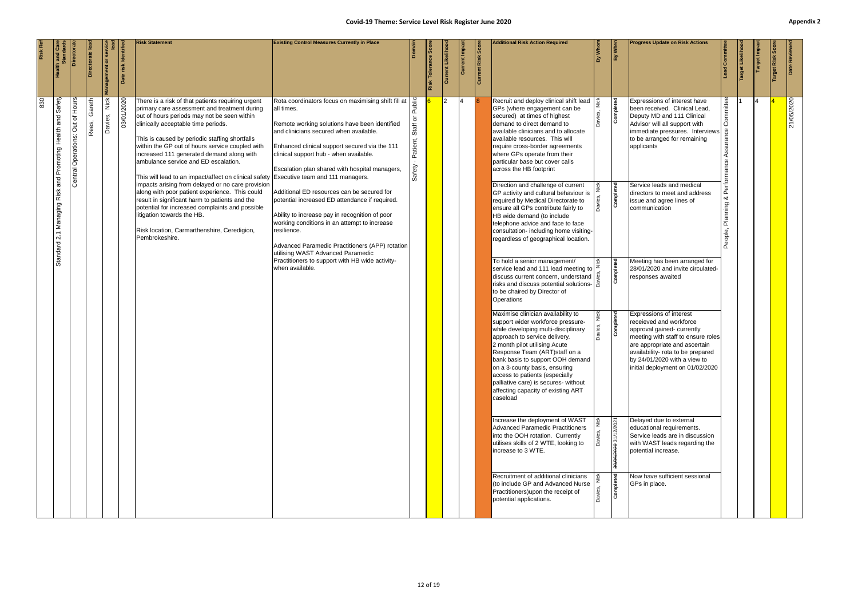| Date Reviewe                                        | 21/05/2020                                                                                                                                                                                                                                                                                                                                                                                                                                                                                                                                                                                                                                                                                                                                                                                                                                                                                                                                                                                                                                                                                                                                                                                                                                                                                                                                                                                                                                                                                                                                                                                          |                         |
|-----------------------------------------------------|-----------------------------------------------------------------------------------------------------------------------------------------------------------------------------------------------------------------------------------------------------------------------------------------------------------------------------------------------------------------------------------------------------------------------------------------------------------------------------------------------------------------------------------------------------------------------------------------------------------------------------------------------------------------------------------------------------------------------------------------------------------------------------------------------------------------------------------------------------------------------------------------------------------------------------------------------------------------------------------------------------------------------------------------------------------------------------------------------------------------------------------------------------------------------------------------------------------------------------------------------------------------------------------------------------------------------------------------------------------------------------------------------------------------------------------------------------------------------------------------------------------------------------------------------------------------------------------------------------|-------------------------|
| Risk                                                |                                                                                                                                                                                                                                                                                                                                                                                                                                                                                                                                                                                                                                                                                                                                                                                                                                                                                                                                                                                                                                                                                                                                                                                                                                                                                                                                                                                                                                                                                                                                                                                                     |                         |
| arget Impa                                          |                                                                                                                                                                                                                                                                                                                                                                                                                                                                                                                                                                                                                                                                                                                                                                                                                                                                                                                                                                                                                                                                                                                                                                                                                                                                                                                                                                                                                                                                                                                                                                                                     |                         |
| <b>Hiselin</b>                                      |                                                                                                                                                                                                                                                                                                                                                                                                                                                                                                                                                                                                                                                                                                                                                                                                                                                                                                                                                                                                                                                                                                                                                                                                                                                                                                                                                                                                                                                                                                                                                                                                     |                         |
| d Committee                                         | mittee<br>Assur<br>య<br>lanning<br>People,                                                                                                                                                                                                                                                                                                                                                                                                                                                                                                                                                                                                                                                                                                                                                                                                                                                                                                                                                                                                                                                                                                                                                                                                                                                                                                                                                                                                                                                                                                                                                          |                         |
| <b>Progress Update on Risk Actions</b>              | Expressions of interest have<br>been received. Clinical Lead,<br>Deputy MD and 111 Clinical<br>Advisor will all support with<br>immediate pressures. Interviews 8<br>to be arranged for remaining<br>applicants<br>Service leads and medical<br>directors to meet and address<br>issue and agree lines of<br>communication<br>Meeting has been arranged for<br>28/01/2020 and invite circulated-<br>responses awaited<br>Expressions of interest<br>receieved and workforce<br>approval gained- currently<br>meeting with staff to ensure roles<br>are appropriate and ascertain<br>availability- rota to be prepared<br>by 24/01/2020 with a view to<br>initial deployment on 01/02/2020<br>Delayed due to external<br>educational requirements.<br>Service leads are in discussion<br>with WAST leads regarding the<br>potential increase.<br>Now have sufficient sessional<br>GPs in place.                                                                                                                                                                                                                                                                                                                                                                                                                                                                                                                                                                                                                                                                                                      |                         |
| $\frac{1}{\frac{3}{2}}$                             | Completed<br>Completed<br>Completed<br>Completed<br>30/06/2020 31/12/2021<br>Completed                                                                                                                                                                                                                                                                                                                                                                                                                                                                                                                                                                                                                                                                                                                                                                                                                                                                                                                                                                                                                                                                                                                                                                                                                                                                                                                                                                                                                                                                                                              |                         |
| By Whom                                             | Da                                                                                                                                                                                                                                                                                                                                                                                                                                                                                                                                                                                                                                                                                                                                                                                                                                                                                                                                                                                                                                                                                                                                                                                                                                                                                                                                                                                                                                                                                                                                                                                                  |                         |
| <b>Additional Risk Action Required</b>              | Recruit and deploy clinical shift lead<br>GPs (where engagement can be<br>secured) at times of highest<br>demand to direct demand to<br>available clinicians and to allocate<br>available resources. This will<br>require cross-border agreements<br>where GPs operate from their<br>particular base but cover calls<br>across the HB footprint<br>Direction and challenge of current<br>GP activity and cultural behaviour is<br>required by Medical Directorate to<br>ensure all GPs contribute fairly to<br>HB wide demand (to include<br>telephone advice and face to face<br>consultation- including home visiting-<br>regardless of geographical location.<br>To hold a senior management/<br>service lead and 111 lead meeting to<br>discuss current concern, understand  <br>risks and discuss potential solutions-<br>to be chaired by Director of<br>Operations<br>Maximise clinician availability to<br>support wider workforce pressure-<br>while developing multi-disciplinary<br>approach to service delivery.<br>2 month pilot utilising Acute<br>Response Team (ART) staff on a<br>bank basis to support OOH demand<br>on a 3-county basis, ensuring<br>access to patients (especially<br>palliative care) is secures- without<br>affecting capacity of existing ART<br>caseload<br>Increase the deployment of WAST<br><b>Advanced Paramedic Practitioners</b><br>into the OOH rotation. Currently<br>utilises skills of 2 WTE, looking to<br>increase to 3 WTE.<br>Recruitment of additional clinicians<br>(to include GP and Advanced Nurse<br>Practitioners) upon the receipt of | potential applications. |
| <b>Current Risk Score</b>                           |                                                                                                                                                                                                                                                                                                                                                                                                                                                                                                                                                                                                                                                                                                                                                                                                                                                                                                                                                                                                                                                                                                                                                                                                                                                                                                                                                                                                                                                                                                                                                                                                     |                         |
| Current Impa                                        | 14                                                                                                                                                                                                                                                                                                                                                                                                                                                                                                                                                                                                                                                                                                                                                                                                                                                                                                                                                                                                                                                                                                                                                                                                                                                                                                                                                                                                                                                                                                                                                                                                  |                         |
| Current Likeliho                                    |                                                                                                                                                                                                                                                                                                                                                                                                                                                                                                                                                                                                                                                                                                                                                                                                                                                                                                                                                                                                                                                                                                                                                                                                                                                                                                                                                                                                                                                                                                                                                                                                     |                         |
| Tolerance                                           |                                                                                                                                                                                                                                                                                                                                                                                                                                                                                                                                                                                                                                                                                                                                                                                                                                                                                                                                                                                                                                                                                                                                                                                                                                                                                                                                                                                                                                                                                                                                                                                                     |                         |
|                                                     |                                                                                                                                                                                                                                                                                                                                                                                                                                                                                                                                                                                                                                                                                                                                                                                                                                                                                                                                                                                                                                                                                                                                                                                                                                                                                                                                                                                                                                                                                                                                                                                                     |                         |
| Domair                                              | ৯<br>Staff<br>Patient,<br>Safety                                                                                                                                                                                                                                                                                                                                                                                                                                                                                                                                                                                                                                                                                                                                                                                                                                                                                                                                                                                                                                                                                                                                                                                                                                                                                                                                                                                                                                                                                                                                                                    |                         |
| <b>Existing Control Measures Currently in Place</b> | Rota coordinators focus on maximising shift fill at<br>all times.<br>Remote working solutions have been identified<br>and clinicians secured when available.<br>Enhanced clinical support secured via the 111<br>clinical support hub - when available.<br>Escalation plan shared with hospital managers,<br>Additional ED resources can be secured for<br>potential increased ED attendance if required.<br>Ability to increase pay in recognition of poor<br>working conditions in an attempt to increase<br>resilience.<br>Advanced Paramedic Practitioners (APP) rotation<br>utilising WAST Advanced Paramedic<br>Practitioners to support with HB wide activity-<br>when available.                                                                                                                                                                                                                                                                                                                                                                                                                                                                                                                                                                                                                                                                                                                                                                                                                                                                                                            |                         |
| <b>Risk Statement</b>                               | There is a risk of that patients requiring urgent<br>primary care assessment and treatment during<br>out of hours periods may not be seen within<br>clinically acceptable time periods.<br>This is caused by periodic staffing shortfalls<br>within the GP out of hours service coupled with<br>increased 111 generated demand along with<br>ambulance service and ED escalation.<br>This will lead to an impact/affect on clinical safety Executive team and 111 managers.<br>impacts arising from delayed or no care provision<br>along with poor patient experience. This could<br>result in significant harm to patients and the<br>potential for increased complaints and possible<br>litigation towards the HB.<br>Risk location, Carmarthenshire, Ceredigion,<br>Pembrokeshire.                                                                                                                                                                                                                                                                                                                                                                                                                                                                                                                                                                                                                                                                                                                                                                                                              |                         |
| Date risk Identifie                                 | 03/01/2020                                                                                                                                                                                                                                                                                                                                                                                                                                                                                                                                                                                                                                                                                                                                                                                                                                                                                                                                                                                                                                                                                                                                                                                                                                                                                                                                                                                                                                                                                                                                                                                          |                         |
| inagement or                                        | Nick<br>Davies,                                                                                                                                                                                                                                                                                                                                                                                                                                                                                                                                                                                                                                                                                                                                                                                                                                                                                                                                                                                                                                                                                                                                                                                                                                                                                                                                                                                                                                                                                                                                                                                     |                         |
| ectorate                                            | Gareth<br>Rees,                                                                                                                                                                                                                                                                                                                                                                                                                                                                                                                                                                                                                                                                                                                                                                                                                                                                                                                                                                                                                                                                                                                                                                                                                                                                                                                                                                                                                                                                                                                                                                                     |                         |
| <b>Directorat</b>                                   | Hours<br>đ<br>$\vec{5}$<br>Central Operations:                                                                                                                                                                                                                                                                                                                                                                                                                                                                                                                                                                                                                                                                                                                                                                                                                                                                                                                                                                                                                                                                                                                                                                                                                                                                                                                                                                                                                                                                                                                                                      |                         |
| <b>Health and Called</b><br><b>Standard</b>         | Safety<br>Promoting Health and<br>and<br>Managing Risk<br>$\overline{2.1}$<br>Standard                                                                                                                                                                                                                                                                                                                                                                                                                                                                                                                                                                                                                                                                                                                                                                                                                                                                                                                                                                                                                                                                                                                                                                                                                                                                                                                                                                                                                                                                                                              |                         |
|                                                     |                                                                                                                                                                                                                                                                                                                                                                                                                                                                                                                                                                                                                                                                                                                                                                                                                                                                                                                                                                                                                                                                                                                                                                                                                                                                                                                                                                                                                                                                                                                                                                                                     |                         |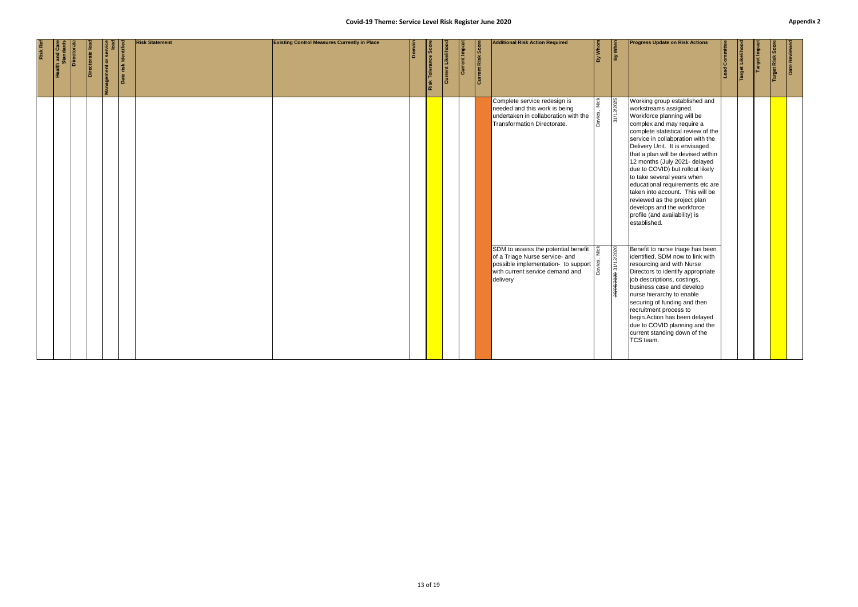| Date Reviewed                                       |                                                                                                                                                                                                                                                                                                                                                                                                                                                                                                                                                                                                    |                                                                                                                                                                                                                                                                                                                                                                       |
|-----------------------------------------------------|----------------------------------------------------------------------------------------------------------------------------------------------------------------------------------------------------------------------------------------------------------------------------------------------------------------------------------------------------------------------------------------------------------------------------------------------------------------------------------------------------------------------------------------------------------------------------------------------------|-----------------------------------------------------------------------------------------------------------------------------------------------------------------------------------------------------------------------------------------------------------------------------------------------------------------------------------------------------------------------|
| <b>Target Risk</b>                                  |                                                                                                                                                                                                                                                                                                                                                                                                                                                                                                                                                                                                    |                                                                                                                                                                                                                                                                                                                                                                       |
| <b>Target Impac</b>                                 |                                                                                                                                                                                                                                                                                                                                                                                                                                                                                                                                                                                                    |                                                                                                                                                                                                                                                                                                                                                                       |
| Target Likeliho                                     |                                                                                                                                                                                                                                                                                                                                                                                                                                                                                                                                                                                                    |                                                                                                                                                                                                                                                                                                                                                                       |
| Lead Committee                                      |                                                                                                                                                                                                                                                                                                                                                                                                                                                                                                                                                                                                    |                                                                                                                                                                                                                                                                                                                                                                       |
| <b>Progress Update on Risk Actions</b>              | Working group established and<br>workstreams assigned.<br>Workforce planning will be<br>complex and may require a<br>complete statistical review of the<br>service in collaboration with the<br>Delivery Unit. It is envisaged<br>that a plan will be devised within<br>12 months (July 2021- delayed<br>due to COVID) but rollout likely<br>to take several years when<br>educational requirements etc are<br>taken into account. This will be<br>reviewed as the project plan<br>develops and the workforce<br>profile (and availability) is<br>established.<br>Benefit to nurse triage has been | identified, SDM now to link with<br>resourcing and with Nurse<br>Directors to identify appropriate<br>job descriptions, costings,<br>business case and develop<br>nurse hierarchy to enable<br>securing of funding and then<br>recruitment process to<br>begin. Action has been delayed<br>due to COVID planning and the<br>current standing down of the<br>TCS team. |
| By When                                             | 31/12/2025                                                                                                                                                                                                                                                                                                                                                                                                                                                                                                                                                                                         | 29/05/2020 31/12/2020                                                                                                                                                                                                                                                                                                                                                 |
| By Whom                                             | Nick<br>Dav                                                                                                                                                                                                                                                                                                                                                                                                                                                                                                                                                                                        |                                                                                                                                                                                                                                                                                                                                                                       |
| <b>Additional Risk Action Required</b>              | Complete service redesign is<br>needed and this work is being<br>undertaken in collaboration with the<br>Transformation Directorate.<br>SDM to assess the potential benefit                                                                                                                                                                                                                                                                                                                                                                                                                        | of a Triage Nurse service- and<br>possible implementation- to support $\begin{bmatrix} .0 \\ .0 \\ .0 \end{bmatrix}$ with current service demand and<br>delivery                                                                                                                                                                                                      |
| <b>Current Risk Score</b>                           |                                                                                                                                                                                                                                                                                                                                                                                                                                                                                                                                                                                                    |                                                                                                                                                                                                                                                                                                                                                                       |
| Current Impact                                      |                                                                                                                                                                                                                                                                                                                                                                                                                                                                                                                                                                                                    |                                                                                                                                                                                                                                                                                                                                                                       |
| <b>Current Likeliho</b>                             |                                                                                                                                                                                                                                                                                                                                                                                                                                                                                                                                                                                                    |                                                                                                                                                                                                                                                                                                                                                                       |
| Risk Tolerance Score                                |                                                                                                                                                                                                                                                                                                                                                                                                                                                                                                                                                                                                    |                                                                                                                                                                                                                                                                                                                                                                       |
| ۱ā                                                  |                                                                                                                                                                                                                                                                                                                                                                                                                                                                                                                                                                                                    |                                                                                                                                                                                                                                                                                                                                                                       |
| <b>Existing Control Measures Currently in Place</b> |                                                                                                                                                                                                                                                                                                                                                                                                                                                                                                                                                                                                    |                                                                                                                                                                                                                                                                                                                                                                       |
| <b>Risk Statement</b>                               |                                                                                                                                                                                                                                                                                                                                                                                                                                                                                                                                                                                                    |                                                                                                                                                                                                                                                                                                                                                                       |
| Date risk Identified                                |                                                                                                                                                                                                                                                                                                                                                                                                                                                                                                                                                                                                    |                                                                                                                                                                                                                                                                                                                                                                       |
| ment or                                             |                                                                                                                                                                                                                                                                                                                                                                                                                                                                                                                                                                                                    |                                                                                                                                                                                                                                                                                                                                                                       |
| Directorate lead                                    |                                                                                                                                                                                                                                                                                                                                                                                                                                                                                                                                                                                                    |                                                                                                                                                                                                                                                                                                                                                                       |
| Directorate                                         |                                                                                                                                                                                                                                                                                                                                                                                                                                                                                                                                                                                                    |                                                                                                                                                                                                                                                                                                                                                                       |
| <b>Health and Car</b><br>Standard                   |                                                                                                                                                                                                                                                                                                                                                                                                                                                                                                                                                                                                    |                                                                                                                                                                                                                                                                                                                                                                       |
| Risk Ref                                            |                                                                                                                                                                                                                                                                                                                                                                                                                                                                                                                                                                                                    |                                                                                                                                                                                                                                                                                                                                                                       |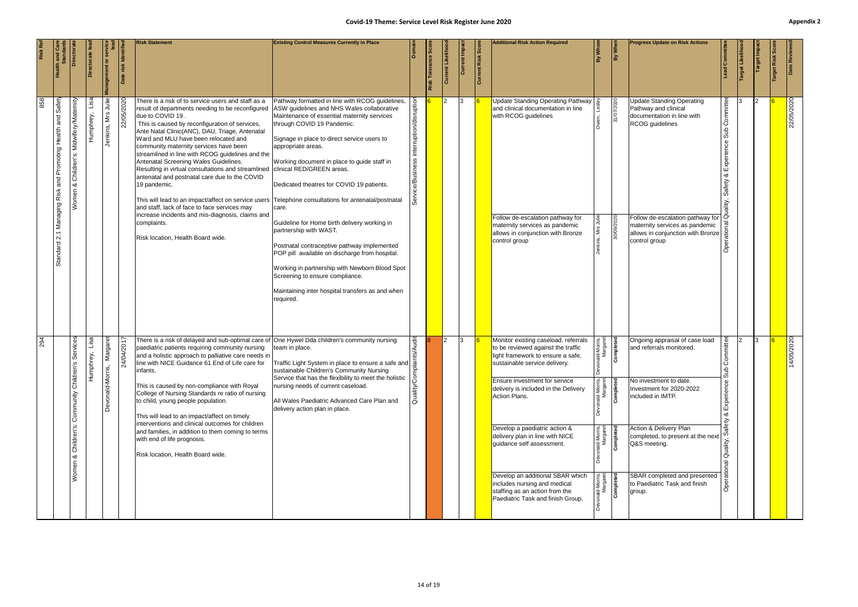|                                                     |                                                                                                                                                                                                                                                                                                                                                                                                                                                                                                                                                                                                                                                                                                                                                                                                                                                | 1/05/2020                                                                                                                                                                                                                                                                                                                                                                                                                                                                                                                                                                                                                                    |
|-----------------------------------------------------|------------------------------------------------------------------------------------------------------------------------------------------------------------------------------------------------------------------------------------------------------------------------------------------------------------------------------------------------------------------------------------------------------------------------------------------------------------------------------------------------------------------------------------------------------------------------------------------------------------------------------------------------------------------------------------------------------------------------------------------------------------------------------------------------------------------------------------------------|----------------------------------------------------------------------------------------------------------------------------------------------------------------------------------------------------------------------------------------------------------------------------------------------------------------------------------------------------------------------------------------------------------------------------------------------------------------------------------------------------------------------------------------------------------------------------------------------------------------------------------------------|
| Date Reviewe                                        | 22/05/2020                                                                                                                                                                                                                                                                                                                                                                                                                                                                                                                                                                                                                                                                                                                                                                                                                                     | $\dot{4}$                                                                                                                                                                                                                                                                                                                                                                                                                                                                                                                                                                                                                                    |
| arget Impa<br>Risk                                  |                                                                                                                                                                                                                                                                                                                                                                                                                                                                                                                                                                                                                                                                                                                                                                                                                                                | 13.                                                                                                                                                                                                                                                                                                                                                                                                                                                                                                                                                                                                                                          |
|                                                     |                                                                                                                                                                                                                                                                                                                                                                                                                                                                                                                                                                                                                                                                                                                                                                                                                                                |                                                                                                                                                                                                                                                                                                                                                                                                                                                                                                                                                                                                                                              |
| d Committee                                         | ommittee<br>Ō<br>Sub<br>∞ర<br>Safety                                                                                                                                                                                                                                                                                                                                                                                                                                                                                                                                                                                                                                                                                                                                                                                                           | ommittee<br>∣○<br>Sub<br>ā                                                                                                                                                                                                                                                                                                                                                                                                                                                                                                                                                                                                                   |
|                                                     |                                                                                                                                                                                                                                                                                                                                                                                                                                                                                                                                                                                                                                                                                                                                                                                                                                                |                                                                                                                                                                                                                                                                                                                                                                                                                                                                                                                                                                                                                                              |
| <b>Progress Update on Risk Actions</b>              | Update Standing Operating<br>Pathway and clinical<br>documentation in line with<br>RCOG guidelines<br>Follow de-escalation pathway for<br>maternity services as pandemic<br>allows in conjunction with Bronze<br>control group                                                                                                                                                                                                                                                                                                                                                                                                                                                                                                                                                                                                                 | Ongoing appraisal of case load<br>and referrals monitored.<br>No investment to date.<br>Investment for 2020-2022<br>included in IMTP.<br>Action & Delivery Plan<br>completed, to present at the next<br>Q&S meeting.<br>SBAR completed and presented<br>to Paediatric Task and finish<br>group.                                                                                                                                                                                                                                                                                                                                              |
| By Whe                                              | 31/07/2020<br>30/09/2020                                                                                                                                                                                                                                                                                                                                                                                                                                                                                                                                                                                                                                                                                                                                                                                                                       | Completed                                                                                                                                                                                                                                                                                                                                                                                                                                                                                                                                                                                                                                    |
| តិ                                                  |                                                                                                                                                                                                                                                                                                                                                                                                                                                                                                                                                                                                                                                                                                                                                                                                                                                | ld-Morris,<br>Margaret<br><sub>nald-Morris,</sub><br>Margaret<br><b>Completed</b><br><sub>nald-Morris,</sub><br>Margaret<br><b>Completed</b><br><sub>inald-Morris,</sub><br>Margaret<br><b>Completed</b>                                                                                                                                                                                                                                                                                                                                                                                                                                     |
| <b>Additional Risk Action Required</b>              | <b>Update Standing Operating Pathway</b><br>and clinical documentation in line<br>with RCOG guidelines<br>Follow de-escalation pathway for<br>maternity services as pandemic<br>allows in conjunction with Bronze<br>control group                                                                                                                                                                                                                                                                                                                                                                                                                                                                                                                                                                                                             | Monitor existing caseload, referrals<br>to be reviewed against the traffic<br>light framework to ensure a safe,<br>sustainable service delivery.<br><b>Ensure investment for service</b><br>delivery is included in the Delivery<br>Action Plans.<br>Develop a paediatric action &<br>delivery plan in line with NICE<br>guidance self assessment.<br>Develop an additional SBAR which<br>includes nursing and medical<br>staffing as an action from the<br>Paediatric Task and finish Group.                                                                                                                                                |
|                                                     |                                                                                                                                                                                                                                                                                                                                                                                                                                                                                                                                                                                                                                                                                                                                                                                                                                                |                                                                                                                                                                                                                                                                                                                                                                                                                                                                                                                                                                                                                                              |
| <b>Current Risk Score</b>                           |                                                                                                                                                                                                                                                                                                                                                                                                                                                                                                                                                                                                                                                                                                                                                                                                                                                |                                                                                                                                                                                                                                                                                                                                                                                                                                                                                                                                                                                                                                              |
| Current Impa<br>Currer                              | IЗ                                                                                                                                                                                                                                                                                                                                                                                                                                                                                                                                                                                                                                                                                                                                                                                                                                             | 13<br>2                                                                                                                                                                                                                                                                                                                                                                                                                                                                                                                                                                                                                                      |
| ခြွ<br>Likelih<br>Tolerance<br>Risk                 |                                                                                                                                                                                                                                                                                                                                                                                                                                                                                                                                                                                                                                                                                                                                                                                                                                                |                                                                                                                                                                                                                                                                                                                                                                                                                                                                                                                                                                                                                                              |
|                                                     |                                                                                                                                                                                                                                                                                                                                                                                                                                                                                                                                                                                                                                                                                                                                                                                                                                                |                                                                                                                                                                                                                                                                                                                                                                                                                                                                                                                                                                                                                                              |
|                                                     |                                                                                                                                                                                                                                                                                                                                                                                                                                                                                                                                                                                                                                                                                                                                                                                                                                                | Quality/                                                                                                                                                                                                                                                                                                                                                                                                                                                                                                                                                                                                                                     |
| <b>Existing Control Measures Currently in Place</b> | Pathway formatted in line with RCOG guidelines,<br>Maintenance of essential maternity services<br>through COVID 19 Pandemic.<br>Signage in place to direct service users to<br>appropriate areas.<br>Working document in place to guide staff in<br>clinical RED/GREEN areas.<br>Dedicated theatres for COVID 19 patients.<br>care.<br>Guideline for Home birth delivery working in<br>partnership with WAST.<br>Postnatal contraceptive pathway implemented<br>POP pill available on discharge from hospital.<br>Working in partnership with Newborn Blood Spot<br>Screening to ensure compliance.<br>Maintaining inter hospital transfers as and when<br>required.                                                                                                                                                                           | team in place.<br>Traffic Light System in place to ensure a safe and<br>sustainable Children's Community Nursing<br>Service that has the flexibility to meet the holistic<br>nursing needs of current caseload.<br>All Wales Paediatric Advanced Care Plan and<br>delivery action plan in place.                                                                                                                                                                                                                                                                                                                                             |
| <b>Risk Statement</b>                               | There is a risk of to service users and staff as a<br>result of departments needing to be reconfigured ASW guidelines and NHS Wales collaborative<br>due to COVID 19.<br>This is caused by reconfiguration of services,<br>Ante Natal Clinic(ANC), DAU, Triage, Antenatal<br>Ward and MLU have been relocated and<br>community maternity services have been<br>streamlined in line with RCOG guidelines and the<br>Antenatal Screening Wales Guidelines.<br>Resulting in virtual consultations and streamlined<br>antenatal and postnatal care due to the COVID<br>19 pandemic.<br>This will lead to an impact/affect on service users Telephone consultations for antenatal/postnatal<br>and staff, lack of face to face services may<br>increase incidents and mis-diagnosis, claims and<br>complaints.<br>Risk location, Health Board wide. | There is a risk of delayed and sub-optimal care of One Hywel Dda children's community nursing<br>paediatric patients requiring community nursing<br>and a holistic approach to palliative care needs in<br>line with NICE Guidance 61 End of Life care for<br>infants.<br>This is caused by non-compliance with Royal<br>College of Nursing Standards re ratio of nursing<br>to child, young people population.<br>This will lead to an impact/affect on timely<br>interventions and clinical outcomes for children<br>and families, in addition to them coming to terms<br>with end of life prognosis.<br>Risk location, Health Board wide. |
| risk Identifie                                      | 22/05/2020                                                                                                                                                                                                                                                                                                                                                                                                                                                                                                                                                                                                                                                                                                                                                                                                                                     | /04/2017<br>$\frac{4}{3}$                                                                                                                                                                                                                                                                                                                                                                                                                                                                                                                                                                                                                    |
| $\frac{1}{2}$                                       | Julie<br>Mrs<br>Jenkins,                                                                                                                                                                                                                                                                                                                                                                                                                                                                                                                                                                                                                                                                                                                                                                                                                       | Margar<br>onald-Morris,                                                                                                                                                                                                                                                                                                                                                                                                                                                                                                                                                                                                                      |
| ectorate                                            | Humphrey,                                                                                                                                                                                                                                                                                                                                                                                                                                                                                                                                                                                                                                                                                                                                                                                                                                      | rey,<br>Humphi<br>Humphi                                                                                                                                                                                                                                                                                                                                                                                                                                                                                                                                                                                                                     |
| Directora                                           | Midwifery/Maternity<br>Children's:<br>య<br>Women                                                                                                                                                                                                                                                                                                                                                                                                                                                                                                                                                                                                                                                                                                                                                                                               | Services<br>Community Children's<br>Children's:<br>Women &                                                                                                                                                                                                                                                                                                                                                                                                                                                                                                                                                                                   |
|                                                     | Safety<br>Promoting Health and<br>Managing Risk and<br>$\overline{2.1}$<br>Standard                                                                                                                                                                                                                                                                                                                                                                                                                                                                                                                                                                                                                                                                                                                                                            |                                                                                                                                                                                                                                                                                                                                                                                                                                                                                                                                                                                                                                              |
|                                                     | 858                                                                                                                                                                                                                                                                                                                                                                                                                                                                                                                                                                                                                                                                                                                                                                                                                                            | 294                                                                                                                                                                                                                                                                                                                                                                                                                                                                                                                                                                                                                                          |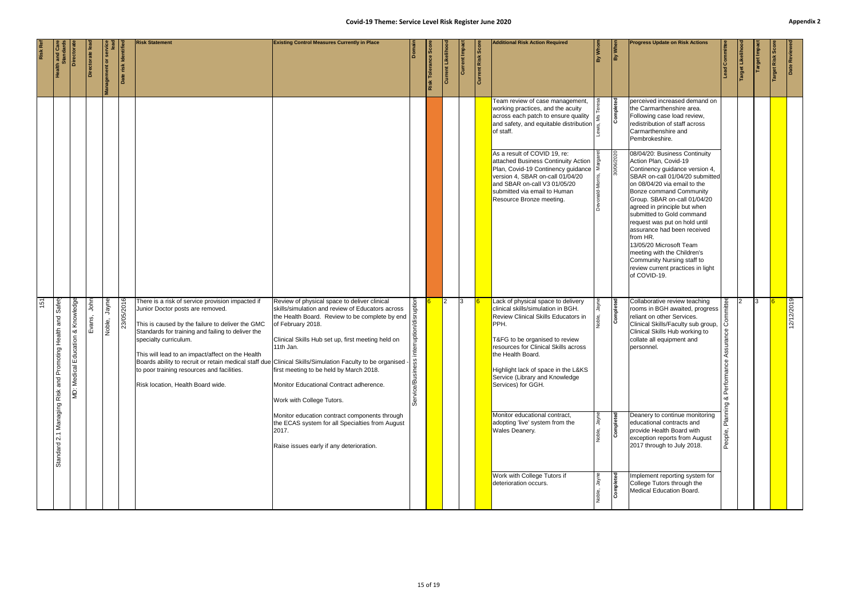|                | <b>Health and Care</b><br>Standards           | Directorat                           | Directorate le | anagement or servic | Date risk Identifie | <b>Risk Statement</b>                                                                                                                                                                                                                                                                                                                                                                                                                                                     | Covid-19 Theme: Service Level Risk Register June 2020<br><b>Existing Control Measures Currently in Place</b>                                                                                                                                                                                                                                                                     | Domair                           | Tolerance<br>Risk | Current Likelihoo | Current Impa | Current Risk Score | <b>Additional Risk Action Required</b>                                                                                                                                                                                                                                                                                | By Whom          | By When    | <b>Progress Update on Risk Actions</b>                                                                                                                                                                                                                                                                                                                                                                                                                                                                              | Lead Committee                 | Target Likeliho | Target Impact | Target Risk Sco | Appe<br>Date Reviewed |
|----------------|-----------------------------------------------|--------------------------------------|----------------|---------------------|---------------------|---------------------------------------------------------------------------------------------------------------------------------------------------------------------------------------------------------------------------------------------------------------------------------------------------------------------------------------------------------------------------------------------------------------------------------------------------------------------------|----------------------------------------------------------------------------------------------------------------------------------------------------------------------------------------------------------------------------------------------------------------------------------------------------------------------------------------------------------------------------------|----------------------------------|-------------------|-------------------|--------------|--------------------|-----------------------------------------------------------------------------------------------------------------------------------------------------------------------------------------------------------------------------------------------------------------------------------------------------------------------|------------------|------------|---------------------------------------------------------------------------------------------------------------------------------------------------------------------------------------------------------------------------------------------------------------------------------------------------------------------------------------------------------------------------------------------------------------------------------------------------------------------------------------------------------------------|--------------------------------|-----------------|---------------|-----------------|-----------------------|
|                |                                               |                                      |                |                     |                     |                                                                                                                                                                                                                                                                                                                                                                                                                                                                           |                                                                                                                                                                                                                                                                                                                                                                                  |                                  |                   |                   |              |                    | Team review of case management,<br>working practices, and the acuity<br>across each patch to ensure quality<br>and safety, and equitable distribution<br>of staff<br>of staff.                                                                                                                                        |                  | Completed  | perceived increased demand on<br>the Carmarthenshire area.<br>Following case load review,<br>redistribution of staff across<br>Carmarthenshire and<br>Pembrokeshire.                                                                                                                                                                                                                                                                                                                                                |                                |                 |               |                 |                       |
|                |                                               |                                      |                |                     |                     |                                                                                                                                                                                                                                                                                                                                                                                                                                                                           |                                                                                                                                                                                                                                                                                                                                                                                  |                                  |                   |                   |              |                    | As a result of COVID 19, re:<br>attached Business Continuity Action<br>Plan, Covid-19 Continency guidance<br>version 4, SBAR on-call 01/04/20<br>and SBAR on-call V3 01/05/20<br>submitted via email to Human<br>Resource Bronze meeting.                                                                             | Devonald-Morris, | 30/06/2020 | 08/04/20: Business Continuity<br>Action Plan, Covid-19<br>Continency guidance version 4,<br>SBAR on-call 01/04/20 submitted<br>on 08/04/20 via email to the<br><b>Bonze command Community</b><br>Group. SBAR on-call 01/04/20<br>agreed in principle but when<br>submitted to Gold command<br>request was put on hold until<br>assurance had been received<br>from HR.<br>13/05/20 Microsoft Team<br>meeting with the Children's<br>Community Nursing staff to<br>review current practices in light<br>of COVID-19. |                                |                 |               |                 |                       |
| $\frac{5}{15}$ | Managing Risk and Promoting Health and Safety | Knowledge<br>MD: Medical Education & | John<br>Evans, | Jayne<br>Noble,     | 23/05/2016          | There is a risk of service provision impacted if<br>Junior Doctor posts are removed.<br>This is caused by the failure to deliver the GMC<br>Standards for training and failing to deliver the<br>specialty curriculum.<br>This will lead to an impact/affect on the Health<br>Boards ability to recruit or retain medical staff due Clinical Skills/Simulation Faculty to be organised<br>to poor training resources and facilities.<br>Risk location, Health Board wide. | Review of physical space to deliver clinical<br>skills/simulation and review of Educators across<br>the Health Board. Review to be complete by end<br>of February 2018<br>of February 2018.<br>Clinical Skills Hub set up, first meeting held on<br>11th Jan.<br>first meeting to be held by March 2018.<br>Monitor Educational Contract adherence.<br>Work with College Tutors. | interruption<br>Service/Business |                   |                   | 13           |                    | Lack of physical space to delivery<br>clinical skills/simulation in BGH.<br>Review Clinical Skills Educators in<br>PPH.<br>T&FG to be organised to review<br>resources for Clinical Skills across<br>the Health Board.<br>Highlight lack of space in the L&KS<br>Service (Library and Knowledge<br>Services) for GGH. | Iğ               | Completed  | Collaborative review teaching<br>rooms in BGH awaited, progress<br>reliant on other Services.<br>Clinical Skills/Faculty sub group,<br>Clinical Skills Hub working to<br>collate all equipment and<br>personnel.                                                                                                                                                                                                                                                                                                    | ്ള്<br>ssur<br>Perf<br>య<br>Ρg |                 |               |                 | 12/12/2019            |
|                | Standard 2.1                                  |                                      |                |                     |                     |                                                                                                                                                                                                                                                                                                                                                                                                                                                                           | Monitor education contract components through<br>the ECAS system for all Specialties from August<br>2017.<br>Raise issues early if any deterioration.                                                                                                                                                                                                                            |                                  |                   |                   |              |                    | Monitor educational contract,<br>adopting 'live' system from the<br>Wales Deanery.                                                                                                                                                                                                                                    | Jayne<br>Noble,  | Completed  | Deanery to continue monitoring<br>educational contracts and<br>provide Health Board with<br>exception reports from August<br>2017 through to July 2018.                                                                                                                                                                                                                                                                                                                                                             | People,                        |                 |               |                 |                       |
|                |                                               |                                      |                |                     |                     |                                                                                                                                                                                                                                                                                                                                                                                                                                                                           |                                                                                                                                                                                                                                                                                                                                                                                  |                                  |                   |                   |              |                    | Work with College Tutors if<br>deterioration occurs.                                                                                                                                                                                                                                                                  | Jayne            | Completed  | Implement reporting system for<br>College Tutors through the<br>Medical Education Board.                                                                                                                                                                                                                                                                                                                                                                                                                            |                                |                 |               |                 |                       |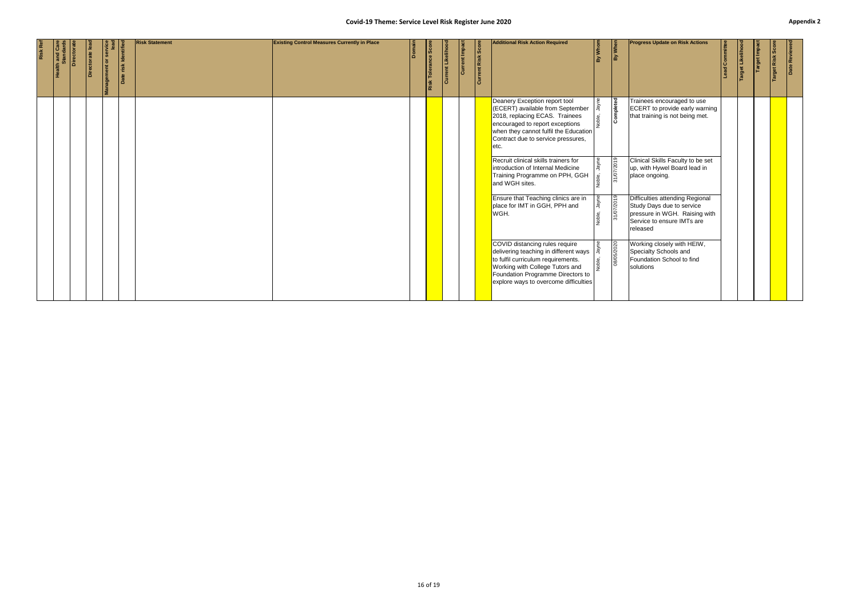|                 |                                                      |                 |                                                |                     |                       | Covid-19 Theme: Service Level Risk Register June 2020 |        |                     |                          |               |                           |                                                                                                                                                                                                                                              |                 |                  |                                                                                                                                         |                       |                  |               |                 | Appe          |
|-----------------|------------------------------------------------------|-----------------|------------------------------------------------|---------------------|-----------------------|-------------------------------------------------------|--------|---------------------|--------------------------|---------------|---------------------------|----------------------------------------------------------------------------------------------------------------------------------------------------------------------------------------------------------------------------------------------|-----------------|------------------|-----------------------------------------------------------------------------------------------------------------------------------------|-----------------------|------------------|---------------|-----------------|---------------|
| <b>Risk Ref</b> | <b>Health and Care<br/>Standards<br/>Directorate</b> | Directorate lea | Management or service<br>Management or service | Date risk Identifie | <b>Risk Statement</b> | <b>Existing Control Measures Currently in Place</b>   | Domain | Risk Tolerance Scor | <b>Current Likelihoo</b> | Current Impac | <b>Current Risk Score</b> | <b>Additional Risk Action Required</b>                                                                                                                                                                                                       | By Whom         | By When          | <b>Progress Update on Risk Actions</b>                                                                                                  | <b>Lead Committee</b> | Target Likelihoo | Target Impact | Target Risk Sco | Date Reviewed |
|                 |                                                      |                 |                                                |                     |                       |                                                       |        |                     |                          |               |                           | Deanery Exception report tool<br>(ECERT) available from September<br>2018, replacing ECAS. Trainees<br>encouraged to report exceptions<br>when they cannot fulfil the Education<br>Contract due to service pressures,<br>etc.                | λğ              | <b>Completed</b> | Trainees encouraged to use<br>ECERT to provide early warning<br>that training is not being met.                                         |                       |                  |               |                 |               |
|                 |                                                      |                 |                                                |                     |                       |                                                       |        |                     |                          |               |                           | Recruit clinical skills trainers for<br>introduction of Internal Medicine<br>Training Programme on PPH, GGH<br>and WGH sites.                                                                                                                | Noble,          | 31/07/2019       | Clinical Skills Faculty to be set<br>up, with Hywel Board lead in<br>place ongoing.                                                     |                       |                  |               |                 |               |
|                 |                                                      |                 |                                                |                     |                       |                                                       |        |                     |                          |               |                           | Ensure that Teaching clinics are in<br>place for IMT in GGH, PPH and<br>WGH.                                                                                                                                                                 | Jayne<br>Noble, | 7/2019<br>31/07  | Difficulties attending Regional<br>Study Days due to service<br>pressure in WGH. Raising with<br>Service to ensure IMTs are<br>released |                       |                  |               |                 |               |
|                 |                                                      |                 |                                                |                     |                       |                                                       |        |                     |                          |               |                           | COVID distancing rules require<br>delivering teaching in different ways $\frac{1}{3}$<br>to fulfil curriculum requirements.<br>Working with College Tutors and<br>Foundation Programme Directors to<br>explore ways to overcome difficulties |                 | 08/05/2020       | Working closely with HEIW,<br>Specialty Schools and<br>Foundation School to find<br>solutions                                           |                       |                  |               |                 |               |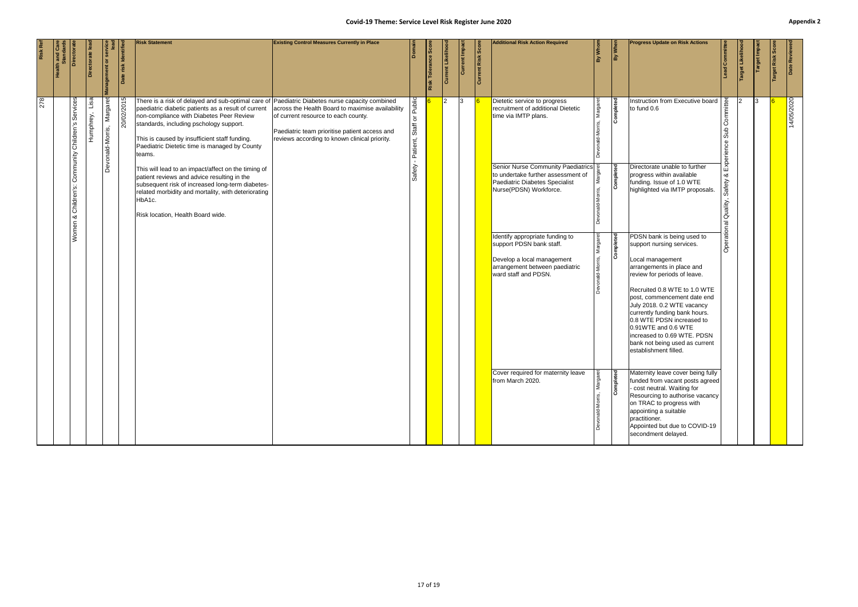|                                                     | 14/05/2020                                                                                                                                                                                                                                                                                                                                                                                                                                                                                                                                                                                                                                                                                                                                                                                                                                             |                     |
|-----------------------------------------------------|--------------------------------------------------------------------------------------------------------------------------------------------------------------------------------------------------------------------------------------------------------------------------------------------------------------------------------------------------------------------------------------------------------------------------------------------------------------------------------------------------------------------------------------------------------------------------------------------------------------------------------------------------------------------------------------------------------------------------------------------------------------------------------------------------------------------------------------------------------|---------------------|
| Date Reviewe<br>Risk                                |                                                                                                                                                                                                                                                                                                                                                                                                                                                                                                                                                                                                                                                                                                                                                                                                                                                        |                     |
| arget Impa                                          | 13                                                                                                                                                                                                                                                                                                                                                                                                                                                                                                                                                                                                                                                                                                                                                                                                                                                     |                     |
| Target Likeli                                       |                                                                                                                                                                                                                                                                                                                                                                                                                                                                                                                                                                                                                                                                                                                                                                                                                                                        |                     |
| ad Committee                                        | Committee<br>dns<br>Experience<br>య<br>Safety<br>Quality,<br>Operational                                                                                                                                                                                                                                                                                                                                                                                                                                                                                                                                                                                                                                                                                                                                                                               |                     |
| <b>Progress Update on Risk Actions</b>              | Instruction from Executive board<br>to fund 0.6<br>Directorate unable to further<br>progress within available<br>funding. Issue of 1.0 WTE<br>highlighted via IMTP proposals.<br>PDSN bank is being used to<br>support nursing services.<br>Local management<br>arrangements in place and<br>review for periods of leave.<br>Recruited 0.8 WTE to 1.0 WTE<br>post, commencement date end<br>July 2018. 0.2 WTE vacancy<br>currently funding bank hours.<br>0.8 WTE PDSN increased to<br>0.91WTE and 0.6 WTE<br>increased to 0.69 WTE. PDSN<br>bank not being used as current<br>establishment filled.<br>Maternity leave cover being fully<br>funded from vacant posts agreed<br>- cost neutral. Waiting for<br>Resourcing to authorise vacancy<br>on TRAC to progress with<br>appointing a suitable<br>practitioner.<br>Appointed but due to COVID-19 | secondment delayed. |
| By When                                             | Completed<br>Completed<br>Completed<br>Completed                                                                                                                                                                                                                                                                                                                                                                                                                                                                                                                                                                                                                                                                                                                                                                                                       |                     |
| By Whom                                             | Margar<br>Margar                                                                                                                                                                                                                                                                                                                                                                                                                                                                                                                                                                                                                                                                                                                                                                                                                                       |                     |
| <b>Additional Risk Action Required</b>              | Dietetic service to progress<br>recruitment of additional Dietetic<br>time via IMTP plans.<br>Senior Nurse Community Paediatrics<br>to undertake further assessment of<br>Paediatric Diabetes Specialist<br>Nurse(PDSN) Workforce.<br>Identify appropriate funding to<br>support PDSN bank staff.<br>Develop a local management<br>arrangement between paediatric<br>ward staff and PDSN.<br>Cover required for maternity leave<br>from March 2020.                                                                                                                                                                                                                                                                                                                                                                                                    |                     |
| <b>Current Risk Score</b>                           |                                                                                                                                                                                                                                                                                                                                                                                                                                                                                                                                                                                                                                                                                                                                                                                                                                                        |                     |
| Current Impact                                      | 13                                                                                                                                                                                                                                                                                                                                                                                                                                                                                                                                                                                                                                                                                                                                                                                                                                                     |                     |
| <b>Current Likeliho</b>                             | I2.                                                                                                                                                                                                                                                                                                                                                                                                                                                                                                                                                                                                                                                                                                                                                                                                                                                    |                     |
| Risk Tolerance Scor                                 |                                                                                                                                                                                                                                                                                                                                                                                                                                                                                                                                                                                                                                                                                                                                                                                                                                                        |                     |
|                                                     | Public<br>$\overline{\circ}$<br>Staff<br>Patient,<br>Safety                                                                                                                                                                                                                                                                                                                                                                                                                                                                                                                                                                                                                                                                                                                                                                                            |                     |
| <b>Existing Control Measures Currently in Place</b> | across the Health Board to maximise availability<br>of current resource to each county.<br>Paediatric team prioritise patient access and<br>reviews according to known clinical priority.                                                                                                                                                                                                                                                                                                                                                                                                                                                                                                                                                                                                                                                              |                     |
| <b>Risk Statement</b>                               | There is a risk of delayed and sub-optimal care of Paediatric Diabetes nurse capacity combined<br>paediatric diabetic patients as a result of current<br>non-compliance with Diabetes Peer Review<br>standards, including pschology support.<br>This is caused by insufficient staff funding.<br>Paediatric Dietetic time is managed by County<br>teams.<br>This will lead to an impact/affect on the timing of<br>patient reviews and advice resulting in the<br>subsequent risk of increased long-term diabetes-<br>related morbidity and mortality, with deteriorating<br>HbA1c.<br>Risk location, Health Board wide.                                                                                                                                                                                                                               |                     |
| risk Identified<br>Date                             | 20/02/2015                                                                                                                                                                                                                                                                                                                                                                                                                                                                                                                                                                                                                                                                                                                                                                                                                                             |                     |
| ৯                                                   | Margaret<br>Devonald-Morris,                                                                                                                                                                                                                                                                                                                                                                                                                                                                                                                                                                                                                                                                                                                                                                                                                           |                     |
| Directorate lead                                    | $\frac{1}{2}$<br>Humphrey,                                                                                                                                                                                                                                                                                                                                                                                                                                                                                                                                                                                                                                                                                                                                                                                                                             |                     |
| Directorat                                          | Children's Services<br>Community<br>Women & Children's:                                                                                                                                                                                                                                                                                                                                                                                                                                                                                                                                                                                                                                                                                                                                                                                                |                     |
|                                                     |                                                                                                                                                                                                                                                                                                                                                                                                                                                                                                                                                                                                                                                                                                                                                                                                                                                        |                     |
| <b>Risk Ref</b>                                     | 278                                                                                                                                                                                                                                                                                                                                                                                                                                                                                                                                                                                                                                                                                                                                                                                                                                                    |                     |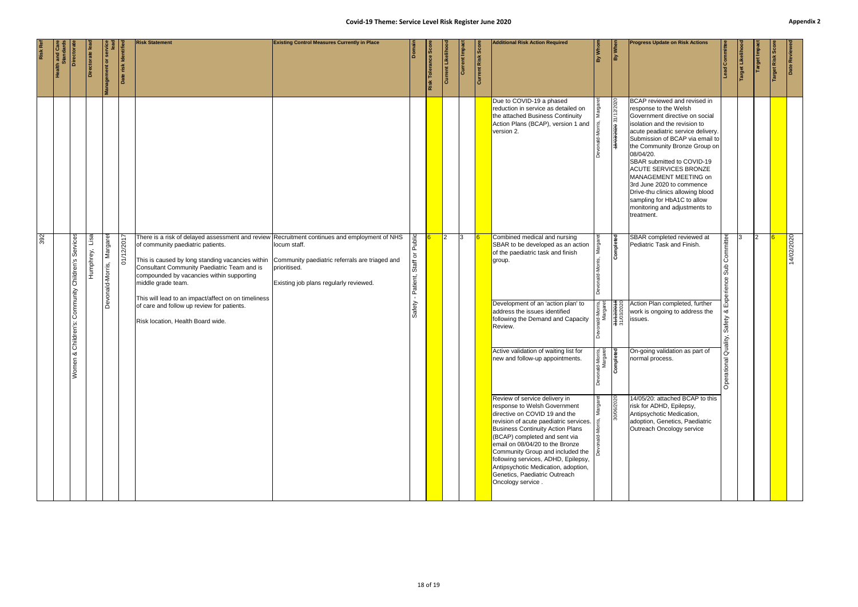| Humphrey, Lisa<br>Margaret<br>01/12/2017<br>Services<br>Children's                                                                                                                                                                     |  |  | There is a risk of delayed assessment and review Recruitment continues and employment of NHS<br>of community paediatric patients.<br>This is caused by long standing vacancies within<br>Consultant Community Paediatric Team and is<br>compounded by vacancies within supporting | locum staff.<br>Community paediatric referrals are triaged and<br>prioritised. | Public<br>$\overline{\sigma}$<br>Staff | $\overline{2}$ | $\overline{3}$ | reduction in service as detailed on<br>the attached Business Continuity<br>Action Plans (BCAP), version 1 and<br>version 2.<br>Combined medical and nursing<br>SBAR to be developed as an action<br>of the paediatric task and finish<br>group.                                                                                                                                                                                                                                                                                                                                                                                    |                                                                                                                      | 18/03/2020 31/12/2020<br>Completed | response to the Welsh<br>Government directive on social<br>isolation and the revision to<br>acute peadiatric service delivery.<br>Submission of BCAP via email to<br>the Community Bronze Group on<br>08/04/20.<br>SBAR submitted to COVID-19<br><b>ACUTE SERVICES BRONZE</b><br>MANAGEMENT MEETING on<br>3rd June 2020 to commence<br>Drive-thu clinics allowing blood<br>sampling for HbA1C to allow<br>monitoring and adjustments to<br>treatment.<br>SBAR completed reviewed at<br>Pediatric Task and Finish. | Committee<br>Sub                                                           | 2 | 14/02/2020 |
|----------------------------------------------------------------------------------------------------------------------------------------------------------------------------------------------------------------------------------------|--|--|-----------------------------------------------------------------------------------------------------------------------------------------------------------------------------------------------------------------------------------------------------------------------------------|--------------------------------------------------------------------------------|----------------------------------------|----------------|----------------|------------------------------------------------------------------------------------------------------------------------------------------------------------------------------------------------------------------------------------------------------------------------------------------------------------------------------------------------------------------------------------------------------------------------------------------------------------------------------------------------------------------------------------------------------------------------------------------------------------------------------------|----------------------------------------------------------------------------------------------------------------------|------------------------------------|-------------------------------------------------------------------------------------------------------------------------------------------------------------------------------------------------------------------------------------------------------------------------------------------------------------------------------------------------------------------------------------------------------------------------------------------------------------------------------------------------------------------|----------------------------------------------------------------------------|---|------------|
| Devonald-Morris,<br>middle grade team.<br>Community<br>This will lead to an impact/affect on on timeliness<br>of care and follow up review for patients.<br>Risk location, Health Board wide.<br>Children's:<br>య<br>$\subset$<br>Wome |  |  |                                                                                                                                                                                                                                                                                   | Existing job plans regularly reviewed.                                         | - Patient,<br>Safety                   |                |                | Development of an 'action plan' to<br>address the issues identified<br>following the Demand and Capacity<br>Review.<br>Active validation of waiting list for<br>new and follow-up appointments.<br>Review of service delivery in<br>response to Welsh Government<br>directive on COVID 19 and the<br>revision of acute paediatric services.<br><b>Business Continuity Action Plans</b><br>(BCAP) completed and sent via<br>email on 08/04/20 to the Bronze<br>Community Group and included the<br>following services, ADHD, Epilepsy,<br>Antipsychotic Medication, adoption,<br>Genetics, Paediatric Outreach<br>Oncology service. | nald-Morris,<br>Margaret<br>31/03/2020<br>31/03/2020<br><sup>nald-Morris,</sup><br>Margaret<br><b>Completed</b><br>å | 30/06/2020                         | Action Plan completed, further<br>work is ongoing to address the<br>issues.<br>On-going validation as part of<br>normal process.<br>14/05/20: attached BCAP to this<br>risk for ADHD, Epilepsy,<br>Antipsychotic Medication,<br>adoption, Genetics, Paediatric<br>Outreach Oncology service                                                                                                                                                                                                                       | Experience<br>∞ర<br>Safety<br>Quality,<br>$\overline{\sigma}$<br>Operation |   |            |